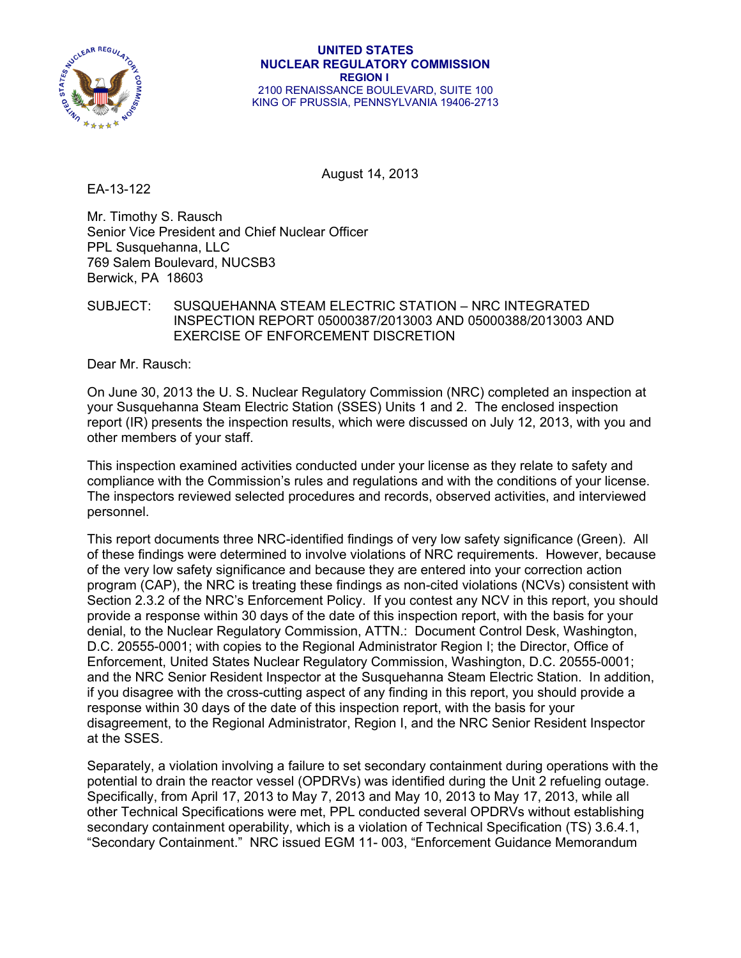

#### **UNITED STATES NUCLEAR REGULATORY COMMISSION REGION I**  2100 RENAISSANCE BOULEVARD, SUITE 100 KING OF PRUSSIA, PENNSYLVANIA 19406-2713

August 14, 2013

EA-13-122

Mr. Timothy S. Rausch Senior Vice President and Chief Nuclear Officer PPL Susquehanna, LLC 769 Salem Boulevard, NUCSB3 Berwick, PA 18603

## SUBJECT: SUSQUEHANNA STEAM ELECTRIC STATION – NRC INTEGRATED INSPECTION REPORT 05000387/2013003 AND 05000388/2013003 AND EXERCISE OF ENFORCEMENT DISCRETION

Dear Mr. Rausch:

On June 30, 2013 the U. S. Nuclear Regulatory Commission (NRC) completed an inspection at your Susquehanna Steam Electric Station (SSES) Units 1 and 2. The enclosed inspection report (IR) presents the inspection results, which were discussed on July 12, 2013, with you and other members of your staff.

This inspection examined activities conducted under your license as they relate to safety and compliance with the Commission's rules and regulations and with the conditions of your license. The inspectors reviewed selected procedures and records, observed activities, and interviewed personnel.

This report documents three NRC-identified findings of very low safety significance (Green). All of these findings were determined to involve violations of NRC requirements. However, because of the very low safety significance and because they are entered into your correction action program (CAP), the NRC is treating these findings as non-cited violations (NCVs) consistent with Section 2.3.2 of the NRC's Enforcement Policy. If you contest any NCV in this report, you should provide a response within 30 days of the date of this inspection report, with the basis for your denial, to the Nuclear Regulatory Commission, ATTN.: Document Control Desk, Washington, D.C. 20555-0001; with copies to the Regional Administrator Region I; the Director, Office of Enforcement, United States Nuclear Regulatory Commission, Washington, D.C. 20555-0001; and the NRC Senior Resident Inspector at the Susquehanna Steam Electric Station. In addition, if you disagree with the cross-cutting aspect of any finding in this report, you should provide a response within 30 days of the date of this inspection report, with the basis for your disagreement, to the Regional Administrator, Region I, and the NRC Senior Resident Inspector at the SSES.

Separately, a violation involving a failure to set secondary containment during operations with the potential to drain the reactor vessel (OPDRVs) was identified during the Unit 2 refueling outage. Specifically, from April 17, 2013 to May 7, 2013 and May 10, 2013 to May 17, 2013, while all other Technical Specifications were met, PPL conducted several OPDRVs without establishing secondary containment operability, which is a violation of Technical Specification (TS) 3.6.4.1, "Secondary Containment." NRC issued EGM 11- 003, "Enforcement Guidance Memorandum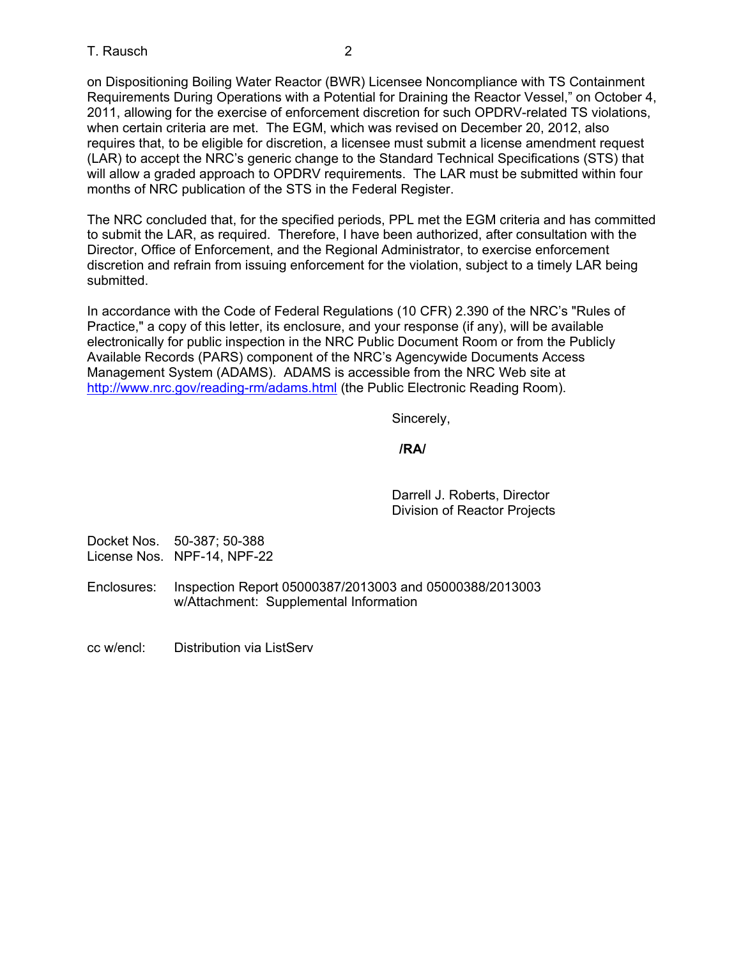on Dispositioning Boiling Water Reactor (BWR) Licensee Noncompliance with TS Containment Requirements During Operations with a Potential for Draining the Reactor Vessel," on October 4, 2011, allowing for the exercise of enforcement discretion for such OPDRV-related TS violations, when certain criteria are met. The EGM, which was revised on December 20, 2012, also requires that, to be eligible for discretion, a licensee must submit a license amendment request (LAR) to accept the NRC's generic change to the Standard Technical Specifications (STS) that will allow a graded approach to OPDRV requirements. The LAR must be submitted within four months of NRC publication of the STS in the Federal Register.

The NRC concluded that, for the specified periods, PPL met the EGM criteria and has committed to submit the LAR, as required. Therefore, I have been authorized, after consultation with the Director, Office of Enforcement, and the Regional Administrator, to exercise enforcement discretion and refrain from issuing enforcement for the violation, subject to a timely LAR being submitted.

In accordance with the Code of Federal Regulations (10 CFR) 2.390 of the NRC's "Rules of Practice," a copy of this letter, its enclosure, and your response (if any), will be available electronically for public inspection in the NRC Public Document Room or from the Publicly Available Records (PARS) component of the NRC's Agencywide Documents Access Management System (ADAMS). ADAMS is accessible from the NRC Web site at http://www.nrc.gov/reading-rm/adams.html (the Public Electronic Reading Room).

Sincerely,

## **/RA/**

Darrell J. Roberts, Director Division of Reactor Projects

Docket Nos. 50-387; 50-388 License Nos. NPF-14, NPF-22

Enclosures: Inspection Report 05000387/2013003 and 05000388/2013003 w/Attachment: Supplemental Information

cc w/encl: Distribution via ListServ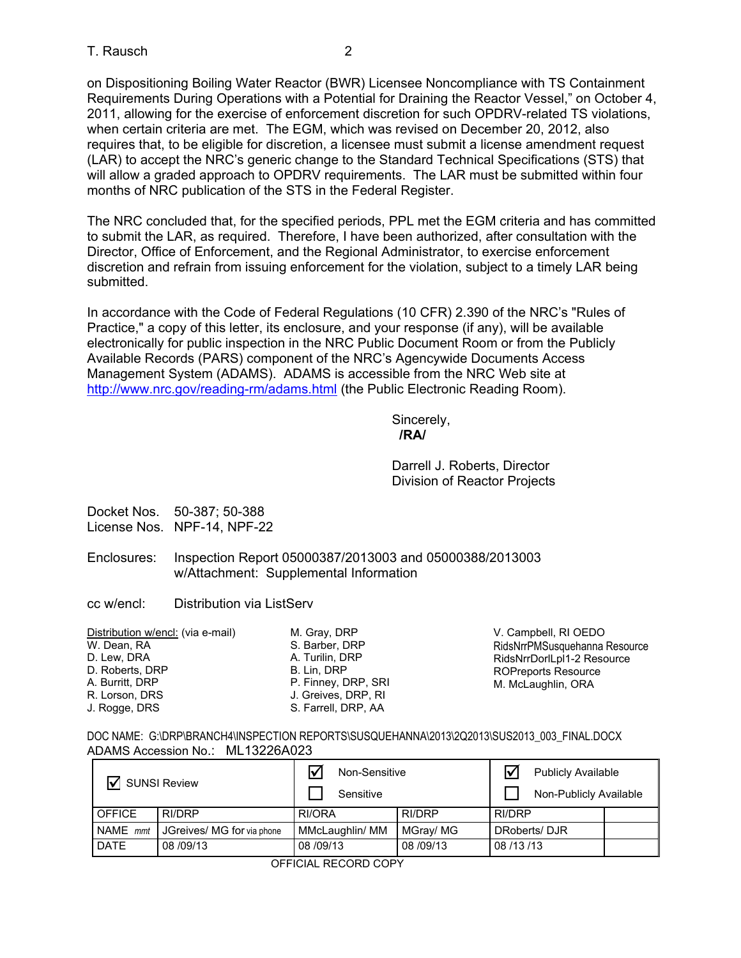on Dispositioning Boiling Water Reactor (BWR) Licensee Noncompliance with TS Containment Requirements During Operations with a Potential for Draining the Reactor Vessel," on October 4, 2011, allowing for the exercise of enforcement discretion for such OPDRV-related TS violations, when certain criteria are met. The EGM, which was revised on December 20, 2012, also requires that, to be eligible for discretion, a licensee must submit a license amendment request (LAR) to accept the NRC's generic change to the Standard Technical Specifications (STS) that will allow a graded approach to OPDRV requirements. The LAR must be submitted within four months of NRC publication of the STS in the Federal Register.

The NRC concluded that, for the specified periods, PPL met the EGM criteria and has committed to submit the LAR, as required. Therefore, I have been authorized, after consultation with the Director, Office of Enforcement, and the Regional Administrator, to exercise enforcement discretion and refrain from issuing enforcement for the violation, subject to a timely LAR being submitted.

In accordance with the Code of Federal Regulations (10 CFR) 2.390 of the NRC's "Rules of Practice," a copy of this letter, its enclosure, and your response (if any), will be available electronically for public inspection in the NRC Public Document Room or from the Publicly Available Records (PARS) component of the NRC's Agencywide Documents Access Management System (ADAMS). ADAMS is accessible from the NRC Web site at http://www.nrc.gov/reading-rm/adams.html (the Public Electronic Reading Room).

Sincerely, **/RA/** 

> Darrell J. Roberts, Director Division of Reactor Projects

Docket Nos. 50-387; 50-388 License Nos. NPF-14, NPF-22

- Enclosures: Inspection Report 05000387/2013003 and 05000388/2013003 w/Attachment: Supplemental Information
- cc w/encl: Distribution via ListServ

| Distribution w/encl: (via e-mail) | M. Gray, DRP        |
|-----------------------------------|---------------------|
| W. Dean, RA                       | S. Barber, DRP      |
| D. Lew, DRA                       | A. Turilin, DRP     |
| D. Roberts, DRP                   | B. Lin. DRP         |
| A. Burritt, DRP                   | P. Finney, DRP, SRI |
| R. Lorson, DRS                    | J. Greives, DRP, RI |
| J. Rogge, DRS                     | S. Farrell, DRP, AA |
|                                   |                     |

V. Campbell, RI OEDO RidsNrrPMSusquehanna Resource RidsNrrDorlLpl1-2 Resource ROPreports Resource M. McLaughlin, ORA

DOC NAME: G:\DRP\BRANCH4\INSPECTION REPORTS\SUSQUEHANNA\2013\2Q2013\SUS2013\_003\_FINAL.DOCX ADAMS Accession No.: ML13226A023

|               |                                           | Non-Sensitive   |                        | <b>Publicly Available</b> |  |
|---------------|-------------------------------------------|-----------------|------------------------|---------------------------|--|
|               | $\triangledown$ SUNSI Review<br>Sensitive |                 | Non-Publicly Available |                           |  |
| <b>OFFICE</b> | RI/DRP                                    | RI/ORA          | RI/DRP                 | RI/DRP                    |  |
| NAME mmt      | JGreives/ MG for via phone                | MMcLaughlin/ MM | MGray/ MG              | DRoberts/DJR              |  |
| <b>DATE</b>   | 08/09/13                                  | 08/09/13        | 08/09/13               | 08/13/13                  |  |

OFFICIAL RECORD COPY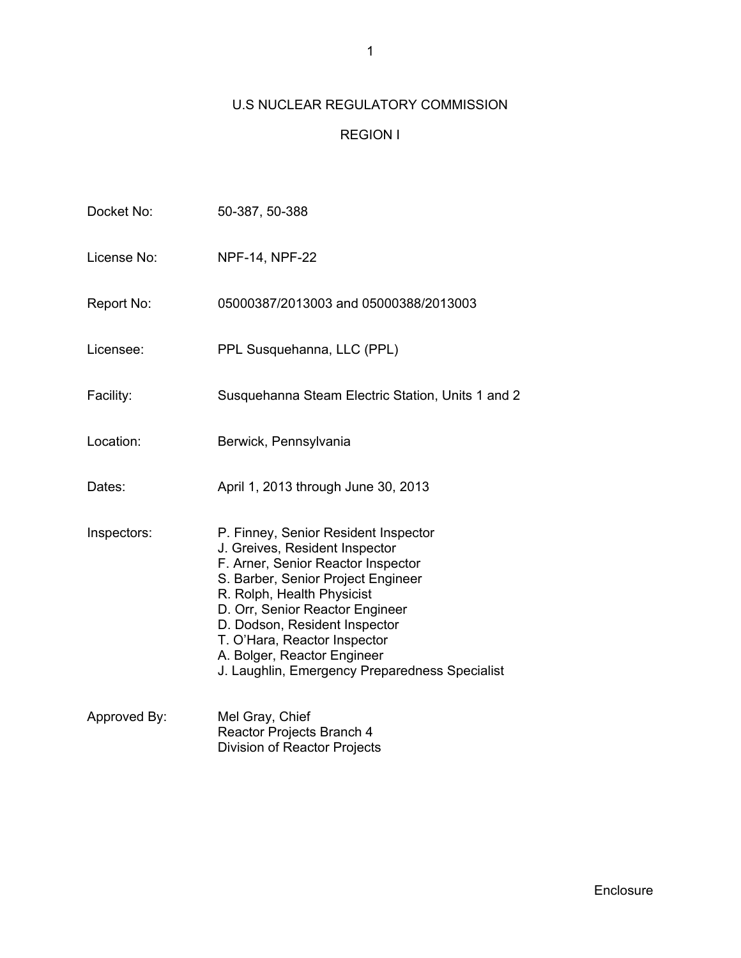# U.S NUCLEAR REGULATORY COMMISSION

## REGION I

| Docket No:   | 50-387, 50-388                                                                                                                                                                                                                                                                                                                                                        |
|--------------|-----------------------------------------------------------------------------------------------------------------------------------------------------------------------------------------------------------------------------------------------------------------------------------------------------------------------------------------------------------------------|
| License No:  | <b>NPF-14, NPF-22</b>                                                                                                                                                                                                                                                                                                                                                 |
| Report No:   | 05000387/2013003 and 05000388/2013003                                                                                                                                                                                                                                                                                                                                 |
| Licensee:    | PPL Susquehanna, LLC (PPL)                                                                                                                                                                                                                                                                                                                                            |
| Facility:    | Susquehanna Steam Electric Station, Units 1 and 2                                                                                                                                                                                                                                                                                                                     |
| Location:    | Berwick, Pennsylvania                                                                                                                                                                                                                                                                                                                                                 |
| Dates:       | April 1, 2013 through June 30, 2013                                                                                                                                                                                                                                                                                                                                   |
| Inspectors:  | P. Finney, Senior Resident Inspector<br>J. Greives, Resident Inspector<br>F. Arner, Senior Reactor Inspector<br>S. Barber, Senior Project Engineer<br>R. Rolph, Health Physicist<br>D. Orr, Senior Reactor Engineer<br>D. Dodson, Resident Inspector<br>T. O'Hara, Reactor Inspector<br>A. Bolger, Reactor Engineer<br>J. Laughlin, Emergency Preparedness Specialist |
| Approved By: | Mel Gray, Chief<br>Reactor Projects Branch 4<br><b>Division of Reactor Projects</b>                                                                                                                                                                                                                                                                                   |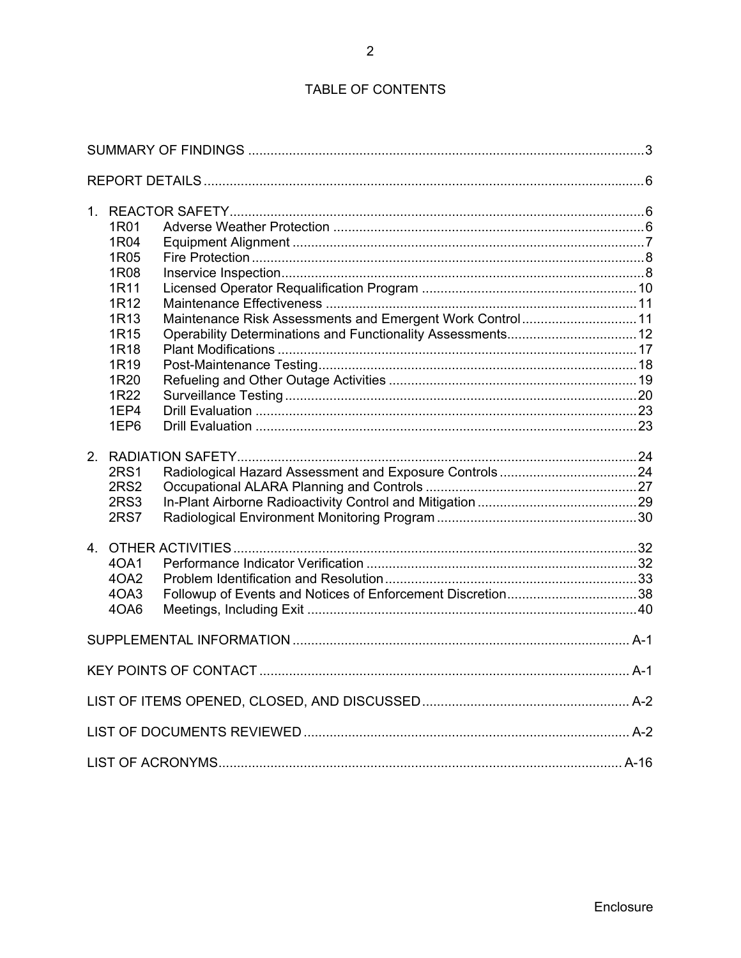# TABLE OF CONTENTS

| 1R01<br>1R04<br>1R05<br>1R08<br>1R11<br>1R12<br>1R <sub>13</sub><br>1R <sub>15</sub><br>1R18<br>1R19<br>1R20<br>1R22<br>1EP4<br>1EP6 | Maintenance Risk Assessments and Emergent Work Control11<br>Operability Determinations and Functionality Assessments 12 |  |
|--------------------------------------------------------------------------------------------------------------------------------------|-------------------------------------------------------------------------------------------------------------------------|--|
| <b>2RS1</b><br><b>2RS2</b><br>2RS3<br><b>2RS7</b>                                                                                    |                                                                                                                         |  |
| 40A1<br>4OA2<br>4OA3<br>40A6                                                                                                         |                                                                                                                         |  |
|                                                                                                                                      |                                                                                                                         |  |
|                                                                                                                                      |                                                                                                                         |  |
|                                                                                                                                      |                                                                                                                         |  |
|                                                                                                                                      |                                                                                                                         |  |
|                                                                                                                                      |                                                                                                                         |  |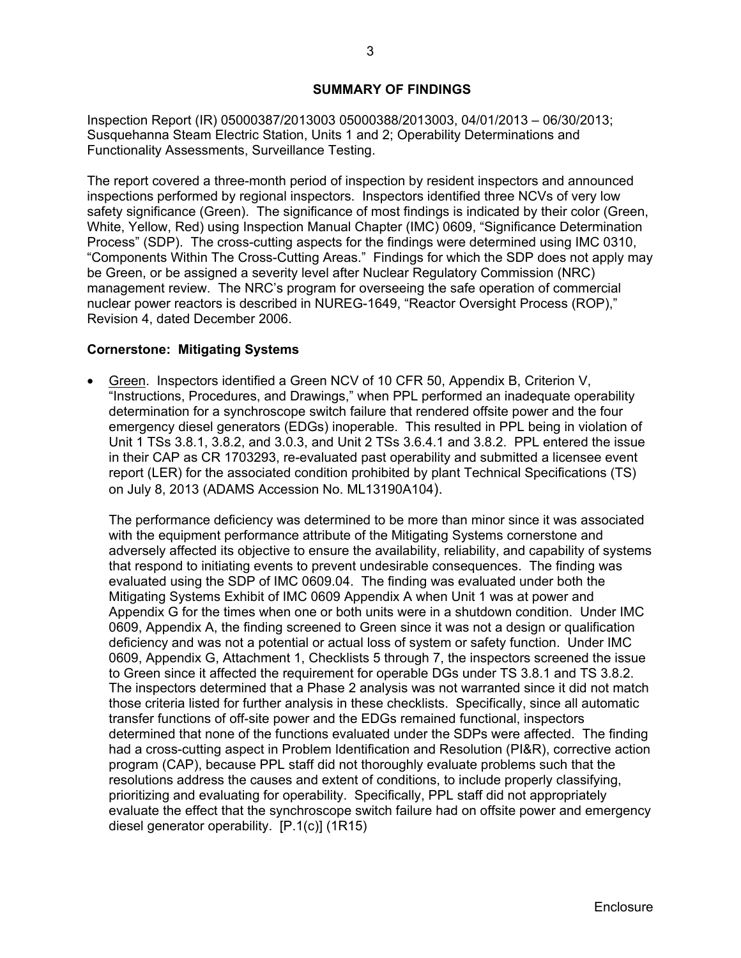### **SUMMARY OF FINDINGS**

Inspection Report (IR) 05000387/2013003 05000388/2013003, 04/01/2013 – 06/30/2013; Susquehanna Steam Electric Station, Units 1 and 2; Operability Determinations and Functionality Assessments, Surveillance Testing.

The report covered a three-month period of inspection by resident inspectors and announced inspections performed by regional inspectors. Inspectors identified three NCVs of very low safety significance (Green). The significance of most findings is indicated by their color (Green, White, Yellow, Red) using Inspection Manual Chapter (IMC) 0609, "Significance Determination Process" (SDP). The cross-cutting aspects for the findings were determined using IMC 0310, "Components Within The Cross-Cutting Areas." Findings for which the SDP does not apply may be Green, or be assigned a severity level after Nuclear Regulatory Commission (NRC) management review. The NRC's program for overseeing the safe operation of commercial nuclear power reactors is described in NUREG-1649, "Reactor Oversight Process (ROP)," Revision 4, dated December 2006.

### **Cornerstone: Mitigating Systems**

 Green. Inspectors identified a Green NCV of 10 CFR 50, Appendix B, Criterion V, "Instructions, Procedures, and Drawings," when PPL performed an inadequate operability determination for a synchroscope switch failure that rendered offsite power and the four emergency diesel generators (EDGs) inoperable. This resulted in PPL being in violation of Unit 1 TSs 3.8.1, 3.8.2, and 3.0.3, and Unit 2 TSs 3.6.4.1 and 3.8.2. PPL entered the issue in their CAP as CR 1703293, re-evaluated past operability and submitted a licensee event report (LER) for the associated condition prohibited by plant Technical Specifications (TS) on July 8, 2013 (ADAMS Accession No. ML13190A104).

The performance deficiency was determined to be more than minor since it was associated with the equipment performance attribute of the Mitigating Systems cornerstone and adversely affected its objective to ensure the availability, reliability, and capability of systems that respond to initiating events to prevent undesirable consequences. The finding was evaluated using the SDP of IMC 0609.04. The finding was evaluated under both the Mitigating Systems Exhibit of IMC 0609 Appendix A when Unit 1 was at power and Appendix G for the times when one or both units were in a shutdown condition. Under IMC 0609, Appendix A, the finding screened to Green since it was not a design or qualification deficiency and was not a potential or actual loss of system or safety function. Under IMC 0609, Appendix G, Attachment 1, Checklists 5 through 7, the inspectors screened the issue to Green since it affected the requirement for operable DGs under TS 3.8.1 and TS 3.8.2. The inspectors determined that a Phase 2 analysis was not warranted since it did not match those criteria listed for further analysis in these checklists. Specifically, since all automatic transfer functions of off-site power and the EDGs remained functional, inspectors determined that none of the functions evaluated under the SDPs were affected. The finding had a cross-cutting aspect in Problem Identification and Resolution (PI&R), corrective action program (CAP), because PPL staff did not thoroughly evaluate problems such that the resolutions address the causes and extent of conditions, to include properly classifying, prioritizing and evaluating for operability. Specifically, PPL staff did not appropriately evaluate the effect that the synchroscope switch failure had on offsite power and emergency diesel generator operability. [P.1(c)] (1R15)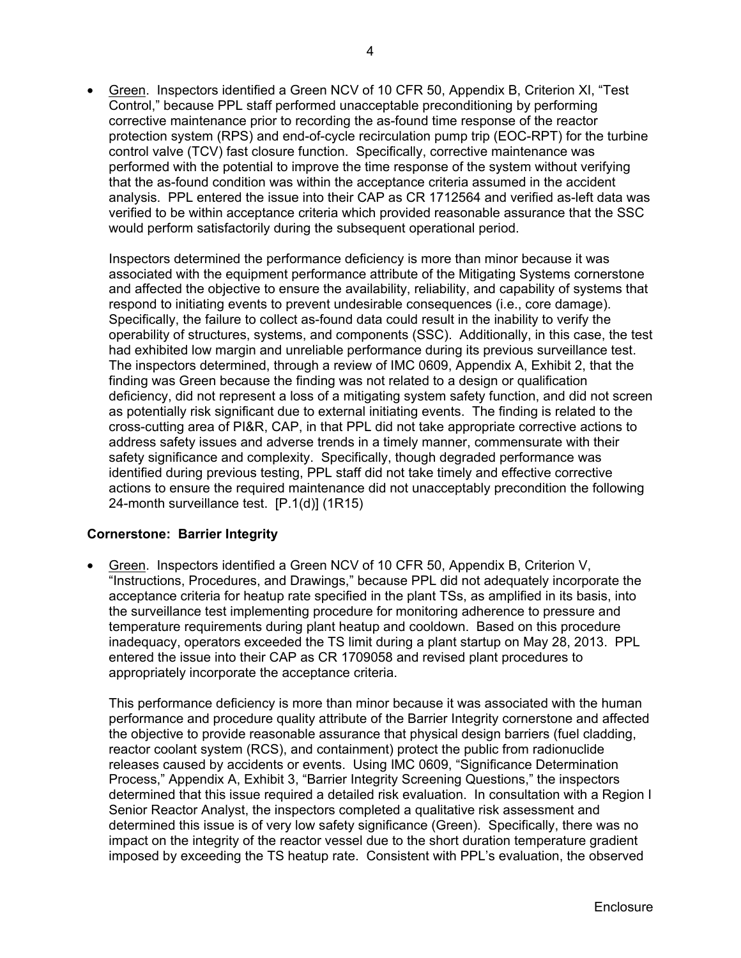Green. Inspectors identified a Green NCV of 10 CFR 50, Appendix B, Criterion XI, "Test Control," because PPL staff performed unacceptable preconditioning by performing corrective maintenance prior to recording the as-found time response of the reactor protection system (RPS) and end-of-cycle recirculation pump trip (EOC-RPT) for the turbine control valve (TCV) fast closure function. Specifically, corrective maintenance was performed with the potential to improve the time response of the system without verifying that the as-found condition was within the acceptance criteria assumed in the accident analysis. PPL entered the issue into their CAP as CR 1712564 and verified as-left data was verified to be within acceptance criteria which provided reasonable assurance that the SSC would perform satisfactorily during the subsequent operational period.

Inspectors determined the performance deficiency is more than minor because it was associated with the equipment performance attribute of the Mitigating Systems cornerstone and affected the objective to ensure the availability, reliability, and capability of systems that respond to initiating events to prevent undesirable consequences (i.e., core damage). Specifically, the failure to collect as-found data could result in the inability to verify the operability of structures, systems, and components (SSC). Additionally, in this case, the test had exhibited low margin and unreliable performance during its previous surveillance test. The inspectors determined, through a review of IMC 0609, Appendix A, Exhibit 2, that the finding was Green because the finding was not related to a design or qualification deficiency, did not represent a loss of a mitigating system safety function, and did not screen as potentially risk significant due to external initiating events. The finding is related to the cross-cutting area of PI&R, CAP, in that PPL did not take appropriate corrective actions to address safety issues and adverse trends in a timely manner, commensurate with their safety significance and complexity. Specifically, though degraded performance was identified during previous testing, PPL staff did not take timely and effective corrective actions to ensure the required maintenance did not unacceptably precondition the following 24-month surveillance test. [P.1(d)] (1R15)

## **Cornerstone: Barrier Integrity**

 Green. Inspectors identified a Green NCV of 10 CFR 50, Appendix B, Criterion V, "Instructions, Procedures, and Drawings," because PPL did not adequately incorporate the acceptance criteria for heatup rate specified in the plant TSs, as amplified in its basis, into the surveillance test implementing procedure for monitoring adherence to pressure and temperature requirements during plant heatup and cooldown. Based on this procedure inadequacy, operators exceeded the TS limit during a plant startup on May 28, 2013. PPL entered the issue into their CAP as CR 1709058 and revised plant procedures to appropriately incorporate the acceptance criteria.

This performance deficiency is more than minor because it was associated with the human performance and procedure quality attribute of the Barrier Integrity cornerstone and affected the objective to provide reasonable assurance that physical design barriers (fuel cladding, reactor coolant system (RCS), and containment) protect the public from radionuclide releases caused by accidents or events. Using IMC 0609, "Significance Determination Process," Appendix A, Exhibit 3, "Barrier Integrity Screening Questions," the inspectors determined that this issue required a detailed risk evaluation. In consultation with a Region I Senior Reactor Analyst, the inspectors completed a qualitative risk assessment and determined this issue is of very low safety significance (Green). Specifically, there was no impact on the integrity of the reactor vessel due to the short duration temperature gradient imposed by exceeding the TS heatup rate. Consistent with PPL's evaluation, the observed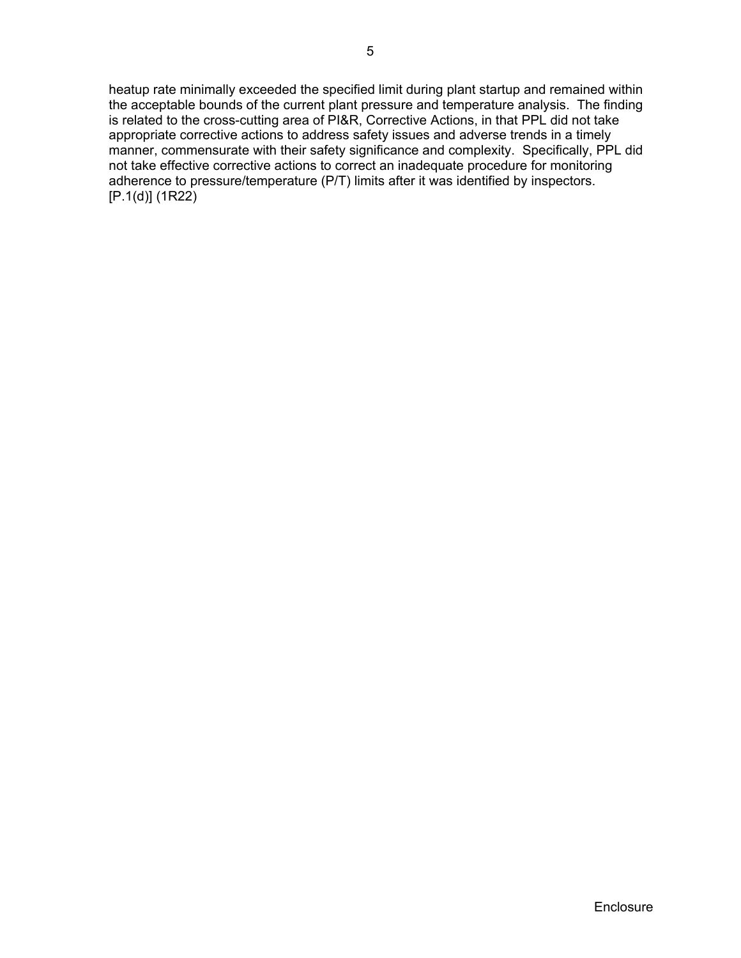heatup rate minimally exceeded the specified limit during plant startup and remained within the acceptable bounds of the current plant pressure and temperature analysis. The finding is related to the cross-cutting area of PI&R, Corrective Actions, in that PPL did not take appropriate corrective actions to address safety issues and adverse trends in a timely manner, commensurate with their safety significance and complexity. Specifically, PPL did not take effective corrective actions to correct an inadequate procedure for monitoring adherence to pressure/temperature (P/T) limits after it was identified by inspectors. [P.1(d)] (1R22)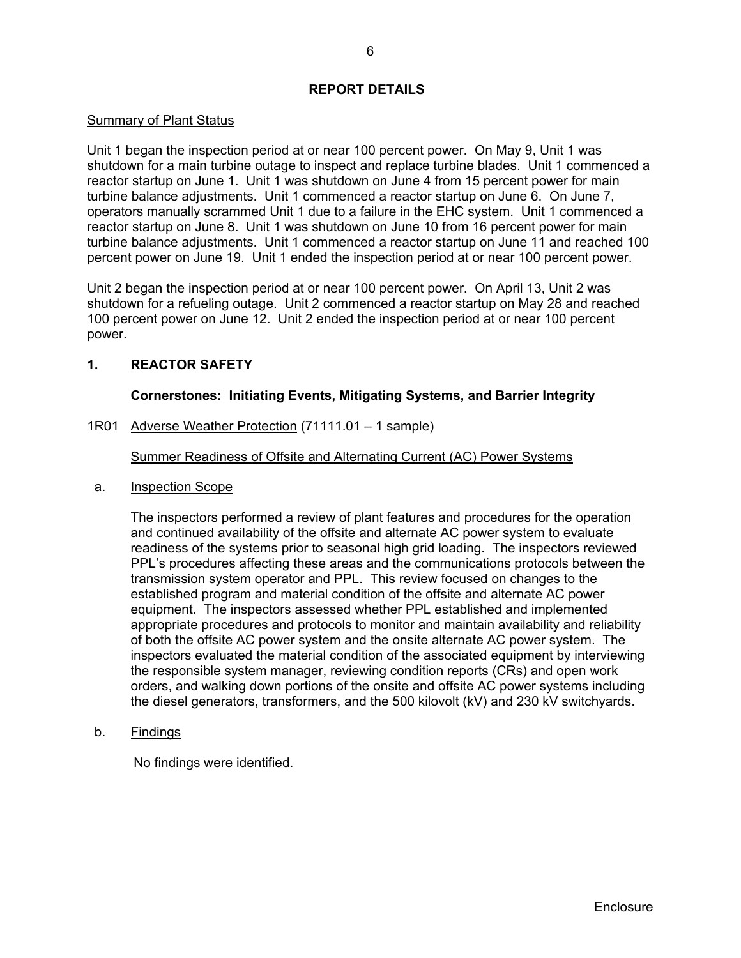## **REPORT DETAILS**

## Summary of Plant Status

Unit 1 began the inspection period at or near 100 percent power. On May 9, Unit 1 was shutdown for a main turbine outage to inspect and replace turbine blades. Unit 1 commenced a reactor startup on June 1. Unit 1 was shutdown on June 4 from 15 percent power for main turbine balance adjustments. Unit 1 commenced a reactor startup on June 6. On June 7, operators manually scrammed Unit 1 due to a failure in the EHC system. Unit 1 commenced a reactor startup on June 8. Unit 1 was shutdown on June 10 from 16 percent power for main turbine balance adjustments. Unit 1 commenced a reactor startup on June 11 and reached 100 percent power on June 19. Unit 1 ended the inspection period at or near 100 percent power.

Unit 2 began the inspection period at or near 100 percent power. On April 13, Unit 2 was shutdown for a refueling outage. Unit 2 commenced a reactor startup on May 28 and reached 100 percent power on June 12. Unit 2 ended the inspection period at or near 100 percent power.

## **1. REACTOR SAFETY**

## **Cornerstones: Initiating Events, Mitigating Systems, and Barrier Integrity**

1R01 Adverse Weather Protection (71111.01 – 1 sample)

Summer Readiness of Offsite and Alternating Current (AC) Power Systems

a. Inspection Scope

The inspectors performed a review of plant features and procedures for the operation and continued availability of the offsite and alternate AC power system to evaluate readiness of the systems prior to seasonal high grid loading. The inspectors reviewed PPL's procedures affecting these areas and the communications protocols between the transmission system operator and PPL. This review focused on changes to the established program and material condition of the offsite and alternate AC power equipment. The inspectors assessed whether PPL established and implemented appropriate procedures and protocols to monitor and maintain availability and reliability of both the offsite AC power system and the onsite alternate AC power system. The inspectors evaluated the material condition of the associated equipment by interviewing the responsible system manager, reviewing condition reports (CRs) and open work orders, and walking down portions of the onsite and offsite AC power systems including the diesel generators, transformers, and the 500 kilovolt (kV) and 230 kV switchyards.

b. Findings

No findings were identified.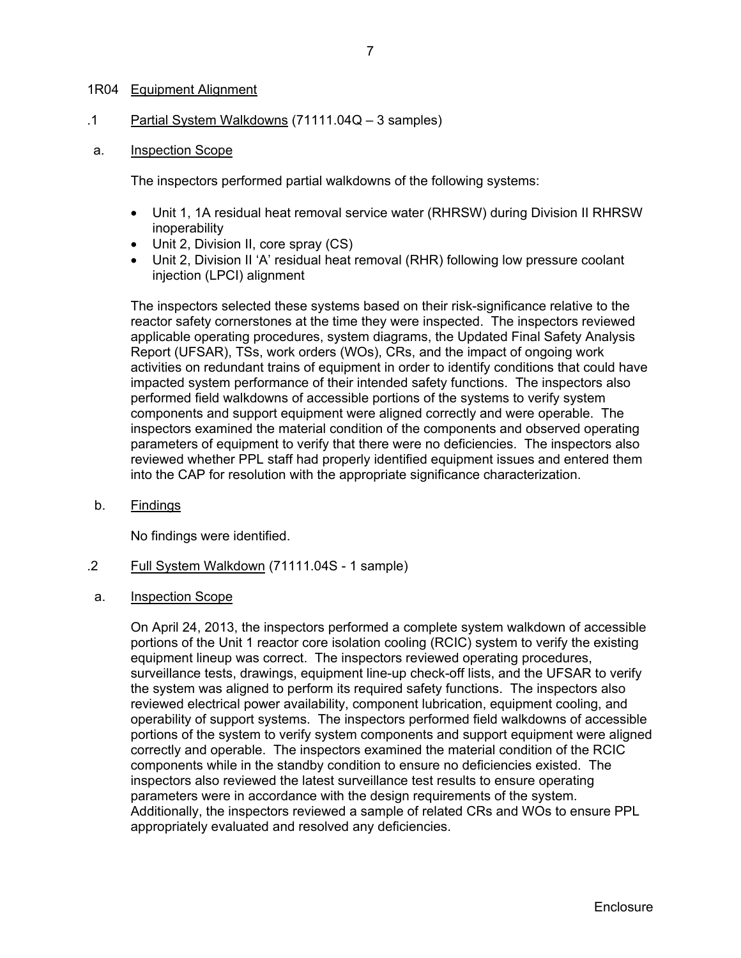### 1R04 Equipment Alignment

.1 Partial System Walkdowns (71111.04Q – 3 samples)

#### a. Inspection Scope

The inspectors performed partial walkdowns of the following systems:

- Unit 1, 1A residual heat removal service water (RHRSW) during Division II RHRSW inoperability
- Unit 2, Division II, core spray (CS)
- Unit 2, Division II 'A' residual heat removal (RHR) following low pressure coolant injection (LPCI) alignment

The inspectors selected these systems based on their risk-significance relative to the reactor safety cornerstones at the time they were inspected. The inspectors reviewed applicable operating procedures, system diagrams, the Updated Final Safety Analysis Report (UFSAR), TSs, work orders (WOs), CRs, and the impact of ongoing work activities on redundant trains of equipment in order to identify conditions that could have impacted system performance of their intended safety functions. The inspectors also performed field walkdowns of accessible portions of the systems to verify system components and support equipment were aligned correctly and were operable. The inspectors examined the material condition of the components and observed operating parameters of equipment to verify that there were no deficiencies. The inspectors also reviewed whether PPL staff had properly identified equipment issues and entered them into the CAP for resolution with the appropriate significance characterization.

b. Findings

No findings were identified.

- .2 Full System Walkdown (71111.04S 1 sample)
- a. Inspection Scope

On April 24, 2013, the inspectors performed a complete system walkdown of accessible portions of the Unit 1 reactor core isolation cooling (RCIC) system to verify the existing equipment lineup was correct. The inspectors reviewed operating procedures, surveillance tests, drawings, equipment line-up check-off lists, and the UFSAR to verify the system was aligned to perform its required safety functions. The inspectors also reviewed electrical power availability, component lubrication, equipment cooling, and operability of support systems. The inspectors performed field walkdowns of accessible portions of the system to verify system components and support equipment were aligned correctly and operable. The inspectors examined the material condition of the RCIC components while in the standby condition to ensure no deficiencies existed. The inspectors also reviewed the latest surveillance test results to ensure operating parameters were in accordance with the design requirements of the system. Additionally, the inspectors reviewed a sample of related CRs and WOs to ensure PPL appropriately evaluated and resolved any deficiencies.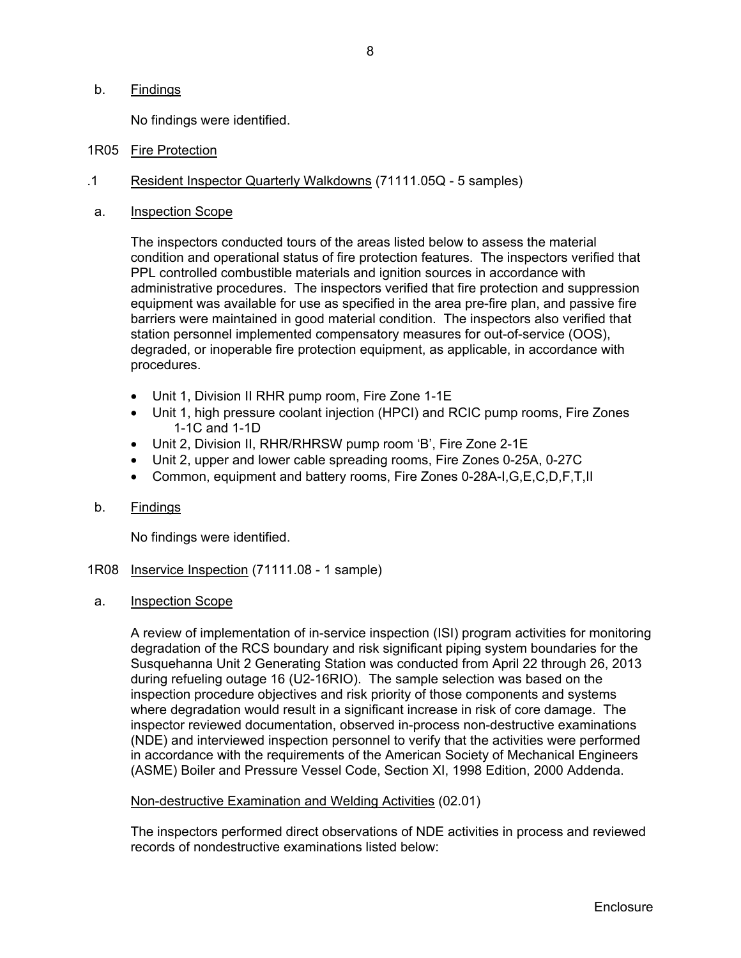## b. Findings

No findings were identified.

- 1R05 Fire Protection
- .1 Resident Inspector Quarterly Walkdowns (71111.05Q 5 samples)
- a. Inspection Scope

The inspectors conducted tours of the areas listed below to assess the material condition and operational status of fire protection features. The inspectors verified that PPL controlled combustible materials and ignition sources in accordance with administrative procedures. The inspectors verified that fire protection and suppression equipment was available for use as specified in the area pre-fire plan, and passive fire barriers were maintained in good material condition. The inspectors also verified that station personnel implemented compensatory measures for out-of-service (OOS), degraded, or inoperable fire protection equipment, as applicable, in accordance with procedures.

- Unit 1, Division II RHR pump room, Fire Zone 1-1E
- Unit 1, high pressure coolant injection (HPCI) and RCIC pump rooms, Fire Zones 1-1C and 1-1D
- Unit 2, Division II, RHR/RHRSW pump room 'B', Fire Zone 2-1E
- Unit 2, upper and lower cable spreading rooms, Fire Zones 0-25A, 0-27C
- Common, equipment and battery rooms, Fire Zones 0-28A-I,G,E,C,D,F,T,II
- b. Findings

No findings were identified.

- 1R08 Inservice Inspection (71111.08 1 sample)
- a. Inspection Scope

A review of implementation of in-service inspection (ISI) program activities for monitoring degradation of the RCS boundary and risk significant piping system boundaries for the Susquehanna Unit 2 Generating Station was conducted from April 22 through 26, 2013 during refueling outage 16 (U2-16RIO). The sample selection was based on the inspection procedure objectives and risk priority of those components and systems where degradation would result in a significant increase in risk of core damage. The inspector reviewed documentation, observed in-process non-destructive examinations (NDE) and interviewed inspection personnel to verify that the activities were performed in accordance with the requirements of the American Society of Mechanical Engineers (ASME) Boiler and Pressure Vessel Code, Section XI, 1998 Edition, 2000 Addenda.

## Non-destructive Examination and Welding Activities (02.01)

The inspectors performed direct observations of NDE activities in process and reviewed records of nondestructive examinations listed below: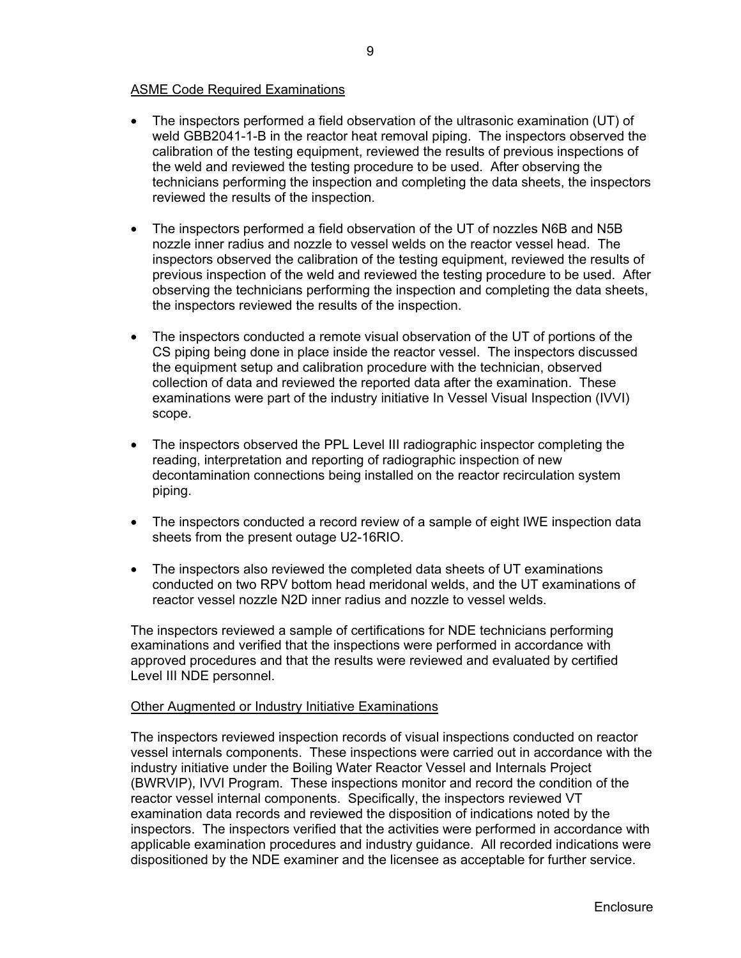## ASME Code Required Examinations

- The inspectors performed a field observation of the ultrasonic examination (UT) of weld GBB2041-1-B in the reactor heat removal piping. The inspectors observed the calibration of the testing equipment, reviewed the results of previous inspections of the weld and reviewed the testing procedure to be used. After observing the technicians performing the inspection and completing the data sheets, the inspectors reviewed the results of the inspection.
- The inspectors performed a field observation of the UT of nozzles N6B and N5B nozzle inner radius and nozzle to vessel welds on the reactor vessel head. The inspectors observed the calibration of the testing equipment, reviewed the results of previous inspection of the weld and reviewed the testing procedure to be used. After observing the technicians performing the inspection and completing the data sheets, the inspectors reviewed the results of the inspection.
- The inspectors conducted a remote visual observation of the UT of portions of the CS piping being done in place inside the reactor vessel. The inspectors discussed the equipment setup and calibration procedure with the technician, observed collection of data and reviewed the reported data after the examination. These examinations were part of the industry initiative In Vessel Visual Inspection (IVVI) scope.
- The inspectors observed the PPL Level III radiographic inspector completing the reading, interpretation and reporting of radiographic inspection of new decontamination connections being installed on the reactor recirculation system piping.
- The inspectors conducted a record review of a sample of eight IWE inspection data sheets from the present outage U2-16RIO.
- The inspectors also reviewed the completed data sheets of UT examinations conducted on two RPV bottom head meridonal welds, and the UT examinations of reactor vessel nozzle N2D inner radius and nozzle to vessel welds.

The inspectors reviewed a sample of certifications for NDE technicians performing examinations and verified that the inspections were performed in accordance with approved procedures and that the results were reviewed and evaluated by certified Level III NDE personnel.

## Other Augmented or Industry Initiative Examinations

The inspectors reviewed inspection records of visual inspections conducted on reactor vessel internals components. These inspections were carried out in accordance with the industry initiative under the Boiling Water Reactor Vessel and Internals Project (BWRVIP), IVVI Program. These inspections monitor and record the condition of the reactor vessel internal components. Specifically, the inspectors reviewed VT examination data records and reviewed the disposition of indications noted by the inspectors. The inspectors verified that the activities were performed in accordance with applicable examination procedures and industry guidance. All recorded indications were dispositioned by the NDE examiner and the licensee as acceptable for further service.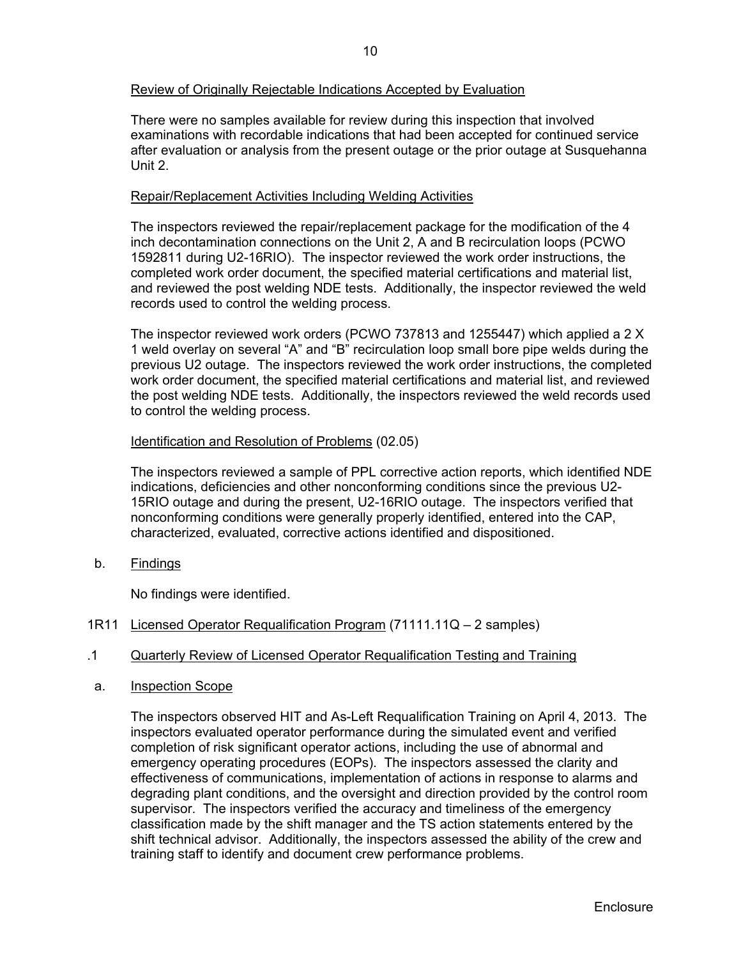## Review of Originally Rejectable Indications Accepted by Evaluation

There were no samples available for review during this inspection that involved examinations with recordable indications that had been accepted for continued service after evaluation or analysis from the present outage or the prior outage at Susquehanna Unit 2.

## Repair/Replacement Activities Including Welding Activities

The inspectors reviewed the repair/replacement package for the modification of the 4 inch decontamination connections on the Unit 2, A and B recirculation loops (PCWO 1592811 during U2-16RIO). The inspector reviewed the work order instructions, the completed work order document, the specified material certifications and material list, and reviewed the post welding NDE tests. Additionally, the inspector reviewed the weld records used to control the welding process.

The inspector reviewed work orders (PCWO 737813 and 1255447) which applied a 2 X 1 weld overlay on several "A" and "B" recirculation loop small bore pipe welds during the previous U2 outage. The inspectors reviewed the work order instructions, the completed work order document, the specified material certifications and material list, and reviewed the post welding NDE tests. Additionally, the inspectors reviewed the weld records used to control the welding process.

## Identification and Resolution of Problems (02.05)

The inspectors reviewed a sample of PPL corrective action reports, which identified NDE indications, deficiencies and other nonconforming conditions since the previous U2- 15RIO outage and during the present, U2-16RIO outage. The inspectors verified that nonconforming conditions were generally properly identified, entered into the CAP, characterized, evaluated, corrective actions identified and dispositioned.

b. Findings

No findings were identified.

1R11 Licensed Operator Requalification Program (71111.11Q – 2 samples)

## .1 Quarterly Review of Licensed Operator Requalification Testing and Training

a. Inspection Scope

The inspectors observed HIT and As-Left Requalification Training on April 4, 2013. The inspectors evaluated operator performance during the simulated event and verified completion of risk significant operator actions, including the use of abnormal and emergency operating procedures (EOPs). The inspectors assessed the clarity and effectiveness of communications, implementation of actions in response to alarms and degrading plant conditions, and the oversight and direction provided by the control room supervisor. The inspectors verified the accuracy and timeliness of the emergency classification made by the shift manager and the TS action statements entered by the shift technical advisor. Additionally, the inspectors assessed the ability of the crew and training staff to identify and document crew performance problems.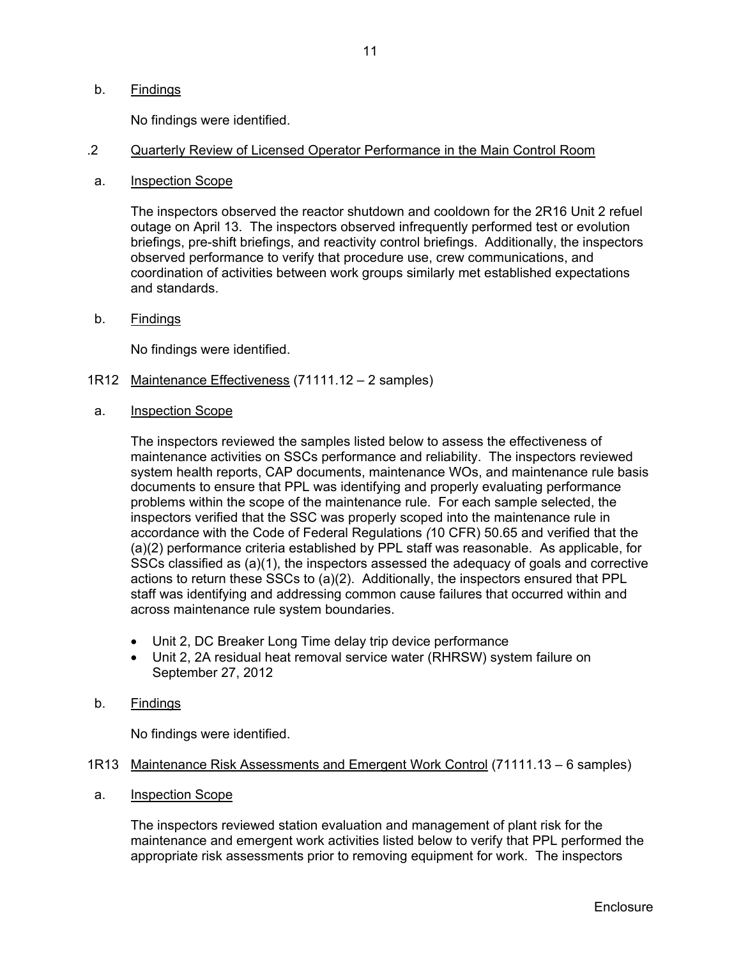### b. Findings

No findings were identified.

### .2 Quarterly Review of Licensed Operator Performance in the Main Control Room

a. Inspection Scope

The inspectors observed the reactor shutdown and cooldown for the 2R16 Unit 2 refuel outage on April 13. The inspectors observed infrequently performed test or evolution briefings, pre-shift briefings, and reactivity control briefings. Additionally, the inspectors observed performance to verify that procedure use, crew communications, and coordination of activities between work groups similarly met established expectations and standards.

b. Findings

No findings were identified.

- 1R12 Maintenance Effectiveness (71111.12 2 samples)
- a. Inspection Scope

The inspectors reviewed the samples listed below to assess the effectiveness of maintenance activities on SSCs performance and reliability. The inspectors reviewed system health reports, CAP documents, maintenance WOs, and maintenance rule basis documents to ensure that PPL was identifying and properly evaluating performance problems within the scope of the maintenance rule. For each sample selected, the inspectors verified that the SSC was properly scoped into the maintenance rule in accordance with the Code of Federal Regulations *(*10 CFR) 50.65 and verified that the (a)(2) performance criteria established by PPL staff was reasonable. As applicable, for SSCs classified as (a)(1), the inspectors assessed the adequacy of goals and corrective actions to return these SSCs to (a)(2). Additionally, the inspectors ensured that PPL staff was identifying and addressing common cause failures that occurred within and across maintenance rule system boundaries.

- Unit 2, DC Breaker Long Time delay trip device performance
- Unit 2, 2A residual heat removal service water (RHRSW) system failure on September 27, 2012
- b. Findings

No findings were identified.

#### 1R13 Maintenance Risk Assessments and Emergent Work Control (71111.13 – 6 samples)

a. Inspection Scope

The inspectors reviewed station evaluation and management of plant risk for the maintenance and emergent work activities listed below to verify that PPL performed the appropriate risk assessments prior to removing equipment for work. The inspectors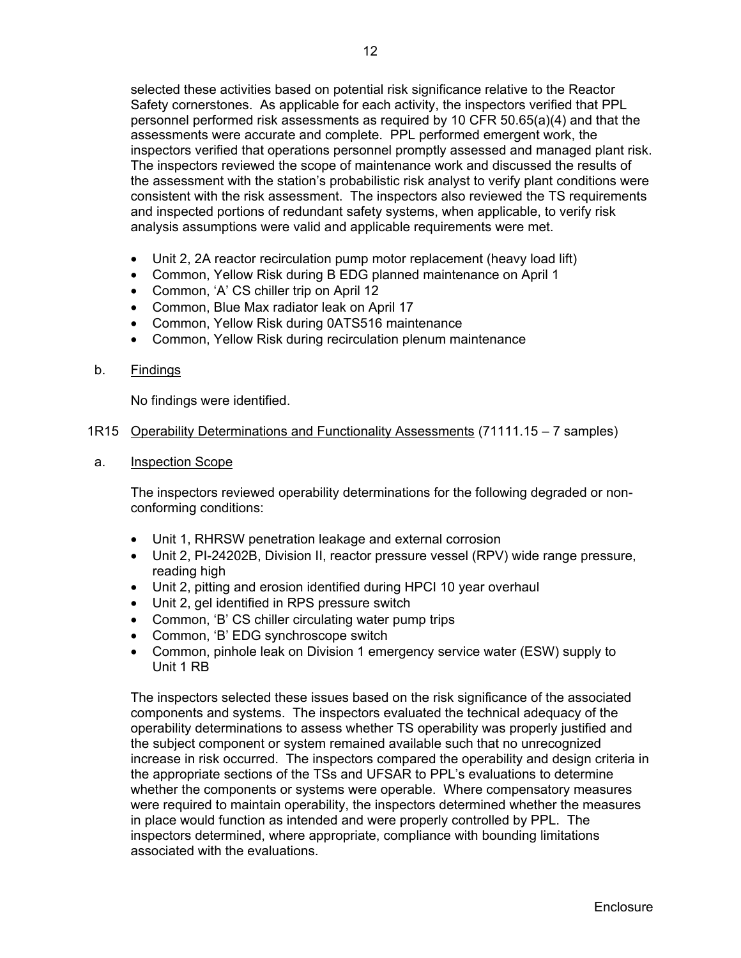selected these activities based on potential risk significance relative to the Reactor Safety cornerstones. As applicable for each activity, the inspectors verified that PPL personnel performed risk assessments as required by 10 CFR 50.65(a)(4) and that the assessments were accurate and complete. PPL performed emergent work, the inspectors verified that operations personnel promptly assessed and managed plant risk. The inspectors reviewed the scope of maintenance work and discussed the results of the assessment with the station's probabilistic risk analyst to verify plant conditions were consistent with the risk assessment. The inspectors also reviewed the TS requirements and inspected portions of redundant safety systems, when applicable, to verify risk analysis assumptions were valid and applicable requirements were met.

- Unit 2, 2A reactor recirculation pump motor replacement (heavy load lift)
- Common, Yellow Risk during B EDG planned maintenance on April 1
- Common, 'A' CS chiller trip on April 12
- Common, Blue Max radiator leak on April 17
- Common, Yellow Risk during 0ATS516 maintenance
- Common, Yellow Risk during recirculation plenum maintenance

## b. Findings

No findings were identified.

## 1R15 Operability Determinations and Functionality Assessments (71111.15 – 7 samples)

a. Inspection Scope

The inspectors reviewed operability determinations for the following degraded or nonconforming conditions:

- Unit 1, RHRSW penetration leakage and external corrosion
- Unit 2, PI-24202B, Division II, reactor pressure vessel (RPV) wide range pressure, reading high
- Unit 2, pitting and erosion identified during HPCI 10 year overhaul
- Unit 2, gel identified in RPS pressure switch
- Common, 'B' CS chiller circulating water pump trips
- Common, 'B' EDG synchroscope switch
- Common, pinhole leak on Division 1 emergency service water (ESW) supply to Unit 1 RB

The inspectors selected these issues based on the risk significance of the associated components and systems. The inspectors evaluated the technical adequacy of the operability determinations to assess whether TS operability was properly justified and the subject component or system remained available such that no unrecognized increase in risk occurred. The inspectors compared the operability and design criteria in the appropriate sections of the TSs and UFSAR to PPL's evaluations to determine whether the components or systems were operable. Where compensatory measures were required to maintain operability, the inspectors determined whether the measures in place would function as intended and were properly controlled by PPL. The inspectors determined, where appropriate, compliance with bounding limitations associated with the evaluations.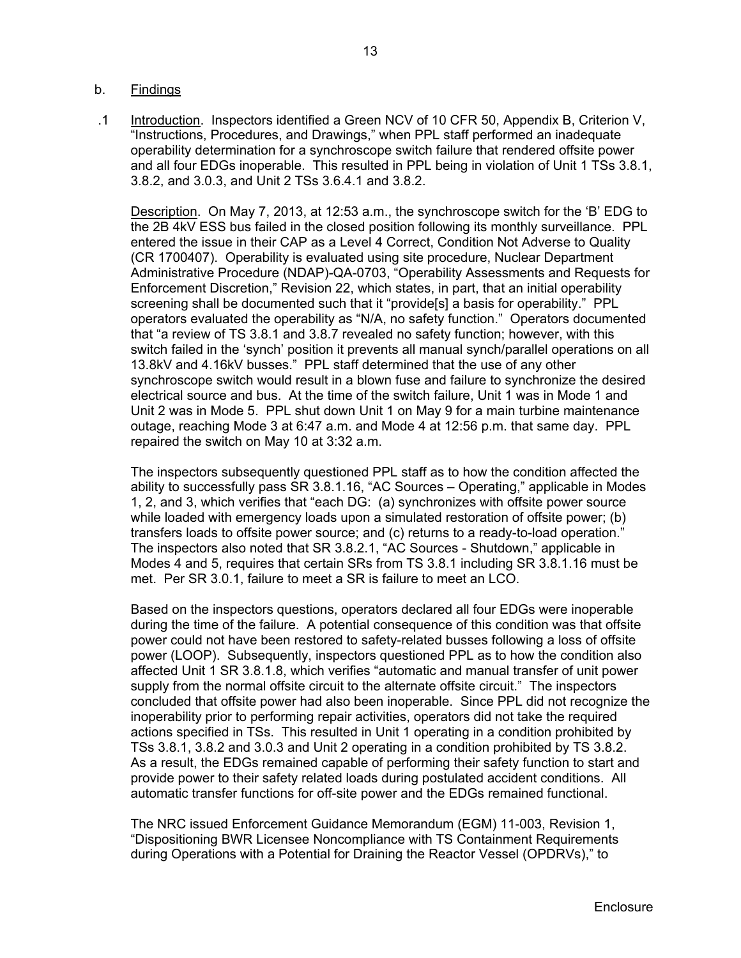## b. Findings

.1 Introduction. Inspectors identified a Green NCV of 10 CFR 50, Appendix B, Criterion V, "Instructions, Procedures, and Drawings," when PPL staff performed an inadequate operability determination for a synchroscope switch failure that rendered offsite power and all four EDGs inoperable. This resulted in PPL being in violation of Unit 1 TSs 3.8.1, 3.8.2, and 3.0.3, and Unit 2 TSs 3.6.4.1 and 3.8.2.

Description. On May 7, 2013, at 12:53 a.m., the synchroscope switch for the 'B' EDG to the 2B 4kV ESS bus failed in the closed position following its monthly surveillance. PPL entered the issue in their CAP as a Level 4 Correct, Condition Not Adverse to Quality (CR 1700407). Operability is evaluated using site procedure, Nuclear Department Administrative Procedure (NDAP)-QA-0703, "Operability Assessments and Requests for Enforcement Discretion," Revision 22, which states, in part, that an initial operability screening shall be documented such that it "provide[s] a basis for operability." PPL operators evaluated the operability as "N/A, no safety function." Operators documented that "a review of TS 3.8.1 and 3.8.7 revealed no safety function; however, with this switch failed in the 'synch' position it prevents all manual synch/parallel operations on all 13.8kV and 4.16kV busses." PPL staff determined that the use of any other synchroscope switch would result in a blown fuse and failure to synchronize the desired electrical source and bus. At the time of the switch failure, Unit 1 was in Mode 1 and Unit 2 was in Mode 5. PPL shut down Unit 1 on May 9 for a main turbine maintenance outage, reaching Mode 3 at 6:47 a.m. and Mode 4 at 12:56 p.m. that same day. PPL repaired the switch on May 10 at 3:32 a.m.

The inspectors subsequently questioned PPL staff as to how the condition affected the ability to successfully pass SR 3.8.1.16, "AC Sources – Operating," applicable in Modes 1, 2, and 3, which verifies that "each DG: (a) synchronizes with offsite power source while loaded with emergency loads upon a simulated restoration of offsite power; (b) transfers loads to offsite power source; and (c) returns to a ready-to-load operation." The inspectors also noted that SR 3.8.2.1, "AC Sources - Shutdown," applicable in Modes 4 and 5, requires that certain SRs from TS 3.8.1 including SR 3.8.1.16 must be met. Per SR 3.0.1, failure to meet a SR is failure to meet an LCO.

Based on the inspectors questions, operators declared all four EDGs were inoperable during the time of the failure. A potential consequence of this condition was that offsite power could not have been restored to safety-related busses following a loss of offsite power (LOOP). Subsequently, inspectors questioned PPL as to how the condition also affected Unit 1 SR 3.8.1.8, which verifies "automatic and manual transfer of unit power supply from the normal offsite circuit to the alternate offsite circuit." The inspectors concluded that offsite power had also been inoperable. Since PPL did not recognize the inoperability prior to performing repair activities, operators did not take the required actions specified in TSs. This resulted in Unit 1 operating in a condition prohibited by TSs 3.8.1, 3.8.2 and 3.0.3 and Unit 2 operating in a condition prohibited by TS 3.8.2. As a result, the EDGs remained capable of performing their safety function to start and provide power to their safety related loads during postulated accident conditions. All automatic transfer functions for off-site power and the EDGs remained functional.

The NRC issued Enforcement Guidance Memorandum (EGM) 11-003, Revision 1, "Dispositioning BWR Licensee Noncompliance with TS Containment Requirements during Operations with a Potential for Draining the Reactor Vessel (OPDRVs)," to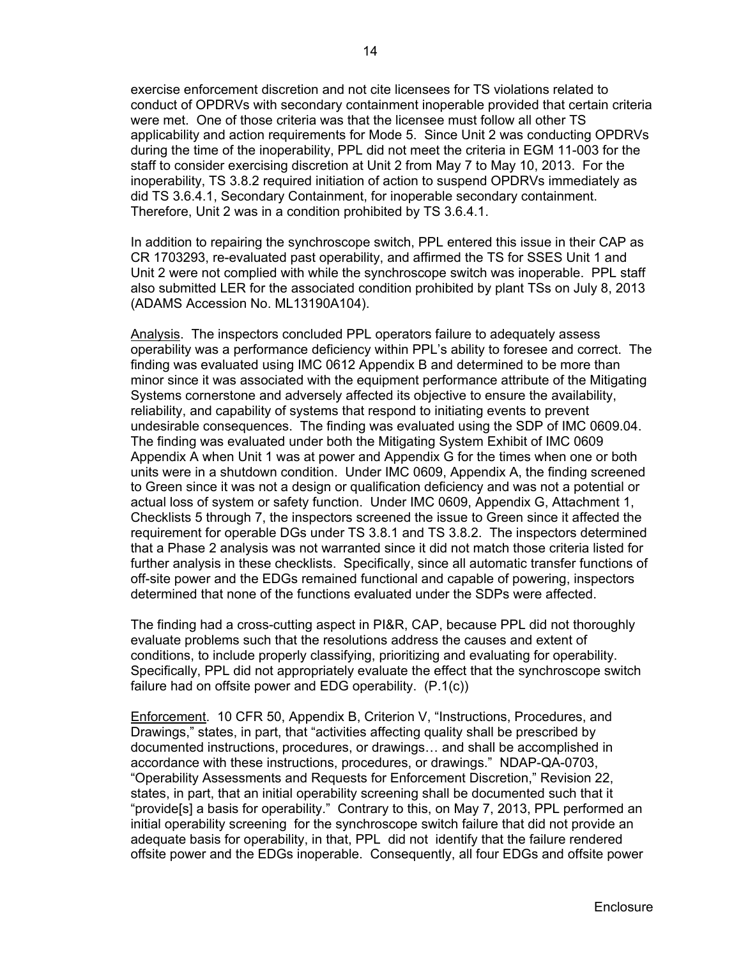exercise enforcement discretion and not cite licensees for TS violations related to conduct of OPDRVs with secondary containment inoperable provided that certain criteria were met. One of those criteria was that the licensee must follow all other TS applicability and action requirements for Mode 5. Since Unit 2 was conducting OPDRVs during the time of the inoperability, PPL did not meet the criteria in EGM 11-003 for the staff to consider exercising discretion at Unit 2 from May 7 to May 10, 2013. For the inoperability, TS 3.8.2 required initiation of action to suspend OPDRVs immediately as did TS 3.6.4.1, Secondary Containment, for inoperable secondary containment. Therefore, Unit 2 was in a condition prohibited by TS 3.6.4.1.

In addition to repairing the synchroscope switch, PPL entered this issue in their CAP as CR 1703293, re-evaluated past operability, and affirmed the TS for SSES Unit 1 and Unit 2 were not complied with while the synchroscope switch was inoperable. PPL staff also submitted LER for the associated condition prohibited by plant TSs on July 8, 2013 (ADAMS Accession No. ML13190A104).

Analysis. The inspectors concluded PPL operators failure to adequately assess operability was a performance deficiency within PPL's ability to foresee and correct. The finding was evaluated using IMC 0612 Appendix B and determined to be more than minor since it was associated with the equipment performance attribute of the Mitigating Systems cornerstone and adversely affected its objective to ensure the availability, reliability, and capability of systems that respond to initiating events to prevent undesirable consequences. The finding was evaluated using the SDP of IMC 0609.04. The finding was evaluated under both the Mitigating System Exhibit of IMC 0609 Appendix A when Unit 1 was at power and Appendix G for the times when one or both units were in a shutdown condition. Under IMC 0609, Appendix A, the finding screened to Green since it was not a design or qualification deficiency and was not a potential or actual loss of system or safety function. Under IMC 0609, Appendix G, Attachment 1, Checklists 5 through 7, the inspectors screened the issue to Green since it affected the requirement for operable DGs under TS 3.8.1 and TS 3.8.2. The inspectors determined that a Phase 2 analysis was not warranted since it did not match those criteria listed for further analysis in these checklists. Specifically, since all automatic transfer functions of off-site power and the EDGs remained functional and capable of powering, inspectors determined that none of the functions evaluated under the SDPs were affected.

The finding had a cross-cutting aspect in PI&R, CAP, because PPL did not thoroughly evaluate problems such that the resolutions address the causes and extent of conditions, to include properly classifying, prioritizing and evaluating for operability. Specifically, PPL did not appropriately evaluate the effect that the synchroscope switch failure had on offsite power and EDG operability. (P.1(c))

Enforcement. 10 CFR 50, Appendix B, Criterion V, "Instructions, Procedures, and Drawings," states, in part, that "activities affecting quality shall be prescribed by documented instructions, procedures, or drawings… and shall be accomplished in accordance with these instructions, procedures, or drawings." NDAP-QA-0703, "Operability Assessments and Requests for Enforcement Discretion," Revision 22, states, in part, that an initial operability screening shall be documented such that it "provide[s] a basis for operability." Contrary to this, on May 7, 2013, PPL performed an initial operability screening for the synchroscope switch failure that did not provide an adequate basis for operability, in that, PPL did not identify that the failure rendered offsite power and the EDGs inoperable. Consequently, all four EDGs and offsite power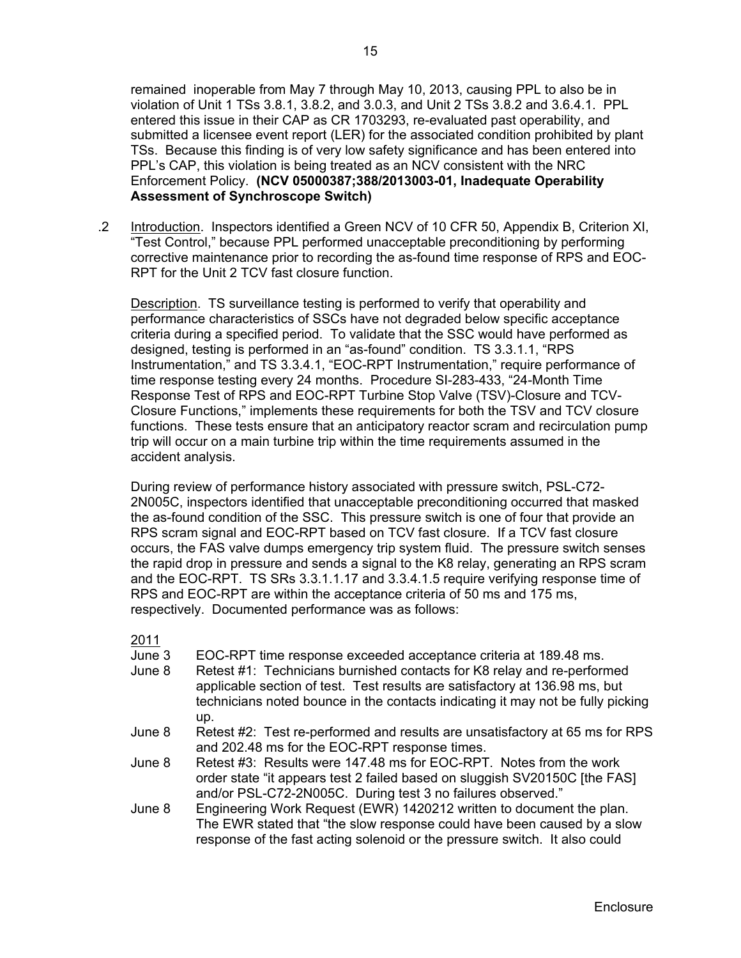remained inoperable from May 7 through May 10, 2013, causing PPL to also be in violation of Unit 1 TSs 3.8.1, 3.8.2, and 3.0.3, and Unit 2 TSs 3.8.2 and 3.6.4.1. PPL entered this issue in their CAP as CR 1703293, re-evaluated past operability, and submitted a licensee event report (LER) for the associated condition prohibited by plant TSs. Because this finding is of very low safety significance and has been entered into PPL's CAP, this violation is being treated as an NCV consistent with the NRC Enforcement Policy. **(NCV 05000387;388/2013003-01, Inadequate Operability Assessment of Synchroscope Switch)** 

.2 Introduction. Inspectors identified a Green NCV of 10 CFR 50, Appendix B, Criterion XI, "Test Control," because PPL performed unacceptable preconditioning by performing corrective maintenance prior to recording the as-found time response of RPS and EOC-RPT for the Unit 2 TCV fast closure function.

Description. TS surveillance testing is performed to verify that operability and performance characteristics of SSCs have not degraded below specific acceptance criteria during a specified period. To validate that the SSC would have performed as designed, testing is performed in an "as-found" condition. TS 3.3.1.1, "RPS Instrumentation," and TS 3.3.4.1, "EOC-RPT Instrumentation," require performance of time response testing every 24 months. Procedure SI-283-433, "24-Month Time Response Test of RPS and EOC-RPT Turbine Stop Valve (TSV)-Closure and TCV-Closure Functions," implements these requirements for both the TSV and TCV closure functions. These tests ensure that an anticipatory reactor scram and recirculation pump trip will occur on a main turbine trip within the time requirements assumed in the accident analysis.

During review of performance history associated with pressure switch, PSL-C72- 2N005C, inspectors identified that unacceptable preconditioning occurred that masked the as-found condition of the SSC. This pressure switch is one of four that provide an RPS scram signal and EOC-RPT based on TCV fast closure. If a TCV fast closure occurs, the FAS valve dumps emergency trip system fluid. The pressure switch senses the rapid drop in pressure and sends a signal to the K8 relay, generating an RPS scram and the EOC-RPT. TS SRs 3.3.1.1.17 and 3.3.4.1.5 require verifying response time of RPS and EOC-RPT are within the acceptance criteria of 50 ms and 175 ms, respectively. Documented performance was as follows:

2011

- June 3 EOC-RPT time response exceeded acceptance criteria at 189.48 ms.
- June 8 Retest #1: Technicians burnished contacts for K8 relay and re-performed applicable section of test. Test results are satisfactory at 136.98 ms, but technicians noted bounce in the contacts indicating it may not be fully picking up.
- June 8 Retest #2: Test re-performed and results are unsatisfactory at 65 ms for RPS and 202.48 ms for the EOC-RPT response times.
- June 8 Retest #3: Results were 147.48 ms for EOC-RPT. Notes from the work order state "it appears test 2 failed based on sluggish SV20150C [the FAS] and/or PSL-C72-2N005C. During test 3 no failures observed."
- June 8 Engineering Work Request (EWR) 1420212 written to document the plan. The EWR stated that "the slow response could have been caused by a slow response of the fast acting solenoid or the pressure switch. It also could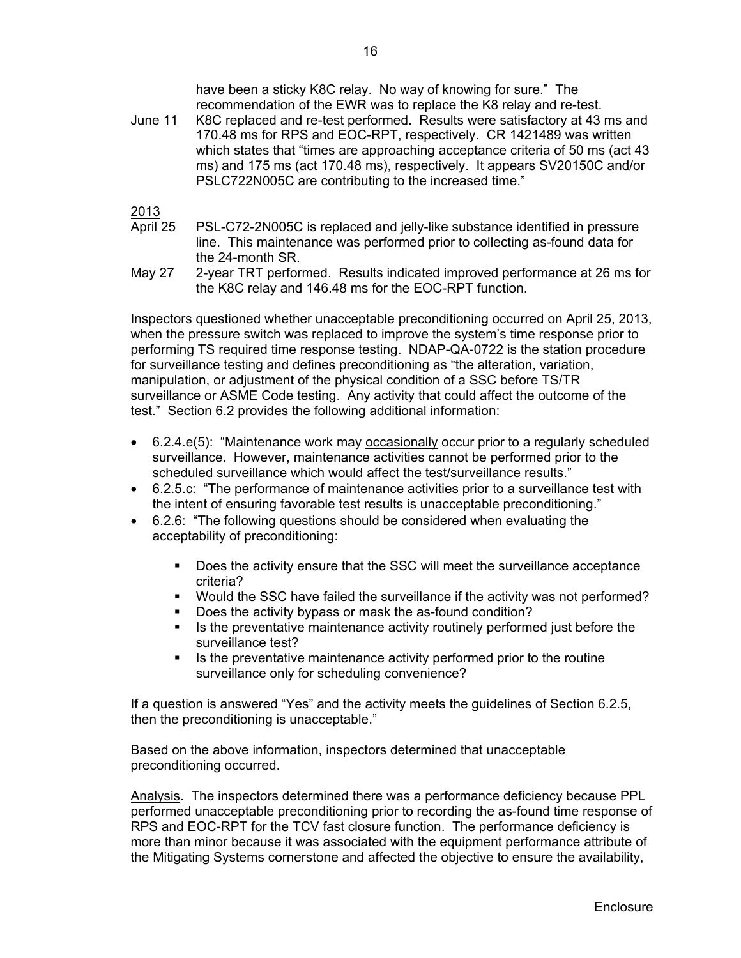have been a sticky K8C relay. No way of knowing for sure." The recommendation of the EWR was to replace the K8 relay and re-test.

June 11 K8C replaced and re-test performed. Results were satisfactory at 43 ms and 170.48 ms for RPS and EOC-RPT, respectively. CR 1421489 was written which states that "times are approaching acceptance criteria of 50 ms (act 43 ms) and 175 ms (act 170.48 ms), respectively. It appears SV20150C and/or PSLC722N005C are contributing to the increased time."

2013

- April 25 PSL-C72-2N005C is replaced and jelly-like substance identified in pressure line. This maintenance was performed prior to collecting as-found data for the 24-month SR.
- May 27 2-year TRT performed. Results indicated improved performance at 26 ms for the K8C relay and 146.48 ms for the EOC-RPT function.

Inspectors questioned whether unacceptable preconditioning occurred on April 25, 2013, when the pressure switch was replaced to improve the system's time response prior to performing TS required time response testing. NDAP-QA-0722 is the station procedure for surveillance testing and defines preconditioning as "the alteration, variation, manipulation, or adjustment of the physical condition of a SSC before TS/TR surveillance or ASME Code testing. Any activity that could affect the outcome of the test." Section 6.2 provides the following additional information:

- 6.2.4.e(5): "Maintenance work may occasionally occur prior to a regularly scheduled surveillance. However, maintenance activities cannot be performed prior to the scheduled surveillance which would affect the test/surveillance results."
- 6.2.5.c: "The performance of maintenance activities prior to a surveillance test with the intent of ensuring favorable test results is unacceptable preconditioning."
- 6.2.6: "The following questions should be considered when evaluating the acceptability of preconditioning:
	- Does the activity ensure that the SSC will meet the surveillance acceptance criteria?
	- Would the SSC have failed the surveillance if the activity was not performed?
	- Does the activity bypass or mask the as-found condition?
	- If Its the preventative maintenance activity routinely performed just before the surveillance test?
	- Is the preventative maintenance activity performed prior to the routine surveillance only for scheduling convenience?

If a question is answered "Yes" and the activity meets the guidelines of Section 6.2.5, then the preconditioning is unacceptable."

Based on the above information, inspectors determined that unacceptable preconditioning occurred.

Analysis. The inspectors determined there was a performance deficiency because PPL performed unacceptable preconditioning prior to recording the as-found time response of RPS and EOC-RPT for the TCV fast closure function. The performance deficiency is more than minor because it was associated with the equipment performance attribute of the Mitigating Systems cornerstone and affected the objective to ensure the availability,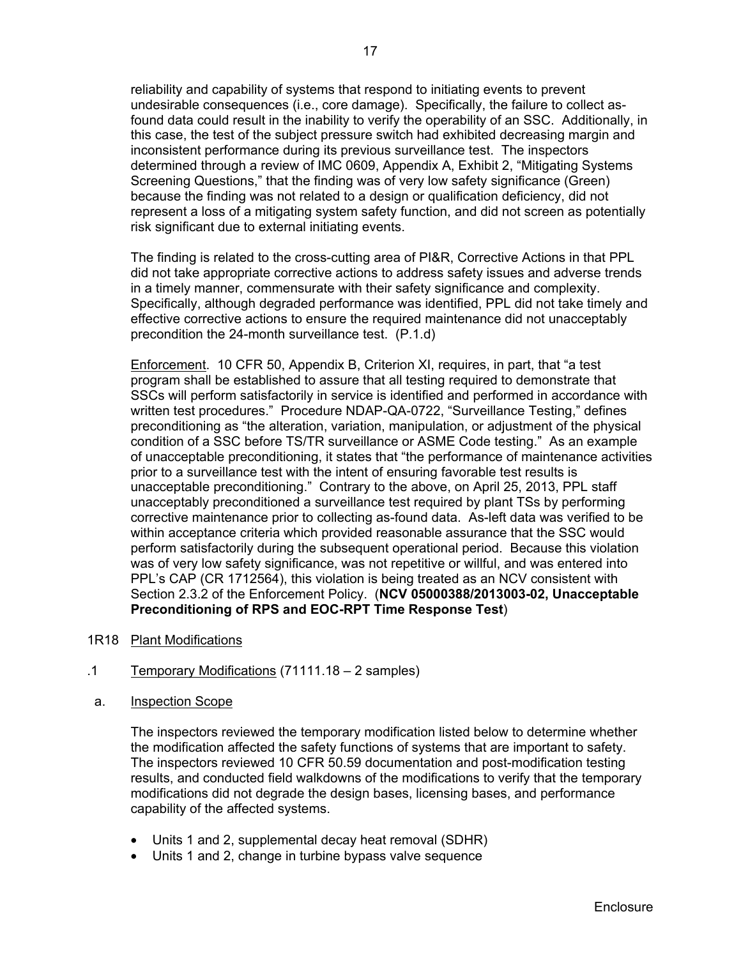reliability and capability of systems that respond to initiating events to prevent undesirable consequences (i.e., core damage). Specifically, the failure to collect asfound data could result in the inability to verify the operability of an SSC. Additionally, in this case, the test of the subject pressure switch had exhibited decreasing margin and inconsistent performance during its previous surveillance test. The inspectors determined through a review of IMC 0609, Appendix A, Exhibit 2, "Mitigating Systems Screening Questions," that the finding was of very low safety significance (Green) because the finding was not related to a design or qualification deficiency, did not represent a loss of a mitigating system safety function, and did not screen as potentially risk significant due to external initiating events.

The finding is related to the cross-cutting area of PI&R, Corrective Actions in that PPL did not take appropriate corrective actions to address safety issues and adverse trends in a timely manner, commensurate with their safety significance and complexity. Specifically, although degraded performance was identified, PPL did not take timely and effective corrective actions to ensure the required maintenance did not unacceptably precondition the 24-month surveillance test. (P.1.d)

Enforcement. 10 CFR 50, Appendix B, Criterion XI, requires, in part, that "a test program shall be established to assure that all testing required to demonstrate that SSCs will perform satisfactorily in service is identified and performed in accordance with written test procedures." Procedure NDAP-QA-0722, "Surveillance Testing," defines preconditioning as "the alteration, variation, manipulation, or adjustment of the physical condition of a SSC before TS/TR surveillance or ASME Code testing." As an example of unacceptable preconditioning, it states that "the performance of maintenance activities prior to a surveillance test with the intent of ensuring favorable test results is unacceptable preconditioning." Contrary to the above, on April 25, 2013, PPL staff unacceptably preconditioned a surveillance test required by plant TSs by performing corrective maintenance prior to collecting as-found data. As-left data was verified to be within acceptance criteria which provided reasonable assurance that the SSC would perform satisfactorily during the subsequent operational period. Because this violation was of very low safety significance, was not repetitive or willful, and was entered into PPL's CAP (CR 1712564), this violation is being treated as an NCV consistent with Section 2.3.2 of the Enforcement Policy. (**NCV 05000388/2013003-02, Unacceptable Preconditioning of RPS and EOC-RPT Time Response Test**)

- 1R18 Plant Modifications
- .1 Temporary Modifications (71111.18 2 samples)
- a. Inspection Scope

The inspectors reviewed the temporary modification listed below to determine whether the modification affected the safety functions of systems that are important to safety. The inspectors reviewed 10 CFR 50.59 documentation and post-modification testing results, and conducted field walkdowns of the modifications to verify that the temporary modifications did not degrade the design bases, licensing bases, and performance capability of the affected systems.

- Units 1 and 2, supplemental decay heat removal (SDHR)
- Units 1 and 2, change in turbine bypass valve sequence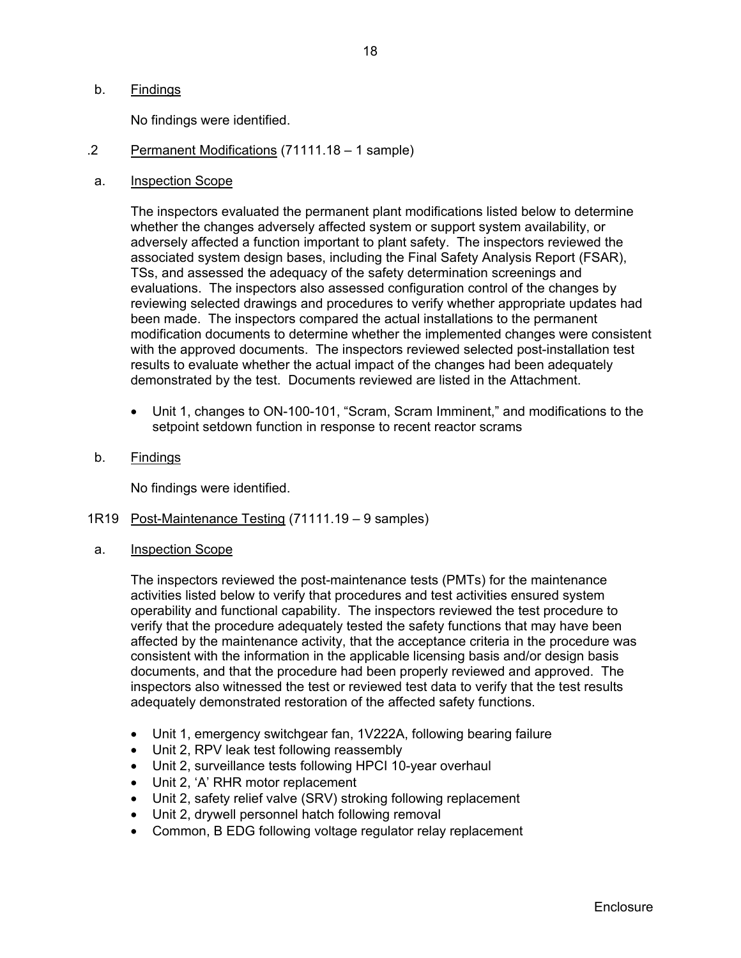### b. Findings

No findings were identified.

- .2 Permanent Modifications (71111.18 1 sample)
- a. Inspection Scope

The inspectors evaluated the permanent plant modifications listed below to determine whether the changes adversely affected system or support system availability, or adversely affected a function important to plant safety. The inspectors reviewed the associated system design bases, including the Final Safety Analysis Report (FSAR), TSs, and assessed the adequacy of the safety determination screenings and evaluations. The inspectors also assessed configuration control of the changes by reviewing selected drawings and procedures to verify whether appropriate updates had been made. The inspectors compared the actual installations to the permanent modification documents to determine whether the implemented changes were consistent with the approved documents. The inspectors reviewed selected post-installation test results to evaluate whether the actual impact of the changes had been adequately demonstrated by the test. Documents reviewed are listed in the Attachment.

- Unit 1, changes to ON-100-101, "Scram, Scram Imminent," and modifications to the setpoint setdown function in response to recent reactor scrams
- b. Findings

No findings were identified.

- 1R19 Post-Maintenance Testing (71111.19 9 samples)
- a. Inspection Scope

The inspectors reviewed the post-maintenance tests (PMTs) for the maintenance activities listed below to verify that procedures and test activities ensured system operability and functional capability. The inspectors reviewed the test procedure to verify that the procedure adequately tested the safety functions that may have been affected by the maintenance activity, that the acceptance criteria in the procedure was consistent with the information in the applicable licensing basis and/or design basis documents, and that the procedure had been properly reviewed and approved. The inspectors also witnessed the test or reviewed test data to verify that the test results adequately demonstrated restoration of the affected safety functions.

- Unit 1, emergency switchgear fan, 1V222A, following bearing failure
- Unit 2, RPV leak test following reassembly
- Unit 2, surveillance tests following HPCI 10-year overhaul
- Unit 2, 'A' RHR motor replacement
- Unit 2, safety relief valve (SRV) stroking following replacement
- Unit 2, drywell personnel hatch following removal
- Common, B EDG following voltage regulator relay replacement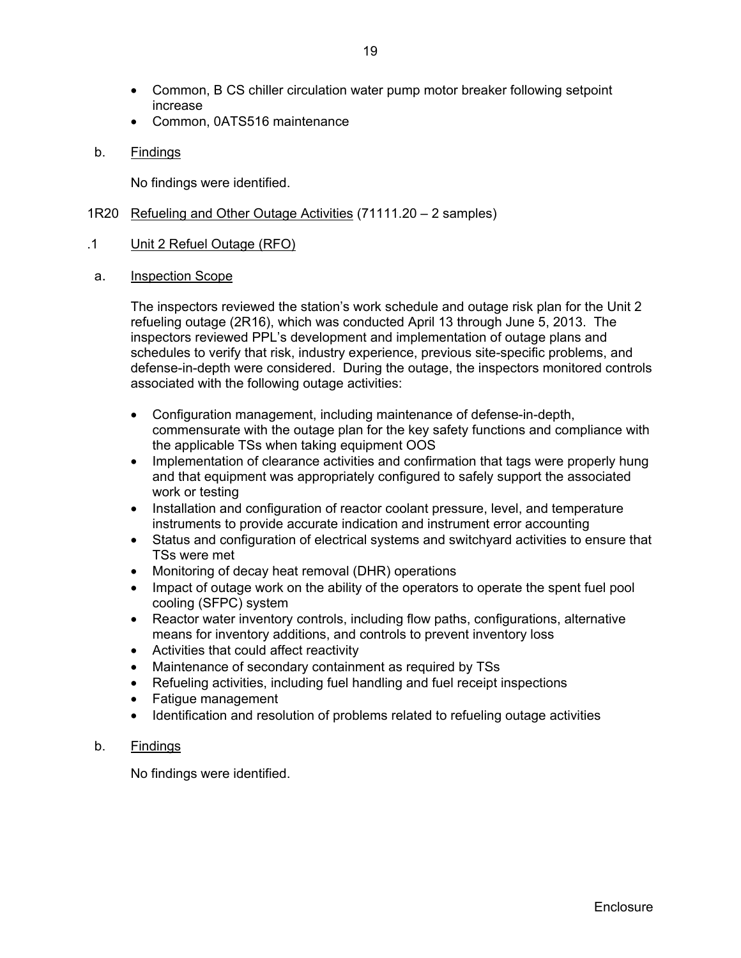- Common, B CS chiller circulation water pump motor breaker following setpoint increase
- Common, 0ATS516 maintenance
- b. Findings

No findings were identified.

- 1R20 Refueling and Other Outage Activities (71111.20 2 samples)
- .1 Unit 2 Refuel Outage (RFO)
- a. Inspection Scope

The inspectors reviewed the station's work schedule and outage risk plan for the Unit 2 refueling outage (2R16), which was conducted April 13 through June 5, 2013. The inspectors reviewed PPL's development and implementation of outage plans and schedules to verify that risk, industry experience, previous site-specific problems, and defense-in-depth were considered. During the outage, the inspectors monitored controls associated with the following outage activities:

- Configuration management, including maintenance of defense-in-depth, commensurate with the outage plan for the key safety functions and compliance with the applicable TSs when taking equipment OOS
- Implementation of clearance activities and confirmation that tags were properly hung and that equipment was appropriately configured to safely support the associated work or testing
- Installation and configuration of reactor coolant pressure, level, and temperature instruments to provide accurate indication and instrument error accounting
- Status and configuration of electrical systems and switchyard activities to ensure that TSs were met
- Monitoring of decay heat removal (DHR) operations
- Impact of outage work on the ability of the operators to operate the spent fuel pool cooling (SFPC) system
- Reactor water inventory controls, including flow paths, configurations, alternative means for inventory additions, and controls to prevent inventory loss
- Activities that could affect reactivity
- Maintenance of secondary containment as required by TSs
- Refueling activities, including fuel handling and fuel receipt inspections
- Fatigue management
- Identification and resolution of problems related to refueling outage activities
- b. Findings

No findings were identified.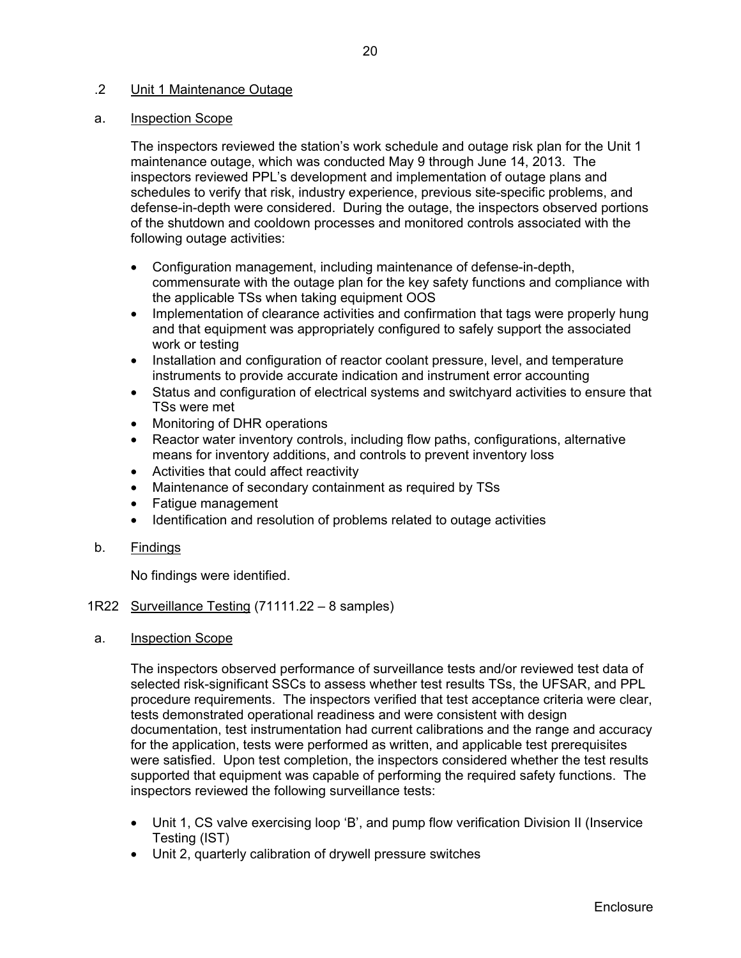## .2 Unit 1 Maintenance Outage

## a. Inspection Scope

The inspectors reviewed the station's work schedule and outage risk plan for the Unit 1 maintenance outage, which was conducted May 9 through June 14, 2013. The inspectors reviewed PPL's development and implementation of outage plans and schedules to verify that risk, industry experience, previous site-specific problems, and defense-in-depth were considered. During the outage, the inspectors observed portions of the shutdown and cooldown processes and monitored controls associated with the following outage activities:

- Configuration management, including maintenance of defense-in-depth, commensurate with the outage plan for the key safety functions and compliance with the applicable TSs when taking equipment OOS
- Implementation of clearance activities and confirmation that tags were properly hung and that equipment was appropriately configured to safely support the associated work or testing
- Installation and configuration of reactor coolant pressure, level, and temperature instruments to provide accurate indication and instrument error accounting
- Status and configuration of electrical systems and switchyard activities to ensure that TSs were met
- Monitoring of DHR operations
- Reactor water inventory controls, including flow paths, configurations, alternative means for inventory additions, and controls to prevent inventory loss
- Activities that could affect reactivity
- Maintenance of secondary containment as required by TSs
- Fatigue management
- Identification and resolution of problems related to outage activities
- b. Findings

No findings were identified.

## 1R22 Surveillance Testing (71111.22 – 8 samples)

## a. Inspection Scope

The inspectors observed performance of surveillance tests and/or reviewed test data of selected risk-significant SSCs to assess whether test results TSs, the UFSAR, and PPL procedure requirements. The inspectors verified that test acceptance criteria were clear, tests demonstrated operational readiness and were consistent with design documentation, test instrumentation had current calibrations and the range and accuracy for the application, tests were performed as written, and applicable test prerequisites were satisfied. Upon test completion, the inspectors considered whether the test results supported that equipment was capable of performing the required safety functions. The inspectors reviewed the following surveillance tests:

- Unit 1, CS valve exercising loop 'B', and pump flow verification Division II (Inservice Testing (IST)
- Unit 2, quarterly calibration of drywell pressure switches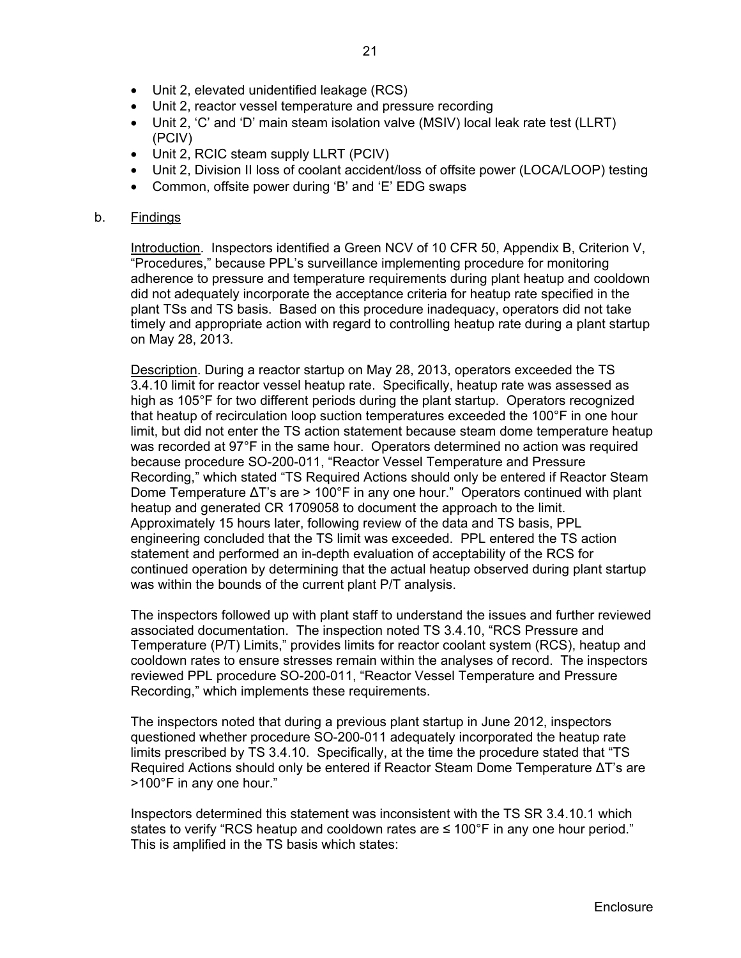- Unit 2, elevated unidentified leakage (RCS)
- Unit 2, reactor vessel temperature and pressure recording
- Unit 2, 'C' and 'D' main steam isolation valve (MSIV) local leak rate test (LLRT) (PCIV)
- Unit 2, RCIC steam supply LLRT (PCIV)
- Unit 2, Division II loss of coolant accident/loss of offsite power (LOCA/LOOP) testing
- Common, offsite power during 'B' and 'E' EDG swaps

## b. Findings

Introduction. Inspectors identified a Green NCV of 10 CFR 50, Appendix B, Criterion V, "Procedures," because PPL's surveillance implementing procedure for monitoring adherence to pressure and temperature requirements during plant heatup and cooldown did not adequately incorporate the acceptance criteria for heatup rate specified in the plant TSs and TS basis. Based on this procedure inadequacy, operators did not take timely and appropriate action with regard to controlling heatup rate during a plant startup on May 28, 2013.

Description. During a reactor startup on May 28, 2013, operators exceeded the TS 3.4.10 limit for reactor vessel heatup rate. Specifically, heatup rate was assessed as high as 105°F for two different periods during the plant startup. Operators recognized that heatup of recirculation loop suction temperatures exceeded the 100°F in one hour limit, but did not enter the TS action statement because steam dome temperature heatup was recorded at 97°F in the same hour. Operators determined no action was required because procedure SO-200-011, "Reactor Vessel Temperature and Pressure Recording," which stated "TS Required Actions should only be entered if Reactor Steam Dome Temperature  $\Delta T$ 's are > 100°F in any one hour." Operators continued with plant heatup and generated CR 1709058 to document the approach to the limit. Approximately 15 hours later, following review of the data and TS basis, PPL engineering concluded that the TS limit was exceeded. PPL entered the TS action statement and performed an in-depth evaluation of acceptability of the RCS for continued operation by determining that the actual heatup observed during plant startup was within the bounds of the current plant P/T analysis.

The inspectors followed up with plant staff to understand the issues and further reviewed associated documentation. The inspection noted TS 3.4.10, "RCS Pressure and Temperature (P/T) Limits," provides limits for reactor coolant system (RCS), heatup and cooldown rates to ensure stresses remain within the analyses of record. The inspectors reviewed PPL procedure SO-200-011, "Reactor Vessel Temperature and Pressure Recording," which implements these requirements.

The inspectors noted that during a previous plant startup in June 2012, inspectors questioned whether procedure SO-200-011 adequately incorporated the heatup rate limits prescribed by TS 3.4.10. Specifically, at the time the procedure stated that "TS Required Actions should only be entered if Reactor Steam Dome Temperature ΔT's are >100°F in any one hour."

Inspectors determined this statement was inconsistent with the TS SR 3.4.10.1 which states to verify "RCS heatup and cooldown rates are  $\leq 100^{\circ}$ F in any one hour period." This is amplified in the TS basis which states: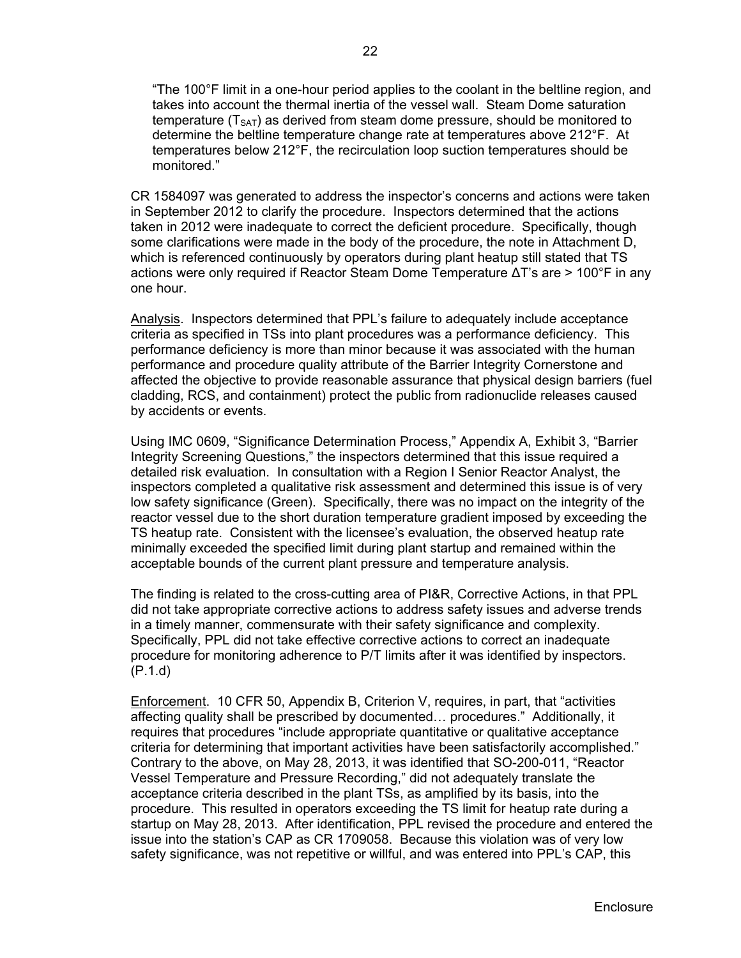"The 100°F limit in a one-hour period applies to the coolant in the beltline region, and takes into account the thermal inertia of the vessel wall. Steam Dome saturation temperature  $(T<sub>SAT</sub>)$  as derived from steam dome pressure, should be monitored to determine the beltline temperature change rate at temperatures above 212°F. At temperatures below 212°F, the recirculation loop suction temperatures should be monitored."

CR 1584097 was generated to address the inspector's concerns and actions were taken in September 2012 to clarify the procedure. Inspectors determined that the actions taken in 2012 were inadequate to correct the deficient procedure. Specifically, though some clarifications were made in the body of the procedure, the note in Attachment D, which is referenced continuously by operators during plant heatup still stated that TS actions were only required if Reactor Steam Dome Temperature ΔT's are > 100°F in any one hour.

Analysis. Inspectors determined that PPL's failure to adequately include acceptance criteria as specified in TSs into plant procedures was a performance deficiency. This performance deficiency is more than minor because it was associated with the human performance and procedure quality attribute of the Barrier Integrity Cornerstone and affected the objective to provide reasonable assurance that physical design barriers (fuel cladding, RCS, and containment) protect the public from radionuclide releases caused by accidents or events.

Using IMC 0609, "Significance Determination Process," Appendix A, Exhibit 3, "Barrier Integrity Screening Questions," the inspectors determined that this issue required a detailed risk evaluation. In consultation with a Region I Senior Reactor Analyst, the inspectors completed a qualitative risk assessment and determined this issue is of very low safety significance (Green). Specifically, there was no impact on the integrity of the reactor vessel due to the short duration temperature gradient imposed by exceeding the TS heatup rate. Consistent with the licensee's evaluation, the observed heatup rate minimally exceeded the specified limit during plant startup and remained within the acceptable bounds of the current plant pressure and temperature analysis.

The finding is related to the cross-cutting area of PI&R, Corrective Actions, in that PPL did not take appropriate corrective actions to address safety issues and adverse trends in a timely manner, commensurate with their safety significance and complexity. Specifically, PPL did not take effective corrective actions to correct an inadequate procedure for monitoring adherence to P/T limits after it was identified by inspectors. (P.1.d)

 Enforcement. 10 CFR 50, Appendix B, Criterion V, requires, in part, that "activities affecting quality shall be prescribed by documented… procedures." Additionally, it requires that procedures "include appropriate quantitative or qualitative acceptance criteria for determining that important activities have been satisfactorily accomplished." Contrary to the above, on May 28, 2013, it was identified that SO-200-011, "Reactor Vessel Temperature and Pressure Recording," did not adequately translate the acceptance criteria described in the plant TSs, as amplified by its basis, into the procedure. This resulted in operators exceeding the TS limit for heatup rate during a startup on May 28, 2013. After identification, PPL revised the procedure and entered the issue into the station's CAP as CR 1709058. Because this violation was of very low safety significance, was not repetitive or willful, and was entered into PPL's CAP, this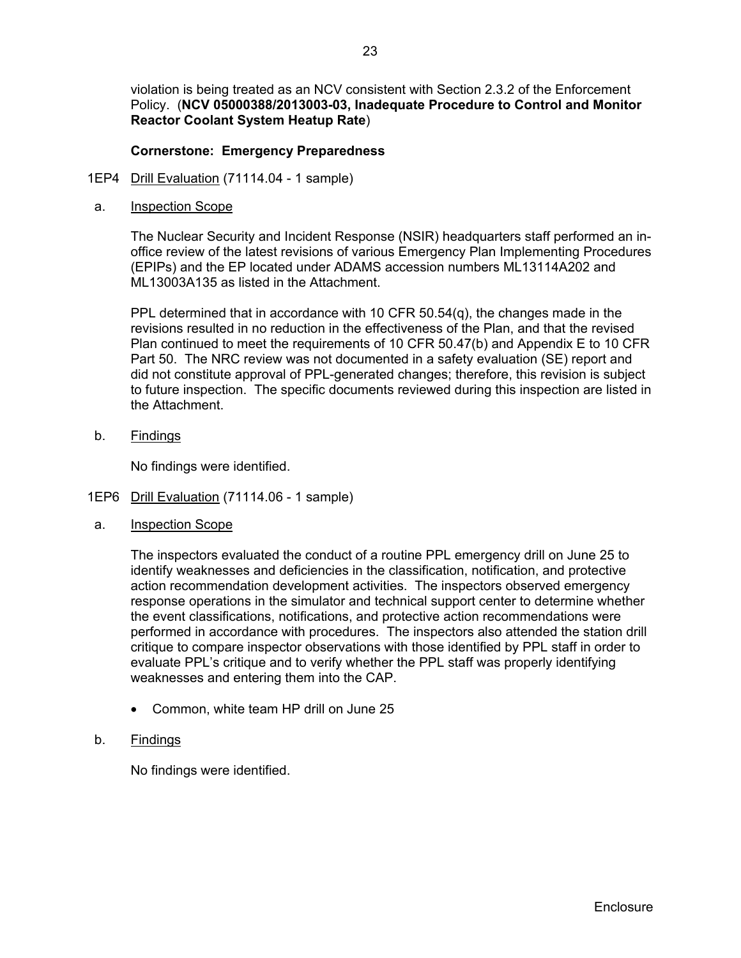violation is being treated as an NCV consistent with Section 2.3.2 of the Enforcement Policy. (**NCV 05000388/2013003-03, Inadequate Procedure to Control and Monitor Reactor Coolant System Heatup Rate**)

## **Cornerstone: Emergency Preparedness**

- 1EP4 Drill Evaluation (71114.04 1 sample)
- a. Inspection Scope

The Nuclear Security and Incident Response (NSIR) headquarters staff performed an inoffice review of the latest revisions of various Emergency Plan Implementing Procedures (EPIPs) and the EP located under ADAMS accession numbers ML13114A202 and ML13003A135 as listed in the Attachment.

PPL determined that in accordance with 10 CFR 50.54(q), the changes made in the revisions resulted in no reduction in the effectiveness of the Plan, and that the revised Plan continued to meet the requirements of 10 CFR 50.47(b) and Appendix E to 10 CFR Part 50. The NRC review was not documented in a safety evaluation (SE) report and did not constitute approval of PPL-generated changes; therefore, this revision is subject to future inspection. The specific documents reviewed during this inspection are listed in the Attachment.

b. Findings

No findings were identified.

- 1EP6 Drill Evaluation (71114.06 1 sample)
- a. Inspection Scope

The inspectors evaluated the conduct of a routine PPL emergency drill on June 25 to identify weaknesses and deficiencies in the classification, notification, and protective action recommendation development activities. The inspectors observed emergency response operations in the simulator and technical support center to determine whether the event classifications, notifications, and protective action recommendations were performed in accordance with procedures. The inspectors also attended the station drill critique to compare inspector observations with those identified by PPL staff in order to evaluate PPL's critique and to verify whether the PPL staff was properly identifying weaknesses and entering them into the CAP.

- Common, white team HP drill on June 25
- b. Findings

No findings were identified.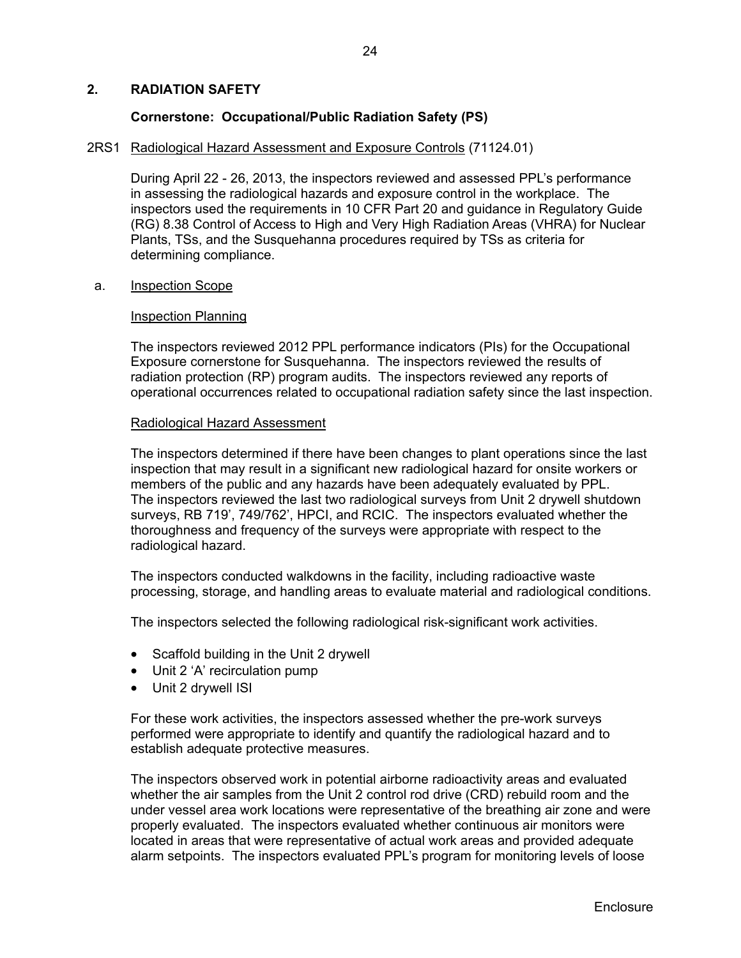## **2. RADIATION SAFETY**

## **Cornerstone: Occupational/Public Radiation Safety (PS)**

#### 2RS1 Radiological Hazard Assessment and Exposure Controls (71124.01)

During April 22 - 26, 2013, the inspectors reviewed and assessed PPL's performance in assessing the radiological hazards and exposure control in the workplace. The inspectors used the requirements in 10 CFR Part 20 and guidance in Regulatory Guide (RG) 8.38 Control of Access to High and Very High Radiation Areas (VHRA) for Nuclear Plants, TSs, and the Susquehanna procedures required by TSs as criteria for determining compliance.

### a. Inspection Scope

### Inspection Planning

The inspectors reviewed 2012 PPL performance indicators (PIs) for the Occupational Exposure cornerstone for Susquehanna. The inspectors reviewed the results of radiation protection (RP) program audits. The inspectors reviewed any reports of operational occurrences related to occupational radiation safety since the last inspection.

### Radiological Hazard Assessment

The inspectors determined if there have been changes to plant operations since the last inspection that may result in a significant new radiological hazard for onsite workers or members of the public and any hazards have been adequately evaluated by PPL. The inspectors reviewed the last two radiological surveys from Unit 2 drywell shutdown surveys, RB 719', 749/762', HPCI, and RCIC. The inspectors evaluated whether the thoroughness and frequency of the surveys were appropriate with respect to the radiological hazard.

The inspectors conducted walkdowns in the facility, including radioactive waste processing, storage, and handling areas to evaluate material and radiological conditions.

The inspectors selected the following radiological risk-significant work activities.

- Scaffold building in the Unit 2 drywell
- Unit 2 'A' recirculation pump
- Unit 2 drywell ISI

For these work activities, the inspectors assessed whether the pre-work surveys performed were appropriate to identify and quantify the radiological hazard and to establish adequate protective measures.

The inspectors observed work in potential airborne radioactivity areas and evaluated whether the air samples from the Unit 2 control rod drive (CRD) rebuild room and the under vessel area work locations were representative of the breathing air zone and were properly evaluated. The inspectors evaluated whether continuous air monitors were located in areas that were representative of actual work areas and provided adequate alarm setpoints. The inspectors evaluated PPL's program for monitoring levels of loose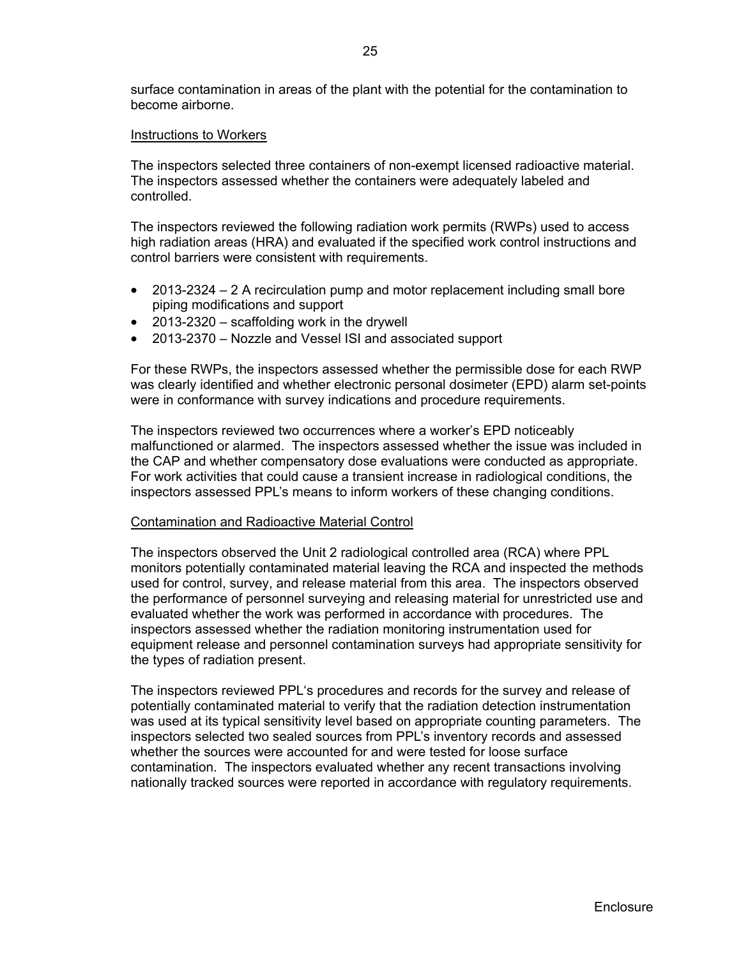surface contamination in areas of the plant with the potential for the contamination to become airborne.

#### Instructions to Workers

The inspectors selected three containers of non-exempt licensed radioactive material. The inspectors assessed whether the containers were adequately labeled and controlled.

The inspectors reviewed the following radiation work permits (RWPs) used to access high radiation areas (HRA) and evaluated if the specified work control instructions and control barriers were consistent with requirements.

- 2013-2324 2 A recirculation pump and motor replacement including small bore piping modifications and support
- 2013-2320 scaffolding work in the drywell
- 2013-2370 Nozzle and Vessel ISI and associated support

For these RWPs, the inspectors assessed whether the permissible dose for each RWP was clearly identified and whether electronic personal dosimeter (EPD) alarm set-points were in conformance with survey indications and procedure requirements.

The inspectors reviewed two occurrences where a worker's EPD noticeably malfunctioned or alarmed. The inspectors assessed whether the issue was included in the CAP and whether compensatory dose evaluations were conducted as appropriate. For work activities that could cause a transient increase in radiological conditions, the inspectors assessed PPL's means to inform workers of these changing conditions.

#### Contamination and Radioactive Material Control

The inspectors observed the Unit 2 radiological controlled area (RCA) where PPL monitors potentially contaminated material leaving the RCA and inspected the methods used for control, survey, and release material from this area. The inspectors observed the performance of personnel surveying and releasing material for unrestricted use and evaluated whether the work was performed in accordance with procedures. The inspectors assessed whether the radiation monitoring instrumentation used for equipment release and personnel contamination surveys had appropriate sensitivity for the types of radiation present.

The inspectors reviewed PPL's procedures and records for the survey and release of potentially contaminated material to verify that the radiation detection instrumentation was used at its typical sensitivity level based on appropriate counting parameters. The inspectors selected two sealed sources from PPL's inventory records and assessed whether the sources were accounted for and were tested for loose surface contamination. The inspectors evaluated whether any recent transactions involving nationally tracked sources were reported in accordance with regulatory requirements.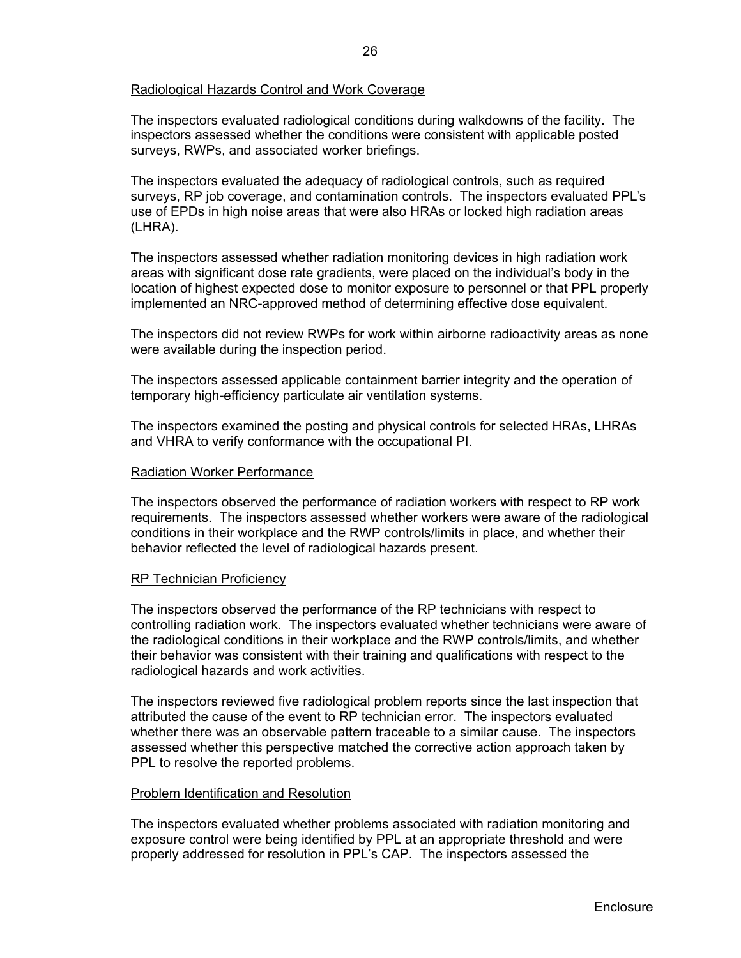## Radiological Hazards Control and Work Coverage

The inspectors evaluated radiological conditions during walkdowns of the facility. The inspectors assessed whether the conditions were consistent with applicable posted surveys, RWPs, and associated worker briefings.

The inspectors evaluated the adequacy of radiological controls, such as required surveys, RP job coverage, and contamination controls. The inspectors evaluated PPL's use of EPDs in high noise areas that were also HRAs or locked high radiation areas (LHRA).

The inspectors assessed whether radiation monitoring devices in high radiation work areas with significant dose rate gradients, were placed on the individual's body in the location of highest expected dose to monitor exposure to personnel or that PPL properly implemented an NRC-approved method of determining effective dose equivalent.

The inspectors did not review RWPs for work within airborne radioactivity areas as none were available during the inspection period.

The inspectors assessed applicable containment barrier integrity and the operation of temporary high-efficiency particulate air ventilation systems.

The inspectors examined the posting and physical controls for selected HRAs, LHRAs and VHRA to verify conformance with the occupational PI.

#### Radiation Worker Performance

The inspectors observed the performance of radiation workers with respect to RP work requirements. The inspectors assessed whether workers were aware of the radiological conditions in their workplace and the RWP controls/limits in place, and whether their behavior reflected the level of radiological hazards present.

#### RP Technician Proficiency

The inspectors observed the performance of the RP technicians with respect to controlling radiation work. The inspectors evaluated whether technicians were aware of the radiological conditions in their workplace and the RWP controls/limits, and whether their behavior was consistent with their training and qualifications with respect to the radiological hazards and work activities.

The inspectors reviewed five radiological problem reports since the last inspection that attributed the cause of the event to RP technician error. The inspectors evaluated whether there was an observable pattern traceable to a similar cause. The inspectors assessed whether this perspective matched the corrective action approach taken by PPL to resolve the reported problems.

### Problem Identification and Resolution

The inspectors evaluated whether problems associated with radiation monitoring and exposure control were being identified by PPL at an appropriate threshold and were properly addressed for resolution in PPL's CAP. The inspectors assessed the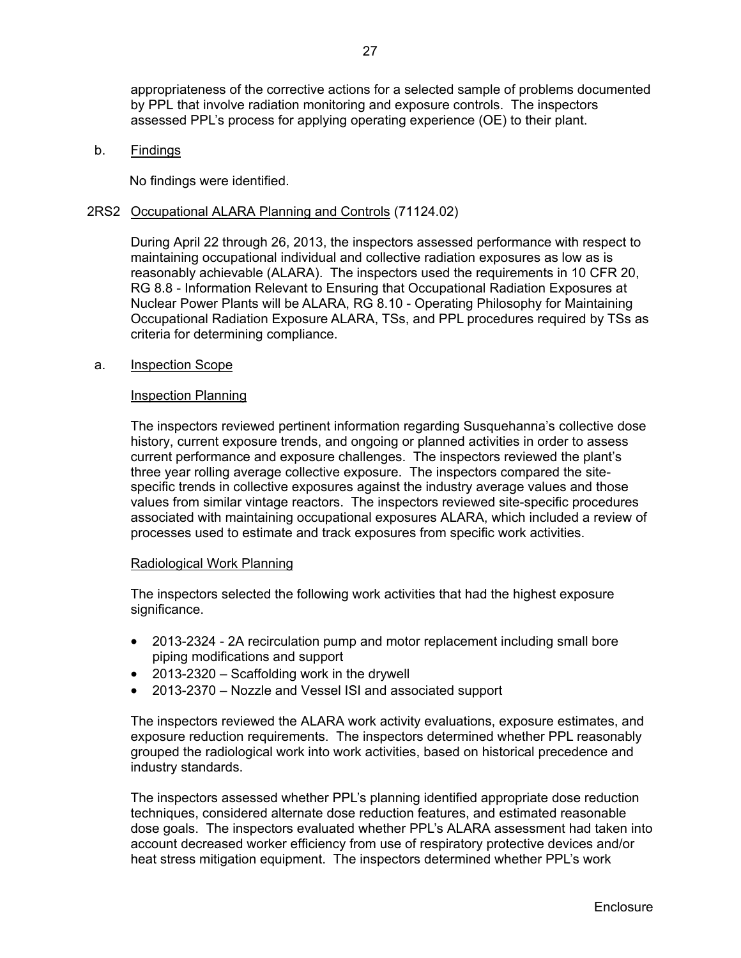appropriateness of the corrective actions for a selected sample of problems documented by PPL that involve radiation monitoring and exposure controls. The inspectors assessed PPL's process for applying operating experience (OE) to their plant.

b. Findings

No findings were identified.

### 2RS2 Occupational ALARA Planning and Controls (71124.02)

During April 22 through 26, 2013, the inspectors assessed performance with respect to maintaining occupational individual and collective radiation exposures as low as is reasonably achievable (ALARA). The inspectors used the requirements in 10 CFR 20, RG 8.8 - Information Relevant to Ensuring that Occupational Radiation Exposures at Nuclear Power Plants will be ALARA, RG 8.10 - Operating Philosophy for Maintaining Occupational Radiation Exposure ALARA, TSs, and PPL procedures required by TSs as criteria for determining compliance.

#### a. Inspection Scope

#### Inspection Planning

The inspectors reviewed pertinent information regarding Susquehanna's collective dose history, current exposure trends, and ongoing or planned activities in order to assess current performance and exposure challenges. The inspectors reviewed the plant's three year rolling average collective exposure. The inspectors compared the sitespecific trends in collective exposures against the industry average values and those values from similar vintage reactors. The inspectors reviewed site-specific procedures associated with maintaining occupational exposures ALARA, which included a review of processes used to estimate and track exposures from specific work activities.

#### Radiological Work Planning

The inspectors selected the following work activities that had the highest exposure significance.

- 2013-2324 2A recirculation pump and motor replacement including small bore piping modifications and support
- 2013-2320 Scaffolding work in the drywell
- 2013-2370 Nozzle and Vessel ISI and associated support

The inspectors reviewed the ALARA work activity evaluations, exposure estimates, and exposure reduction requirements. The inspectors determined whether PPL reasonably grouped the radiological work into work activities, based on historical precedence and industry standards.

The inspectors assessed whether PPL's planning identified appropriate dose reduction techniques, considered alternate dose reduction features, and estimated reasonable dose goals. The inspectors evaluated whether PPL's ALARA assessment had taken into account decreased worker efficiency from use of respiratory protective devices and/or heat stress mitigation equipment. The inspectors determined whether PPL's work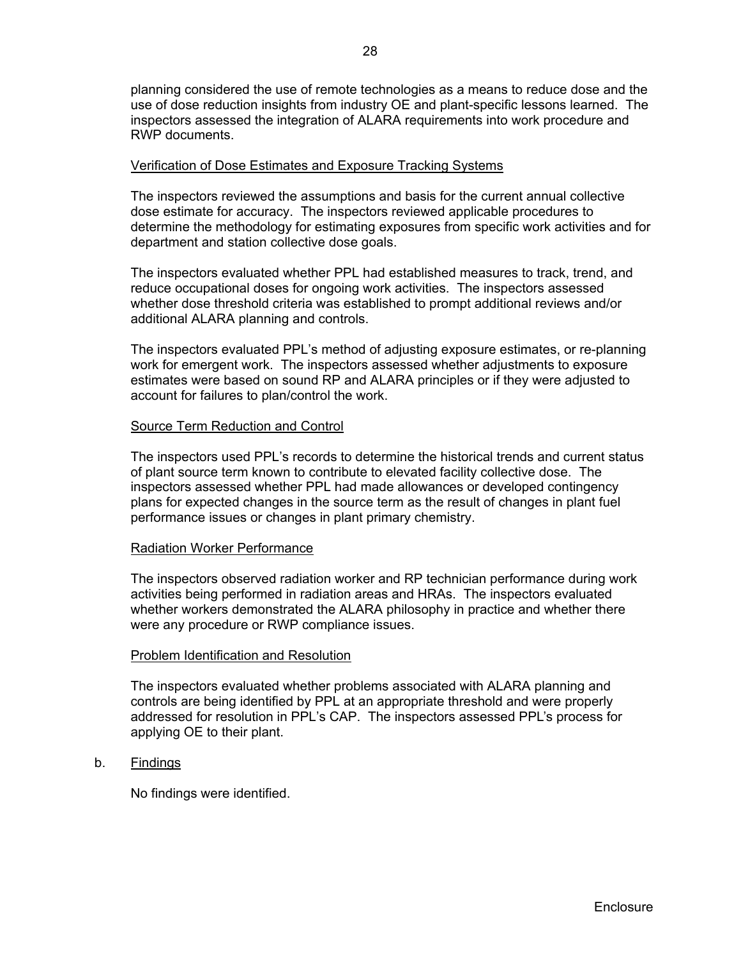planning considered the use of remote technologies as a means to reduce dose and the use of dose reduction insights from industry OE and plant-specific lessons learned. The inspectors assessed the integration of ALARA requirements into work procedure and RWP documents.

### Verification of Dose Estimates and Exposure Tracking Systems

The inspectors reviewed the assumptions and basis for the current annual collective dose estimate for accuracy. The inspectors reviewed applicable procedures to determine the methodology for estimating exposures from specific work activities and for department and station collective dose goals.

The inspectors evaluated whether PPL had established measures to track, trend, and reduce occupational doses for ongoing work activities. The inspectors assessed whether dose threshold criteria was established to prompt additional reviews and/or additional ALARA planning and controls.

The inspectors evaluated PPL's method of adjusting exposure estimates, or re-planning work for emergent work. The inspectors assessed whether adjustments to exposure estimates were based on sound RP and ALARA principles or if they were adjusted to account for failures to plan/control the work.

### Source Term Reduction and Control

The inspectors used PPL's records to determine the historical trends and current status of plant source term known to contribute to elevated facility collective dose. The inspectors assessed whether PPL had made allowances or developed contingency plans for expected changes in the source term as the result of changes in plant fuel performance issues or changes in plant primary chemistry.

#### Radiation Worker Performance

The inspectors observed radiation worker and RP technician performance during work activities being performed in radiation areas and HRAs. The inspectors evaluated whether workers demonstrated the ALARA philosophy in practice and whether there were any procedure or RWP compliance issues.

#### Problem Identification and Resolution

The inspectors evaluated whether problems associated with ALARA planning and controls are being identified by PPL at an appropriate threshold and were properly addressed for resolution in PPL's CAP. The inspectors assessed PPL's process for applying OE to their plant.

b. Findings

No findings were identified.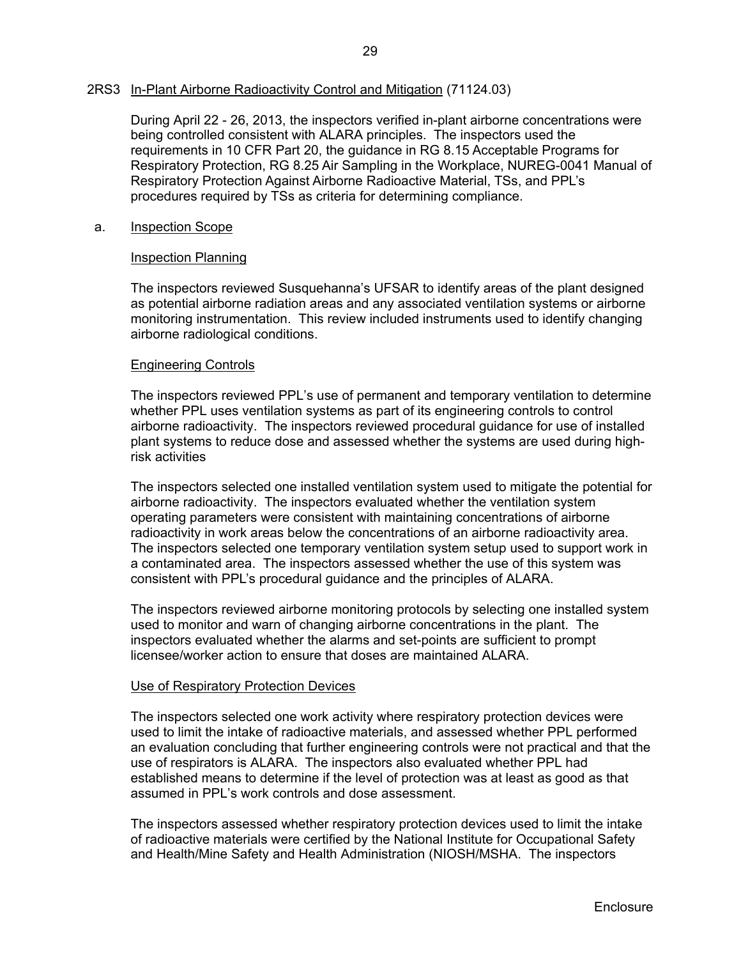### 2RS3 In-Plant Airborne Radioactivity Control and Mitigation (71124.03)

During April 22 - 26, 2013, the inspectors verified in-plant airborne concentrations were being controlled consistent with ALARA principles. The inspectors used the requirements in 10 CFR Part 20, the guidance in RG 8.15 Acceptable Programs for Respiratory Protection, RG 8.25 Air Sampling in the Workplace, NUREG-0041 Manual of Respiratory Protection Against Airborne Radioactive Material, TSs, and PPL's procedures required by TSs as criteria for determining compliance.

### a. Inspection Scope

### Inspection Planning

The inspectors reviewed Susquehanna's UFSAR to identify areas of the plant designed as potential airborne radiation areas and any associated ventilation systems or airborne monitoring instrumentation. This review included instruments used to identify changing airborne radiological conditions.

### Engineering Controls

The inspectors reviewed PPL's use of permanent and temporary ventilation to determine whether PPL uses ventilation systems as part of its engineering controls to control airborne radioactivity. The inspectors reviewed procedural guidance for use of installed plant systems to reduce dose and assessed whether the systems are used during highrisk activities

The inspectors selected one installed ventilation system used to mitigate the potential for airborne radioactivity. The inspectors evaluated whether the ventilation system operating parameters were consistent with maintaining concentrations of airborne radioactivity in work areas below the concentrations of an airborne radioactivity area. The inspectors selected one temporary ventilation system setup used to support work in a contaminated area. The inspectors assessed whether the use of this system was consistent with PPL's procedural guidance and the principles of ALARA.

The inspectors reviewed airborne monitoring protocols by selecting one installed system used to monitor and warn of changing airborne concentrations in the plant. The inspectors evaluated whether the alarms and set-points are sufficient to prompt licensee/worker action to ensure that doses are maintained ALARA.

#### Use of Respiratory Protection Devices

The inspectors selected one work activity where respiratory protection devices were used to limit the intake of radioactive materials, and assessed whether PPL performed an evaluation concluding that further engineering controls were not practical and that the use of respirators is ALARA. The inspectors also evaluated whether PPL had established means to determine if the level of protection was at least as good as that assumed in PPL's work controls and dose assessment.

The inspectors assessed whether respiratory protection devices used to limit the intake of radioactive materials were certified by the National Institute for Occupational Safety and Health/Mine Safety and Health Administration (NIOSH/MSHA. The inspectors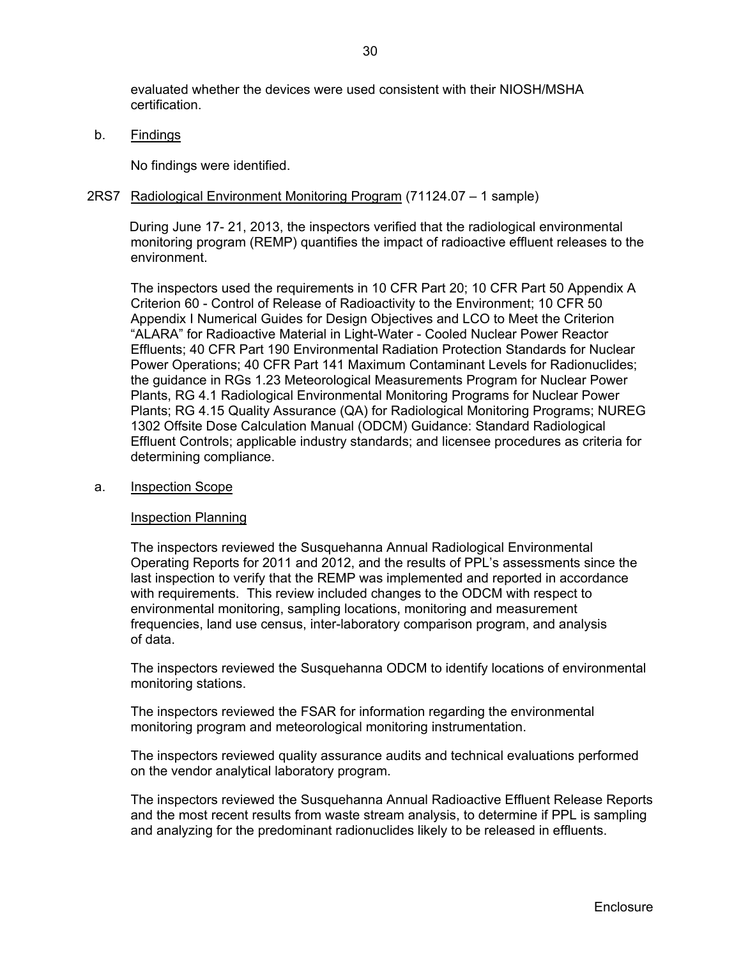evaluated whether the devices were used consistent with their NIOSH/MSHA certification.

b. Findings

No findings were identified.

#### 2RS7 Radiological Environment Monitoring Program (71124.07 – 1 sample)

During June 17- 21, 2013, the inspectors verified that the radiological environmental monitoring program (REMP) quantifies the impact of radioactive effluent releases to the environment.

The inspectors used the requirements in 10 CFR Part 20; 10 CFR Part 50 Appendix A Criterion 60 - Control of Release of Radioactivity to the Environment; 10 CFR 50 Appendix I Numerical Guides for Design Objectives and LCO to Meet the Criterion "ALARA" for Radioactive Material in Light-Water - Cooled Nuclear Power Reactor Effluents; 40 CFR Part 190 Environmental Radiation Protection Standards for Nuclear Power Operations; 40 CFR Part 141 Maximum Contaminant Levels for Radionuclides; the guidance in RGs 1.23 Meteorological Measurements Program for Nuclear Power Plants, RG 4.1 Radiological Environmental Monitoring Programs for Nuclear Power Plants; RG 4.15 Quality Assurance (QA) for Radiological Monitoring Programs; NUREG 1302 Offsite Dose Calculation Manual (ODCM) Guidance: Standard Radiological Effluent Controls; applicable industry standards; and licensee procedures as criteria for determining compliance.

#### a. Inspection Scope

#### Inspection Planning

The inspectors reviewed the Susquehanna Annual Radiological Environmental Operating Reports for 2011 and 2012, and the results of PPL's assessments since the last inspection to verify that the REMP was implemented and reported in accordance with requirements. This review included changes to the ODCM with respect to environmental monitoring, sampling locations, monitoring and measurement frequencies, land use census, inter-laboratory comparison program, and analysis of data.

The inspectors reviewed the Susquehanna ODCM to identify locations of environmental monitoring stations.

The inspectors reviewed the FSAR for information regarding the environmental monitoring program and meteorological monitoring instrumentation.

The inspectors reviewed quality assurance audits and technical evaluations performed on the vendor analytical laboratory program.

The inspectors reviewed the Susquehanna Annual Radioactive Effluent Release Reports and the most recent results from waste stream analysis, to determine if PPL is sampling and analyzing for the predominant radionuclides likely to be released in effluents.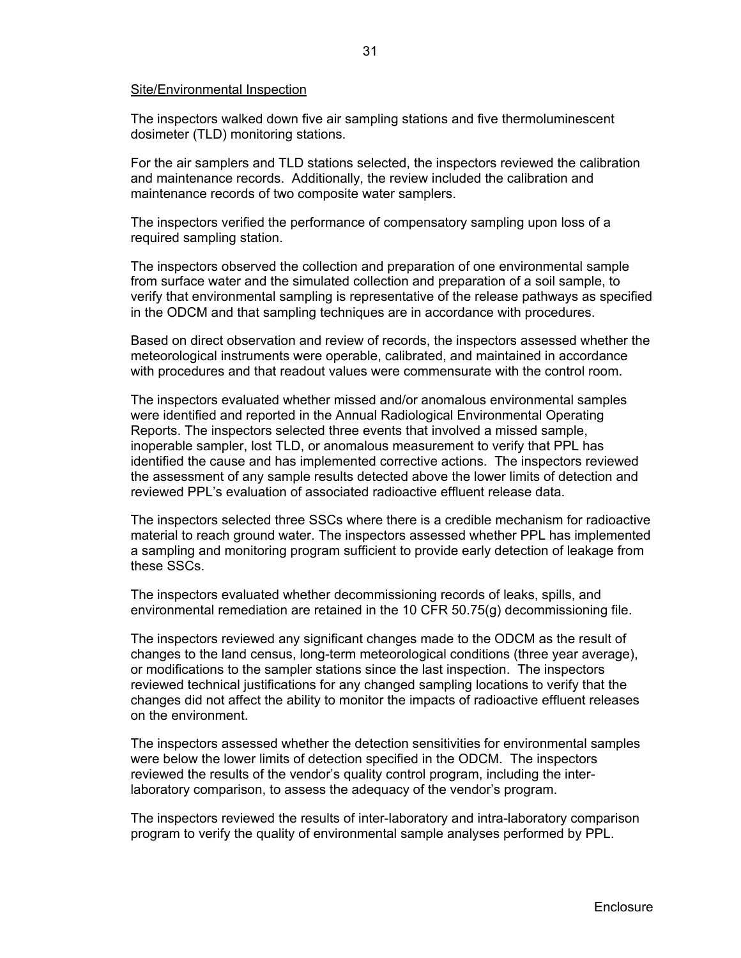#### Site/Environmental Inspection

The inspectors walked down five air sampling stations and five thermoluminescent dosimeter (TLD) monitoring stations.

For the air samplers and TLD stations selected, the inspectors reviewed the calibration and maintenance records. Additionally, the review included the calibration and maintenance records of two composite water samplers.

The inspectors verified the performance of compensatory sampling upon loss of a required sampling station.

The inspectors observed the collection and preparation of one environmental sample from surface water and the simulated collection and preparation of a soil sample, to verify that environmental sampling is representative of the release pathways as specified in the ODCM and that sampling techniques are in accordance with procedures.

Based on direct observation and review of records, the inspectors assessed whether the meteorological instruments were operable, calibrated, and maintained in accordance with procedures and that readout values were commensurate with the control room.

The inspectors evaluated whether missed and/or anomalous environmental samples were identified and reported in the Annual Radiological Environmental Operating Reports. The inspectors selected three events that involved a missed sample, inoperable sampler, lost TLD, or anomalous measurement to verify that PPL has identified the cause and has implemented corrective actions. The inspectors reviewed the assessment of any sample results detected above the lower limits of detection and reviewed PPL's evaluation of associated radioactive effluent release data.

The inspectors selected three SSCs where there is a credible mechanism for radioactive material to reach ground water. The inspectors assessed whether PPL has implemented a sampling and monitoring program sufficient to provide early detection of leakage from these SSCs.

The inspectors evaluated whether decommissioning records of leaks, spills, and environmental remediation are retained in the 10 CFR 50.75(g) decommissioning file.

The inspectors reviewed any significant changes made to the ODCM as the result of changes to the land census, long-term meteorological conditions (three year average), or modifications to the sampler stations since the last inspection. The inspectors reviewed technical justifications for any changed sampling locations to verify that the changes did not affect the ability to monitor the impacts of radioactive effluent releases on the environment.

The inspectors assessed whether the detection sensitivities for environmental samples were below the lower limits of detection specified in the ODCM. The inspectors reviewed the results of the vendor's quality control program, including the interlaboratory comparison, to assess the adequacy of the vendor's program.

The inspectors reviewed the results of inter-laboratory and intra-laboratory comparison program to verify the quality of environmental sample analyses performed by PPL.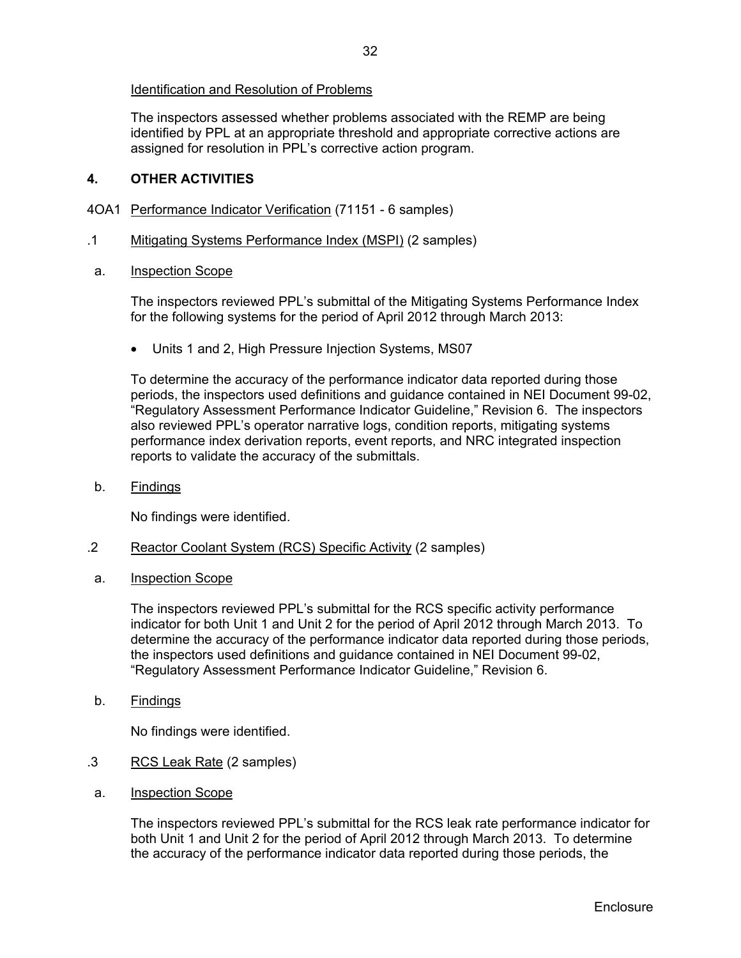The inspectors assessed whether problems associated with the REMP are being identified by PPL at an appropriate threshold and appropriate corrective actions are assigned for resolution in PPL's corrective action program.

## **4. OTHER ACTIVITIES**

- 4OA1 Performance Indicator Verification (71151 6 samples)
- .1 Mitigating Systems Performance Index (MSPI) (2 samples)
- a. Inspection Scope

 The inspectors reviewed PPL's submittal of the Mitigating Systems Performance Index for the following systems for the period of April 2012 through March 2013:

• Units 1 and 2, High Pressure Injection Systems, MS07

To determine the accuracy of the performance indicator data reported during those periods, the inspectors used definitions and guidance contained in NEI Document 99-02, "Regulatory Assessment Performance Indicator Guideline," Revision 6. The inspectors also reviewed PPL's operator narrative logs, condition reports, mitigating systems performance index derivation reports, event reports, and NRC integrated inspection reports to validate the accuracy of the submittals.

b. Findings

No findings were identified.

- .2 Reactor Coolant System (RCS) Specific Activity (2 samples)
- a. Inspection Scope

The inspectors reviewed PPL's submittal for the RCS specific activity performance indicator for both Unit 1 and Unit 2 for the period of April 2012 through March 2013. To determine the accuracy of the performance indicator data reported during those periods, the inspectors used definitions and guidance contained in NEI Document 99-02, "Regulatory Assessment Performance Indicator Guideline," Revision 6.

b. Findings

No findings were identified.

- .3 RCS Leak Rate (2 samples)
- a. Inspection Scope

The inspectors reviewed PPL's submittal for the RCS leak rate performance indicator for both Unit 1 and Unit 2 for the period of April 2012 through March 2013. To determine the accuracy of the performance indicator data reported during those periods, the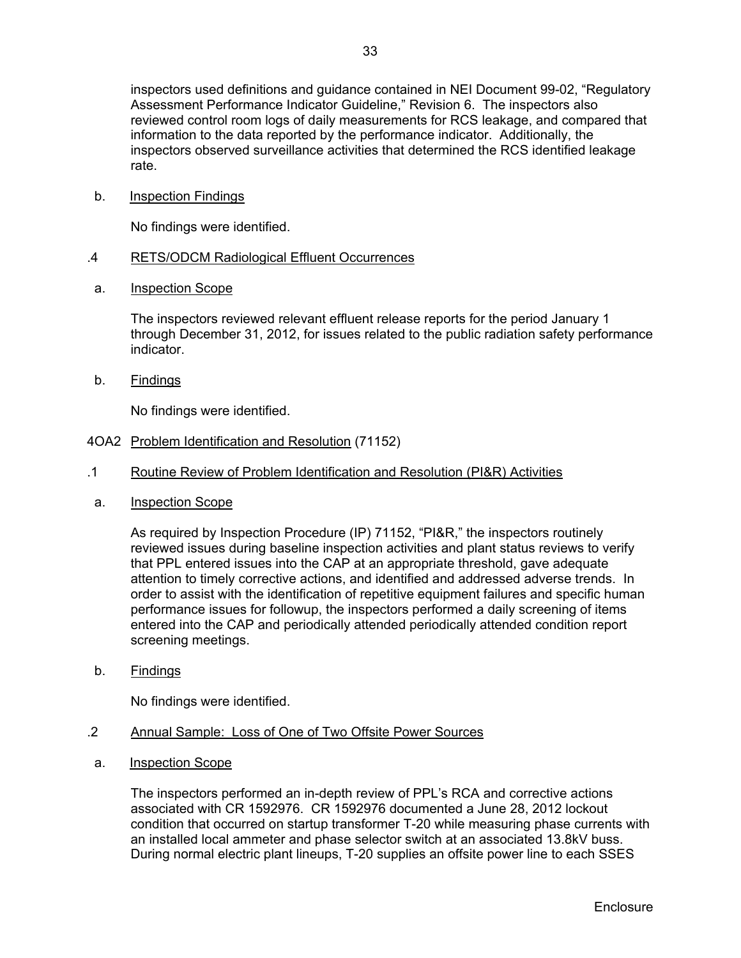inspectors observed surveillance activities that determined the RCS identified leakage rate.

b. Inspection Findings

No findings were identified.

## .4 RETS/ODCM Radiological Effluent Occurrences

a. Inspection Scope

The inspectors reviewed relevant effluent release reports for the period January 1 through December 31, 2012, for issues related to the public radiation safety performance indicator.

b. Findings

No findings were identified.

- 4OA2 Problem Identification and Resolution (71152)
- .1 Routine Review of Problem Identification and Resolution (PI&R) Activities
- a. Inspection Scope

As required by Inspection Procedure (IP) 71152, "PI&R," the inspectors routinely reviewed issues during baseline inspection activities and plant status reviews to verify that PPL entered issues into the CAP at an appropriate threshold, gave adequate attention to timely corrective actions, and identified and addressed adverse trends. In order to assist with the identification of repetitive equipment failures and specific human performance issues for followup, the inspectors performed a daily screening of items entered into the CAP and periodically attended periodically attended condition report screening meetings.

b. Findings

No findings were identified.

- .2 Annual Sample: Loss of One of Two Offsite Power Sources
- a. Inspection Scope

The inspectors performed an in-depth review of PPL's RCA and corrective actions associated with CR 1592976. CR 1592976 documented a June 28, 2012 lockout condition that occurred on startup transformer T-20 while measuring phase currents with an installed local ammeter and phase selector switch at an associated 13.8kV buss. During normal electric plant lineups, T-20 supplies an offsite power line to each SSES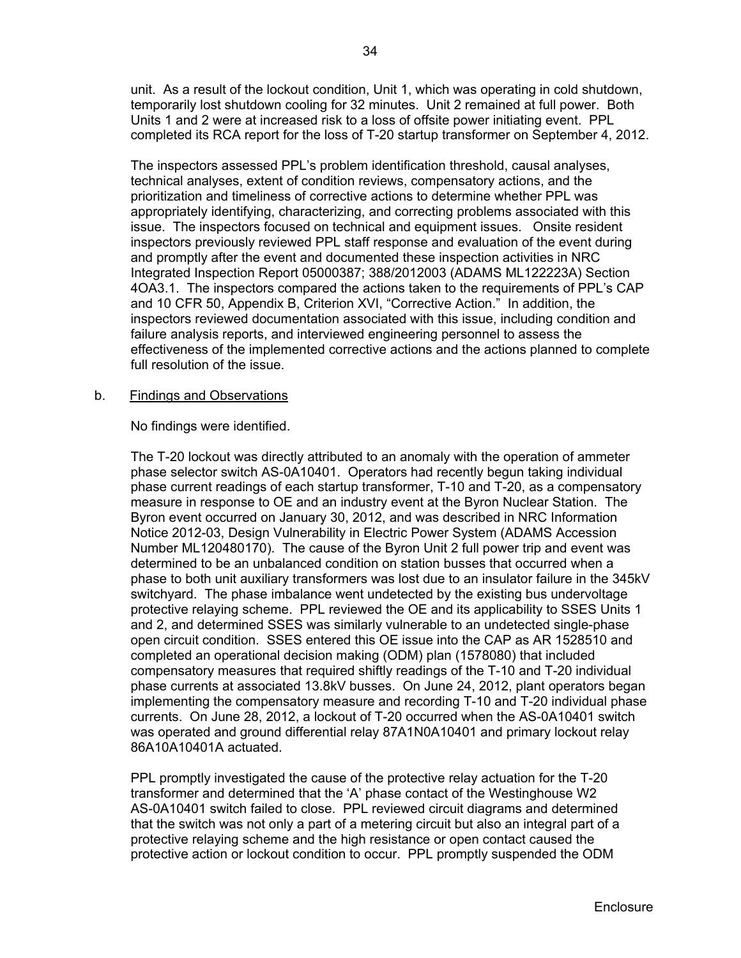unit. As a result of the lockout condition, Unit 1, which was operating in cold shutdown, temporarily lost shutdown cooling for 32 minutes. Unit 2 remained at full power. Both Units 1 and 2 were at increased risk to a loss of offsite power initiating event. PPL completed its RCA report for the loss of T-20 startup transformer on September 4, 2012.

The inspectors assessed PPL's problem identification threshold, causal analyses, technical analyses, extent of condition reviews, compensatory actions, and the prioritization and timeliness of corrective actions to determine whether PPL was appropriately identifying, characterizing, and correcting problems associated with this issue. The inspectors focused on technical and equipment issues. Onsite resident inspectors previously reviewed PPL staff response and evaluation of the event during and promptly after the event and documented these inspection activities in NRC Integrated Inspection Report 05000387; 388/2012003 (ADAMS ML122223A) Section 4OA3.1. The inspectors compared the actions taken to the requirements of PPL's CAP and 10 CFR 50, Appendix B, Criterion XVI, "Corrective Action." In addition, the inspectors reviewed documentation associated with this issue, including condition and failure analysis reports, and interviewed engineering personnel to assess the effectiveness of the implemented corrective actions and the actions planned to complete full resolution of the issue.

### b. Findings and Observations

No findings were identified.

The T-20 lockout was directly attributed to an anomaly with the operation of ammeter phase selector switch AS-0A10401. Operators had recently begun taking individual phase current readings of each startup transformer, T-10 and T-20, as a compensatory measure in response to OE and an industry event at the Byron Nuclear Station. The Byron event occurred on January 30, 2012, and was described in NRC Information Notice 2012-03, Design Vulnerability in Electric Power System (ADAMS Accession Number ML120480170). The cause of the Byron Unit 2 full power trip and event was determined to be an unbalanced condition on station busses that occurred when a phase to both unit auxiliary transformers was lost due to an insulator failure in the 345kV switchyard. The phase imbalance went undetected by the existing bus undervoltage protective relaying scheme. PPL reviewed the OE and its applicability to SSES Units 1 and 2, and determined SSES was similarly vulnerable to an undetected single-phase open circuit condition. SSES entered this OE issue into the CAP as AR 1528510 and completed an operational decision making (ODM) plan (1578080) that included compensatory measures that required shiftly readings of the T-10 and T-20 individual phase currents at associated 13.8kV busses. On June 24, 2012, plant operators began implementing the compensatory measure and recording T-10 and T-20 individual phase currents. On June 28, 2012, a lockout of T-20 occurred when the AS-0A10401 switch was operated and ground differential relay 87A1N0A10401 and primary lockout relay 86A10A10401A actuated.

PPL promptly investigated the cause of the protective relay actuation for the T-20 transformer and determined that the 'A' phase contact of the Westinghouse W2 AS-0A10401 switch failed to close. PPL reviewed circuit diagrams and determined that the switch was not only a part of a metering circuit but also an integral part of a protective relaying scheme and the high resistance or open contact caused the protective action or lockout condition to occur. PPL promptly suspended the ODM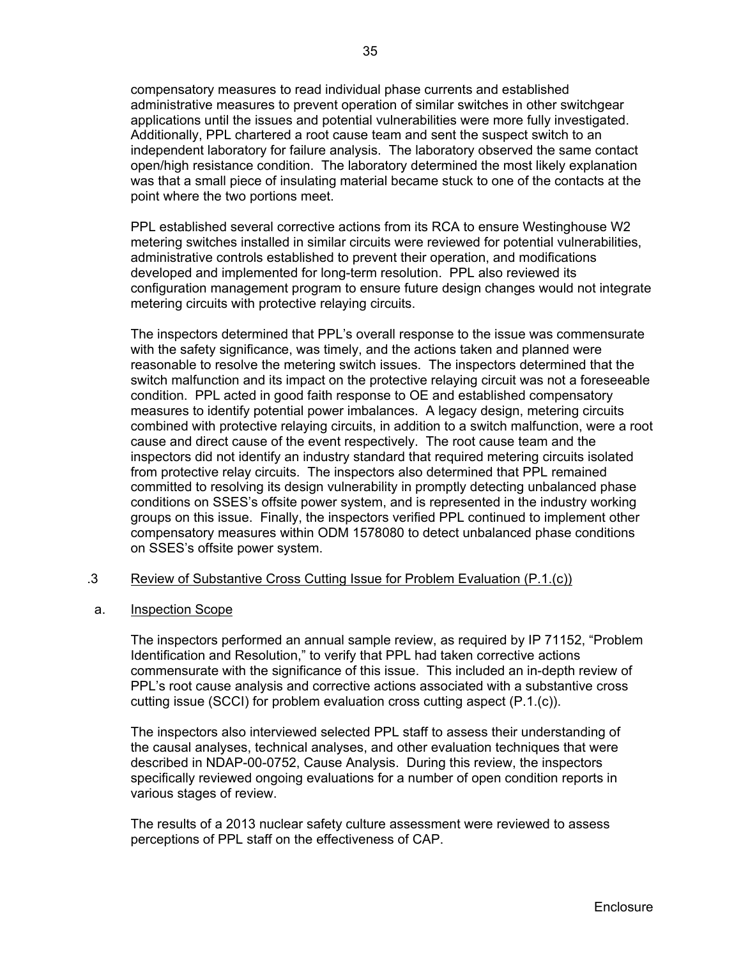compensatory measures to read individual phase currents and established administrative measures to prevent operation of similar switches in other switchgear applications until the issues and potential vulnerabilities were more fully investigated. Additionally, PPL chartered a root cause team and sent the suspect switch to an independent laboratory for failure analysis. The laboratory observed the same contact open/high resistance condition. The laboratory determined the most likely explanation was that a small piece of insulating material became stuck to one of the contacts at the point where the two portions meet.

PPL established several corrective actions from its RCA to ensure Westinghouse W2 metering switches installed in similar circuits were reviewed for potential vulnerabilities, administrative controls established to prevent their operation, and modifications developed and implemented for long-term resolution. PPL also reviewed its configuration management program to ensure future design changes would not integrate metering circuits with protective relaying circuits.

The inspectors determined that PPL's overall response to the issue was commensurate with the safety significance, was timely, and the actions taken and planned were reasonable to resolve the metering switch issues. The inspectors determined that the switch malfunction and its impact on the protective relaying circuit was not a foreseeable condition. PPL acted in good faith response to OE and established compensatory measures to identify potential power imbalances. A legacy design, metering circuits combined with protective relaying circuits, in addition to a switch malfunction, were a root cause and direct cause of the event respectively. The root cause team and the inspectors did not identify an industry standard that required metering circuits isolated from protective relay circuits. The inspectors also determined that PPL remained committed to resolving its design vulnerability in promptly detecting unbalanced phase conditions on SSES's offsite power system, and is represented in the industry working groups on this issue. Finally, the inspectors verified PPL continued to implement other compensatory measures within ODM 1578080 to detect unbalanced phase conditions on SSES's offsite power system.

## .3 Review of Substantive Cross Cutting Issue for Problem Evaluation (P.1.(c))

#### a. Inspection Scope

The inspectors performed an annual sample review, as required by IP 71152, "Problem Identification and Resolution," to verify that PPL had taken corrective actions commensurate with the significance of this issue. This included an in-depth review of PPL's root cause analysis and corrective actions associated with a substantive cross cutting issue (SCCI) for problem evaluation cross cutting aspect (P.1.(c)).

The inspectors also interviewed selected PPL staff to assess their understanding of the causal analyses, technical analyses, and other evaluation techniques that were described in NDAP-00-0752, Cause Analysis. During this review, the inspectors specifically reviewed ongoing evaluations for a number of open condition reports in various stages of review.

The results of a 2013 nuclear safety culture assessment were reviewed to assess perceptions of PPL staff on the effectiveness of CAP.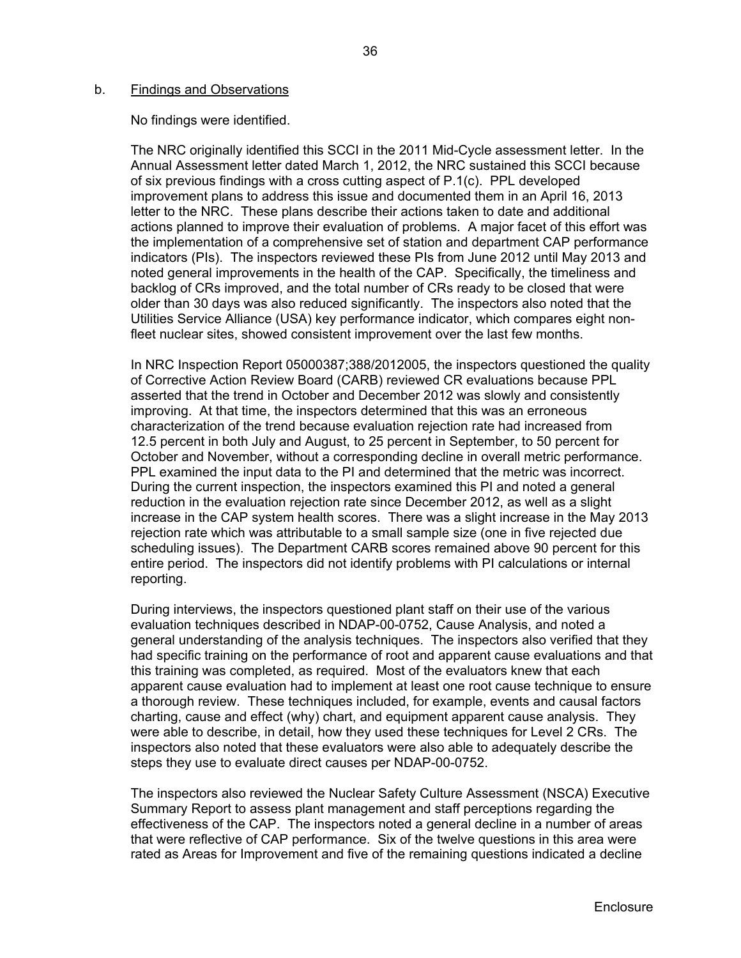#### b. Findings and Observations

No findings were identified.

The NRC originally identified this SCCI in the 2011 Mid-Cycle assessment letter. In the Annual Assessment letter dated March 1, 2012, the NRC sustained this SCCI because of six previous findings with a cross cutting aspect of P.1(c). PPL developed improvement plans to address this issue and documented them in an April 16, 2013 letter to the NRC. These plans describe their actions taken to date and additional actions planned to improve their evaluation of problems. A major facet of this effort was the implementation of a comprehensive set of station and department CAP performance indicators (PIs). The inspectors reviewed these PIs from June 2012 until May 2013 and noted general improvements in the health of the CAP. Specifically, the timeliness and backlog of CRs improved, and the total number of CRs ready to be closed that were older than 30 days was also reduced significantly. The inspectors also noted that the Utilities Service Alliance (USA) key performance indicator, which compares eight nonfleet nuclear sites, showed consistent improvement over the last few months.

In NRC Inspection Report 05000387;388/2012005, the inspectors questioned the quality of Corrective Action Review Board (CARB) reviewed CR evaluations because PPL asserted that the trend in October and December 2012 was slowly and consistently improving. At that time, the inspectors determined that this was an erroneous characterization of the trend because evaluation rejection rate had increased from 12.5 percent in both July and August, to 25 percent in September, to 50 percent for October and November, without a corresponding decline in overall metric performance. PPL examined the input data to the PI and determined that the metric was incorrect. During the current inspection, the inspectors examined this PI and noted a general reduction in the evaluation rejection rate since December 2012, as well as a slight increase in the CAP system health scores. There was a slight increase in the May 2013 rejection rate which was attributable to a small sample size (one in five rejected due scheduling issues). The Department CARB scores remained above 90 percent for this entire period. The inspectors did not identify problems with PI calculations or internal reporting.

During interviews, the inspectors questioned plant staff on their use of the various evaluation techniques described in NDAP-00-0752, Cause Analysis, and noted a general understanding of the analysis techniques. The inspectors also verified that they had specific training on the performance of root and apparent cause evaluations and that this training was completed, as required. Most of the evaluators knew that each apparent cause evaluation had to implement at least one root cause technique to ensure a thorough review. These techniques included, for example, events and causal factors charting, cause and effect (why) chart, and equipment apparent cause analysis. They were able to describe, in detail, how they used these techniques for Level 2 CRs. The inspectors also noted that these evaluators were also able to adequately describe the steps they use to evaluate direct causes per NDAP-00-0752.

The inspectors also reviewed the Nuclear Safety Culture Assessment (NSCA) Executive Summary Report to assess plant management and staff perceptions regarding the effectiveness of the CAP. The inspectors noted a general decline in a number of areas that were reflective of CAP performance. Six of the twelve questions in this area were rated as Areas for Improvement and five of the remaining questions indicated a decline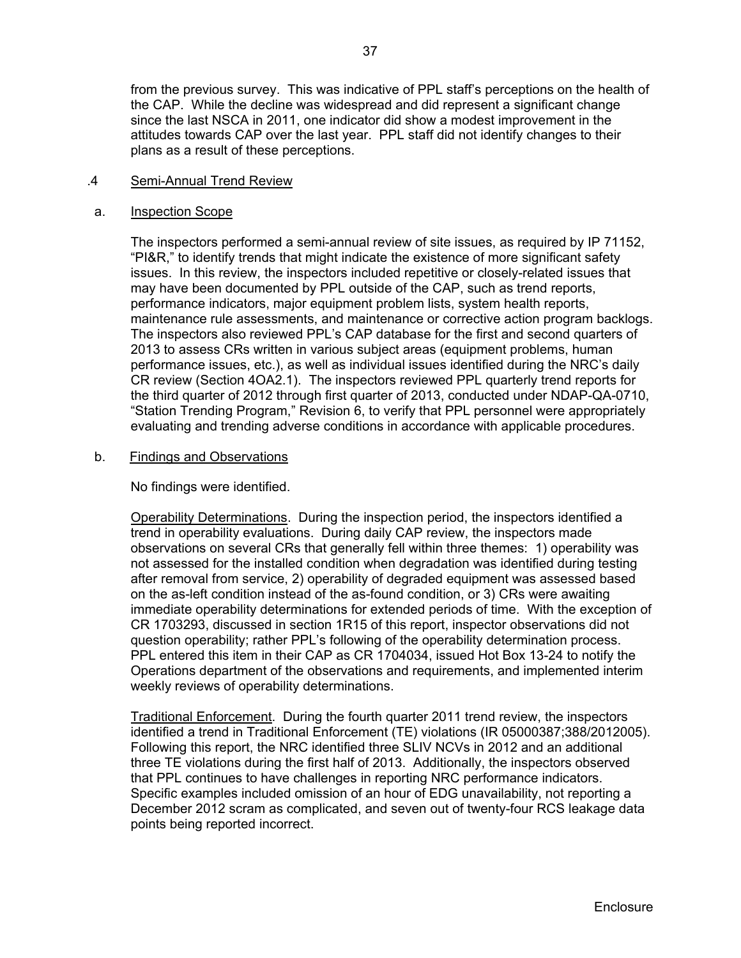from the previous survey. This was indicative of PPL staff's perceptions on the health of the CAP. While the decline was widespread and did represent a significant change since the last NSCA in 2011, one indicator did show a modest improvement in the attitudes towards CAP over the last year. PPL staff did not identify changes to their plans as a result of these perceptions.

### .4 Semi-Annual Trend Review

### a. Inspection Scope

The inspectors performed a semi-annual review of site issues, as required by IP 71152, "PI&R," to identify trends that might indicate the existence of more significant safety issues. In this review, the inspectors included repetitive or closely-related issues that may have been documented by PPL outside of the CAP, such as trend reports, performance indicators, major equipment problem lists, system health reports, maintenance rule assessments, and maintenance or corrective action program backlogs. The inspectors also reviewed PPL's CAP database for the first and second quarters of 2013 to assess CRs written in various subject areas (equipment problems, human performance issues, etc.), as well as individual issues identified during the NRC's daily CR review (Section 4OA2.1). The inspectors reviewed PPL quarterly trend reports for the third quarter of 2012 through first quarter of 2013, conducted under NDAP-QA-0710, "Station Trending Program," Revision 6, to verify that PPL personnel were appropriately evaluating and trending adverse conditions in accordance with applicable procedures.

### b. Findings and Observations

No findings were identified.

Operability Determinations. During the inspection period, the inspectors identified a trend in operability evaluations. During daily CAP review, the inspectors made observations on several CRs that generally fell within three themes: 1) operability was not assessed for the installed condition when degradation was identified during testing after removal from service, 2) operability of degraded equipment was assessed based on the as-left condition instead of the as-found condition, or 3) CRs were awaiting immediate operability determinations for extended periods of time. With the exception of CR 1703293, discussed in section 1R15 of this report, inspector observations did not question operability; rather PPL's following of the operability determination process. PPL entered this item in their CAP as CR 1704034, issued Hot Box 13-24 to notify the Operations department of the observations and requirements, and implemented interim weekly reviews of operability determinations.

 Traditional Enforcement. During the fourth quarter 2011 trend review, the inspectors identified a trend in Traditional Enforcement (TE) violations (IR 05000387;388/2012005). Following this report, the NRC identified three SLIV NCVs in 2012 and an additional three TE violations during the first half of 2013. Additionally, the inspectors observed that PPL continues to have challenges in reporting NRC performance indicators. Specific examples included omission of an hour of EDG unavailability, not reporting a December 2012 scram as complicated, and seven out of twenty-four RCS leakage data points being reported incorrect.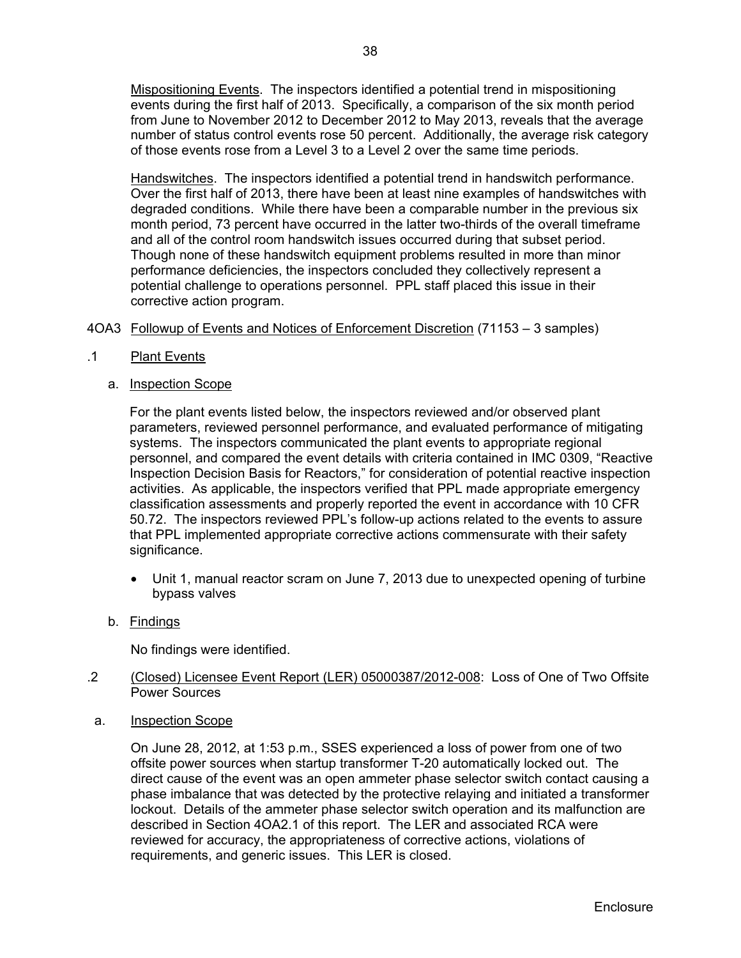Mispositioning Events. The inspectors identified a potential trend in mispositioning events during the first half of 2013. Specifically, a comparison of the six month period from June to November 2012 to December 2012 to May 2013, reveals that the average number of status control events rose 50 percent. Additionally, the average risk category of those events rose from a Level 3 to a Level 2 over the same time periods.

Handswitches. The inspectors identified a potential trend in handswitch performance. Over the first half of 2013, there have been at least nine examples of handswitches with degraded conditions. While there have been a comparable number in the previous six month period, 73 percent have occurred in the latter two-thirds of the overall timeframe and all of the control room handswitch issues occurred during that subset period. Though none of these handswitch equipment problems resulted in more than minor performance deficiencies, the inspectors concluded they collectively represent a potential challenge to operations personnel. PPL staff placed this issue in their corrective action program.

## 4OA3 Followup of Events and Notices of Enforcement Discretion (71153 – 3 samples)

- .1 Plant Events
	- a. Inspection Scope

For the plant events listed below, the inspectors reviewed and/or observed plant parameters, reviewed personnel performance, and evaluated performance of mitigating systems. The inspectors communicated the plant events to appropriate regional personnel, and compared the event details with criteria contained in IMC 0309, "Reactive Inspection Decision Basis for Reactors," for consideration of potential reactive inspection activities. As applicable, the inspectors verified that PPL made appropriate emergency classification assessments and properly reported the event in accordance with 10 CFR 50.72. The inspectors reviewed PPL's follow-up actions related to the events to assure that PPL implemented appropriate corrective actions commensurate with their safety significance.

- Unit 1, manual reactor scram on June 7, 2013 due to unexpected opening of turbine bypass valves
- b. Findings

No findings were identified.

## .2 (Closed) Licensee Event Report (LER) 05000387/2012-008: Loss of One of Two Offsite Power Sources

a. Inspection Scope

On June 28, 2012, at 1:53 p.m., SSES experienced a loss of power from one of two offsite power sources when startup transformer T-20 automatically locked out. The direct cause of the event was an open ammeter phase selector switch contact causing a phase imbalance that was detected by the protective relaying and initiated a transformer lockout. Details of the ammeter phase selector switch operation and its malfunction are described in Section 4OA2.1 of this report. The LER and associated RCA were reviewed for accuracy, the appropriateness of corrective actions, violations of requirements, and generic issues. This LER is closed.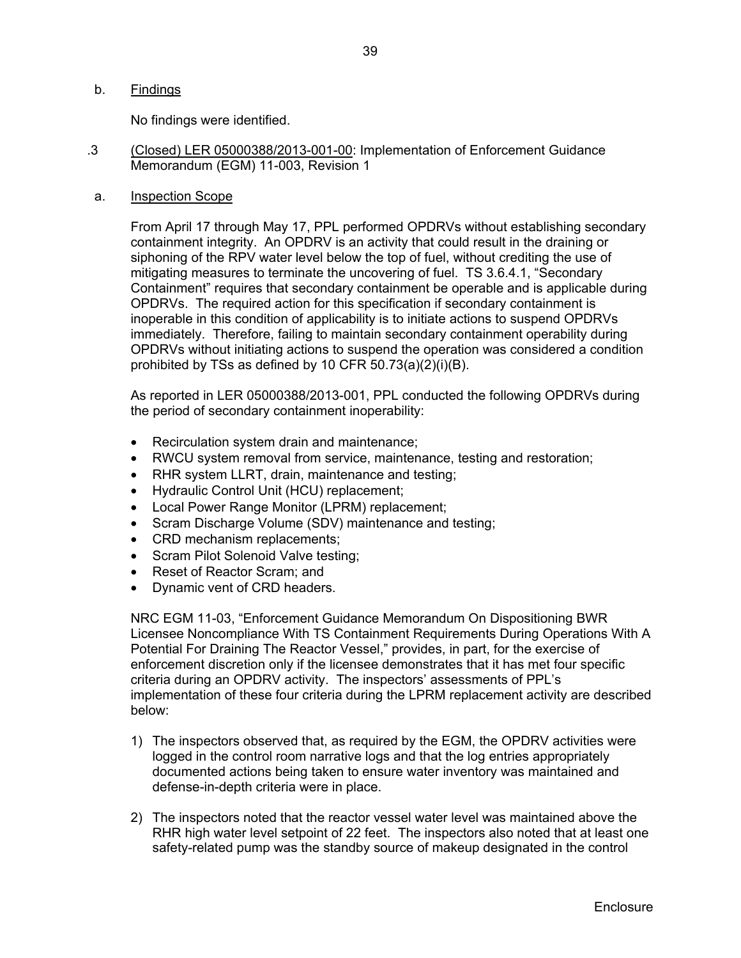## b. Findings

No findings were identified.

- .3 (Closed) LER 05000388/2013-001-00: Implementation of Enforcement Guidance Memorandum (EGM) 11-003, Revision 1
- a. Inspection Scope

From April 17 through May 17, PPL performed OPDRVs without establishing secondary containment integrity. An OPDRV is an activity that could result in the draining or siphoning of the RPV water level below the top of fuel, without crediting the use of mitigating measures to terminate the uncovering of fuel. TS 3.6.4.1, "Secondary Containment" requires that secondary containment be operable and is applicable during OPDRVs. The required action for this specification if secondary containment is inoperable in this condition of applicability is to initiate actions to suspend OPDRVs immediately. Therefore, failing to maintain secondary containment operability during OPDRVs without initiating actions to suspend the operation was considered a condition prohibited by TSs as defined by 10 CFR 50.73(a)(2)(i)(B).

As reported in LER 05000388/2013-001, PPL conducted the following OPDRVs during the period of secondary containment inoperability:

- Recirculation system drain and maintenance;
- RWCU system removal from service, maintenance, testing and restoration;
- RHR system LLRT, drain, maintenance and testing;
- Hydraulic Control Unit (HCU) replacement;
- Local Power Range Monitor (LPRM) replacement;
- Scram Discharge Volume (SDV) maintenance and testing;
- CRD mechanism replacements;
- Scram Pilot Solenoid Valve testing;
- Reset of Reactor Scram; and
- Dynamic vent of CRD headers.

NRC EGM 11-03, "Enforcement Guidance Memorandum On Dispositioning BWR Licensee Noncompliance With TS Containment Requirements During Operations With A Potential For Draining The Reactor Vessel," provides, in part, for the exercise of enforcement discretion only if the licensee demonstrates that it has met four specific criteria during an OPDRV activity. The inspectors' assessments of PPL's implementation of these four criteria during the LPRM replacement activity are described below:

- 1) The inspectors observed that, as required by the EGM, the OPDRV activities were logged in the control room narrative logs and that the log entries appropriately documented actions being taken to ensure water inventory was maintained and defense-in-depth criteria were in place.
- 2) The inspectors noted that the reactor vessel water level was maintained above the RHR high water level setpoint of 22 feet. The inspectors also noted that at least one safety-related pump was the standby source of makeup designated in the control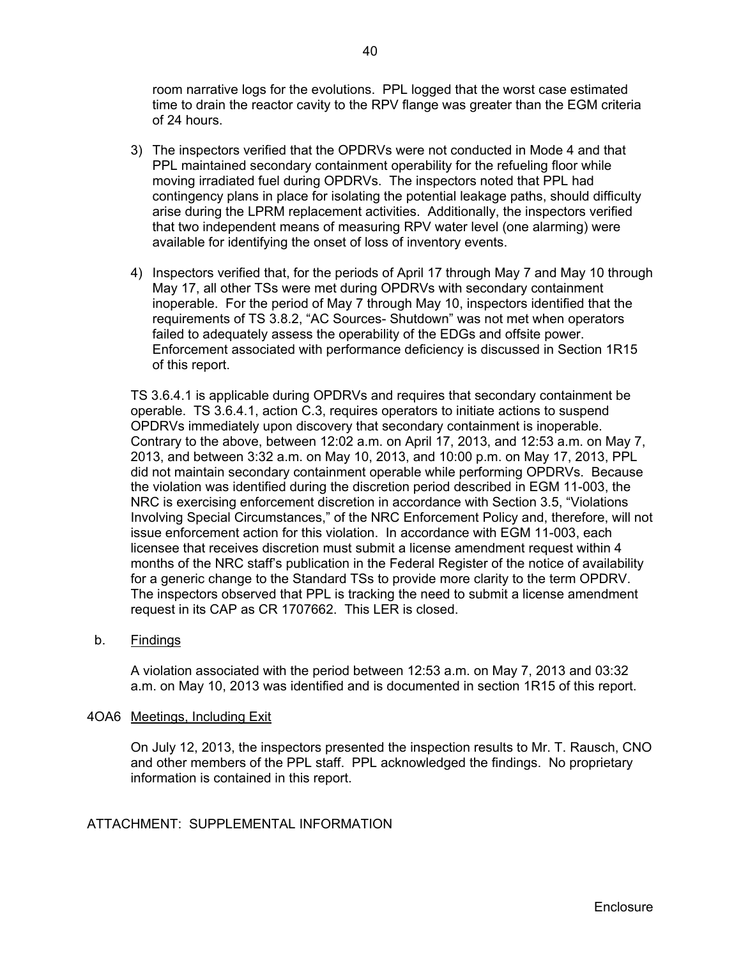room narrative logs for the evolutions. PPL logged that the worst case estimated time to drain the reactor cavity to the RPV flange was greater than the EGM criteria of 24 hours.

- 3) The inspectors verified that the OPDRVs were not conducted in Mode 4 and that PPL maintained secondary containment operability for the refueling floor while moving irradiated fuel during OPDRVs. The inspectors noted that PPL had contingency plans in place for isolating the potential leakage paths, should difficulty arise during the LPRM replacement activities. Additionally, the inspectors verified that two independent means of measuring RPV water level (one alarming) were available for identifying the onset of loss of inventory events.
- 4) Inspectors verified that, for the periods of April 17 through May 7 and May 10 through May 17, all other TSs were met during OPDRVs with secondary containment inoperable. For the period of May 7 through May 10, inspectors identified that the requirements of TS 3.8.2, "AC Sources- Shutdown" was not met when operators failed to adequately assess the operability of the EDGs and offsite power. Enforcement associated with performance deficiency is discussed in Section 1R15 of this report.

TS 3.6.4.1 is applicable during OPDRVs and requires that secondary containment be operable. TS 3.6.4.1, action C.3, requires operators to initiate actions to suspend OPDRVs immediately upon discovery that secondary containment is inoperable. Contrary to the above, between 12:02 a.m. on April 17, 2013, and 12:53 a.m. on May 7, 2013, and between 3:32 a.m. on May 10, 2013, and 10:00 p.m. on May 17, 2013, PPL did not maintain secondary containment operable while performing OPDRVs. Because the violation was identified during the discretion period described in EGM 11-003, the NRC is exercising enforcement discretion in accordance with Section 3.5, "Violations Involving Special Circumstances," of the NRC Enforcement Policy and, therefore, will not issue enforcement action for this violation. In accordance with EGM 11-003, each licensee that receives discretion must submit a license amendment request within 4 months of the NRC staff's publication in the Federal Register of the notice of availability for a generic change to the Standard TSs to provide more clarity to the term OPDRV. The inspectors observed that PPL is tracking the need to submit a license amendment request in its CAP as CR 1707662. This LER is closed.

b. Findings

A violation associated with the period between 12:53 a.m. on May 7, 2013 and 03:32 a.m. on May 10, 2013 was identified and is documented in section 1R15 of this report.

#### 4OA6 Meetings, Including Exit

On July 12, 2013, the inspectors presented the inspection results to Mr. T. Rausch, CNO and other members of the PPL staff. PPL acknowledged the findings. No proprietary information is contained in this report.

## ATTACHMENT: SUPPLEMENTAL INFORMATION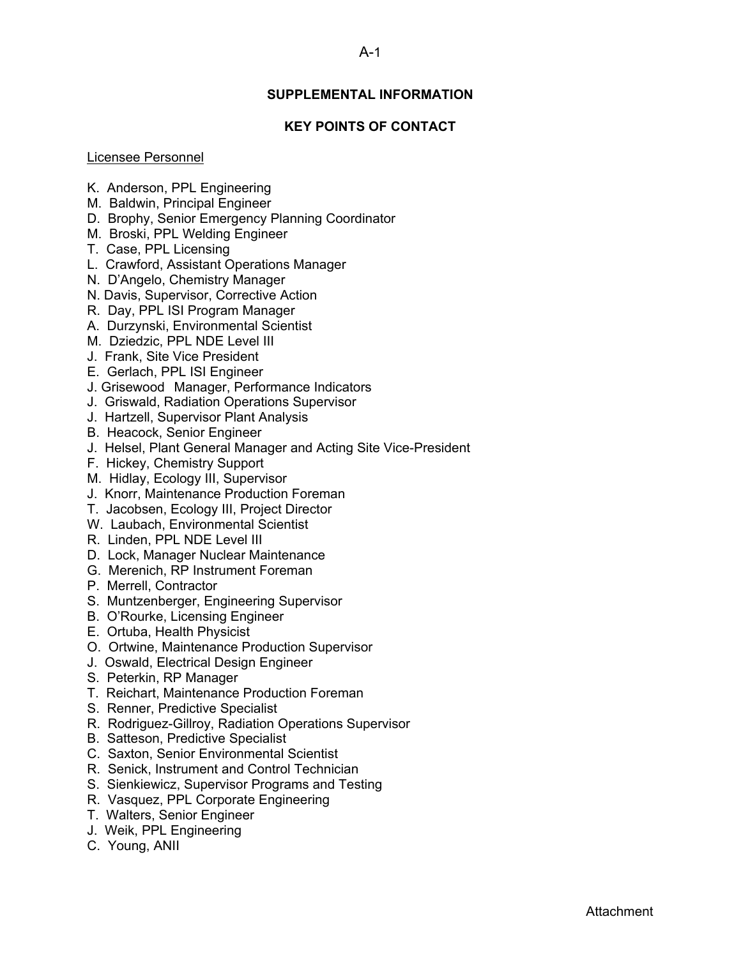## A-1

## **SUPPLEMENTAL INFORMATION**

## **KEY POINTS OF CONTACT**

#### Licensee Personnel

- K. Anderson, PPL Engineering
- M. Baldwin, Principal Engineer
- D. Brophy, Senior Emergency Planning Coordinator
- M. Broski, PPL Welding Engineer
- T. Case, PPL Licensing
- L. Crawford, Assistant Operations Manager
- N. D'Angelo, Chemistry Manager
- N. Davis, Supervisor, Corrective Action
- R. Day, PPL ISI Program Manager
- A. Durzynski, Environmental Scientist
- M. Dziedzic, PPL NDE Level III
- J. Frank, Site Vice President
- E. Gerlach, PPL ISI Engineer
- J. Grisewood Manager, Performance Indicators
- J. Griswald, Radiation Operations Supervisor
- J. Hartzell, Supervisor Plant Analysis
- B. Heacock, Senior Engineer
- J. Helsel, Plant General Manager and Acting Site Vice-President
- F. Hickey, Chemistry Support
- M. Hidlay, Ecology III, Supervisor
- J. Knorr, Maintenance Production Foreman
- T. Jacobsen, Ecology III, Project Director
- W. Laubach, Environmental Scientist
- R. Linden, PPL NDE Level III
- D. Lock, Manager Nuclear Maintenance
- G. Merenich, RP Instrument Foreman
- P. Merrell, Contractor
- S. Muntzenberger, Engineering Supervisor
- B. O'Rourke, Licensing Engineer
- E. Ortuba, Health Physicist
- O. Ortwine, Maintenance Production Supervisor
- J. Oswald, Electrical Design Engineer
- S. Peterkin, RP Manager
- T. Reichart, Maintenance Production Foreman
- S. Renner, Predictive Specialist
- R. Rodriguez-Gillroy, Radiation Operations Supervisor
- B. Satteson, Predictive Specialist
- C. Saxton, Senior Environmental Scientist
- R. Senick, Instrument and Control Technician
- S. Sienkiewicz, Supervisor Programs and Testing
- R. Vasquez, PPL Corporate Engineering
- T. Walters, Senior Engineer
- J. Weik, PPL Engineering
- C. Young, ANII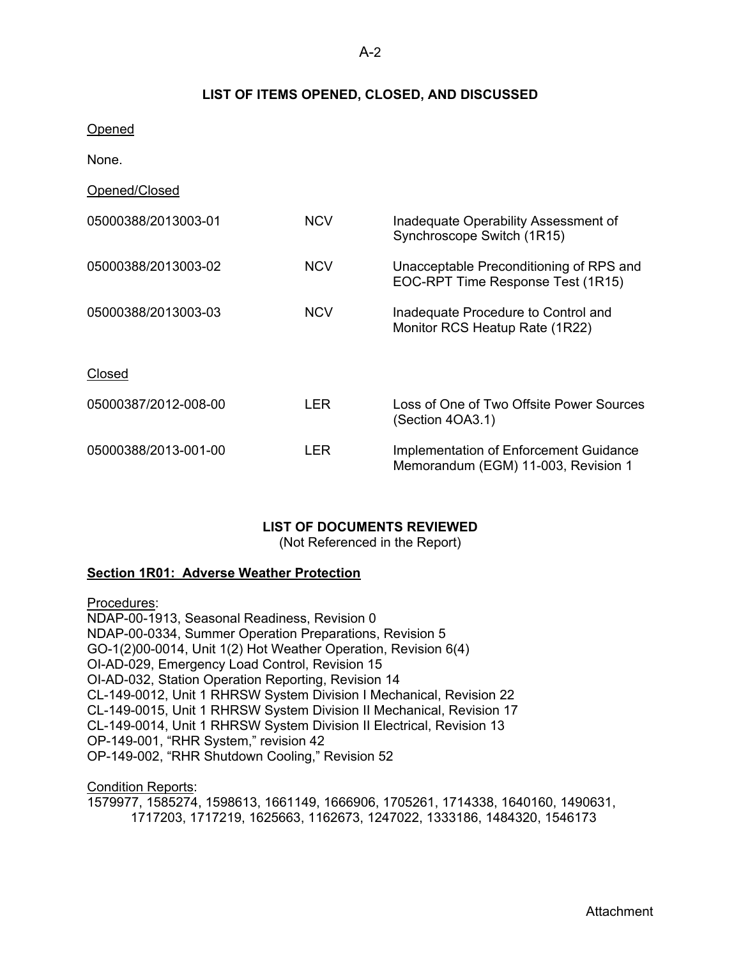## **LIST OF ITEMS OPENED, CLOSED, AND DISCUSSED**

- Opened
- None.
- Opened/Closed

| 05000388/2013003-01  | <b>NCV</b> | Inadequate Operability Assessment of<br>Synchroscope Switch (1R15)            |
|----------------------|------------|-------------------------------------------------------------------------------|
| 05000388/2013003-02  | <b>NCV</b> | Unacceptable Preconditioning of RPS and<br>EOC-RPT Time Response Test (1R15)  |
| 05000388/2013003-03  | <b>NCV</b> | Inadequate Procedure to Control and<br>Monitor RCS Heatup Rate (1R22)         |
| Closed               |            |                                                                               |
| 05000387/2012-008-00 | LER        | Loss of One of Two Offsite Power Sources<br>(Section 4OA3.1)                  |
| 05000388/2013-001-00 | LER        | Implementation of Enforcement Guidance<br>Memorandum (EGM) 11-003, Revision 1 |

## **LIST OF DOCUMENTS REVIEWED**

(Not Referenced in the Report)

## **Section 1R01: Adverse Weather Protection**

Procedures: NDAP-00-1913, Seasonal Readiness, Revision 0 NDAP-00-0334, Summer Operation Preparations, Revision 5 GO-1(2)00-0014, Unit 1(2) Hot Weather Operation, Revision 6(4) OI-AD-029, Emergency Load Control, Revision 15 OI-AD-032, Station Operation Reporting, Revision 14 CL-149-0012, Unit 1 RHRSW System Division I Mechanical, Revision 22 CL-149-0015, Unit 1 RHRSW System Division II Mechanical, Revision 17 CL-149-0014, Unit 1 RHRSW System Division II Electrical, Revision 13 OP-149-001, "RHR System," revision 42 OP-149-002, "RHR Shutdown Cooling," Revision 52

Condition Reports: 1579977, 1585274, 1598613, 1661149, 1666906, 1705261, 1714338, 1640160, 1490631, 1717203, 1717219, 1625663, 1162673, 1247022, 1333186, 1484320, 1546173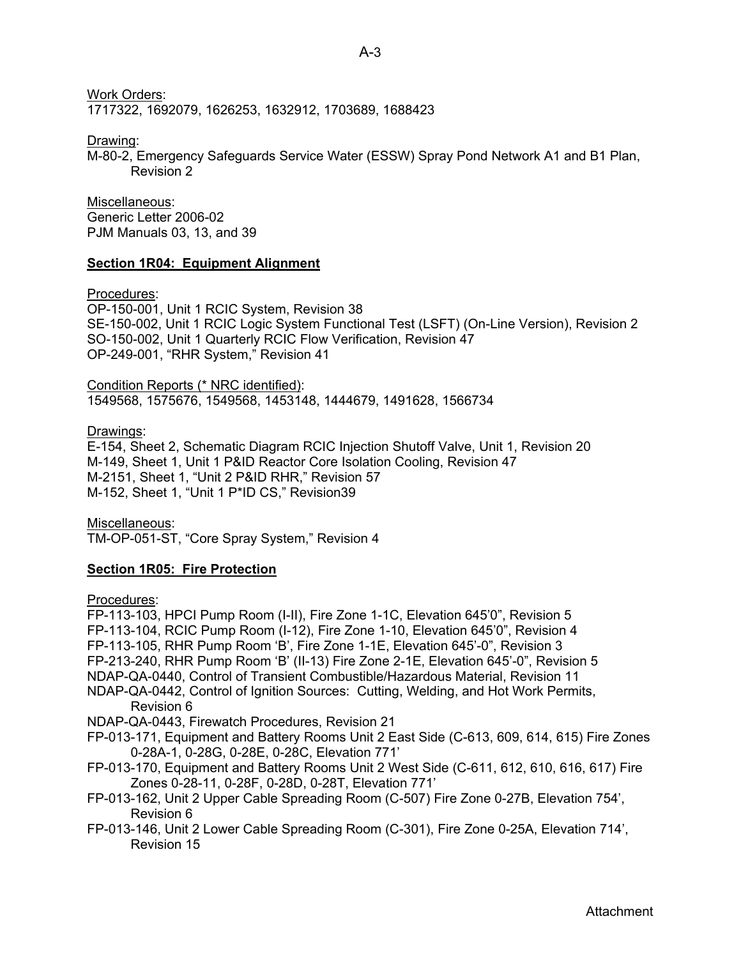Work Orders:

1717322, 1692079, 1626253, 1632912, 1703689, 1688423

Drawing:

M-80-2, Emergency Safeguards Service Water (ESSW) Spray Pond Network A1 and B1 Plan, Revision 2

Miscellaneous: Generic Letter 2006-02 PJM Manuals 03, 13, and 39

## **Section 1R04: Equipment Alignment**

Procedures:

OP-150-001, Unit 1 RCIC System, Revision 38 SE-150-002, Unit 1 RCIC Logic System Functional Test (LSFT) (On-Line Version), Revision 2 SO-150-002, Unit 1 Quarterly RCIC Flow Verification, Revision 47 OP-249-001, "RHR System," Revision 41

Condition Reports (\* NRC identified): 1549568, 1575676, 1549568, 1453148, 1444679, 1491628, 1566734

Drawings:

E-154, Sheet 2, Schematic Diagram RCIC Injection Shutoff Valve, Unit 1, Revision 20 M-149, Sheet 1, Unit 1 P&ID Reactor Core Isolation Cooling, Revision 47 M-2151, Sheet 1, "Unit 2 P&ID RHR," Revision 57 M-152, Sheet 1, "Unit 1 P\*ID CS," Revision39

Miscellaneous: TM-OP-051-ST, "Core Spray System," Revision 4

## **Section 1R05: Fire Protection**

Procedures:

FP-113-103, HPCI Pump Room (I-II), Fire Zone 1-1C, Elevation 645'0", Revision 5 FP-113-104, RCIC Pump Room (I-12), Fire Zone 1-10, Elevation 645'0", Revision 4 FP-113-105, RHR Pump Room 'B', Fire Zone 1-1E, Elevation 645'-0", Revision 3 FP-213-240, RHR Pump Room 'B' (II-13) Fire Zone 2-1E, Elevation 645'-0", Revision 5 NDAP-QA-0440, Control of Transient Combustible/Hazardous Material, Revision 11 NDAP-QA-0442, Control of Ignition Sources: Cutting, Welding, and Hot Work Permits, Revision 6 NDAP-QA-0443, Firewatch Procedures, Revision 21 FP-013-171, Equipment and Battery Rooms Unit 2 East Side (C-613, 609, 614, 615) Fire Zones 0-28A-1, 0-28G, 0-28E, 0-28C, Elevation 771' FP-013-170, Equipment and Battery Rooms Unit 2 West Side (C-611, 612, 610, 616, 617) Fire Zones 0-28-11, 0-28F, 0-28D, 0-28T, Elevation 771'

FP-013-162, Unit 2 Upper Cable Spreading Room (C-507) Fire Zone 0-27B, Elevation 754', Revision 6

FP-013-146, Unit 2 Lower Cable Spreading Room (C-301), Fire Zone 0-25A, Elevation 714', Revision 15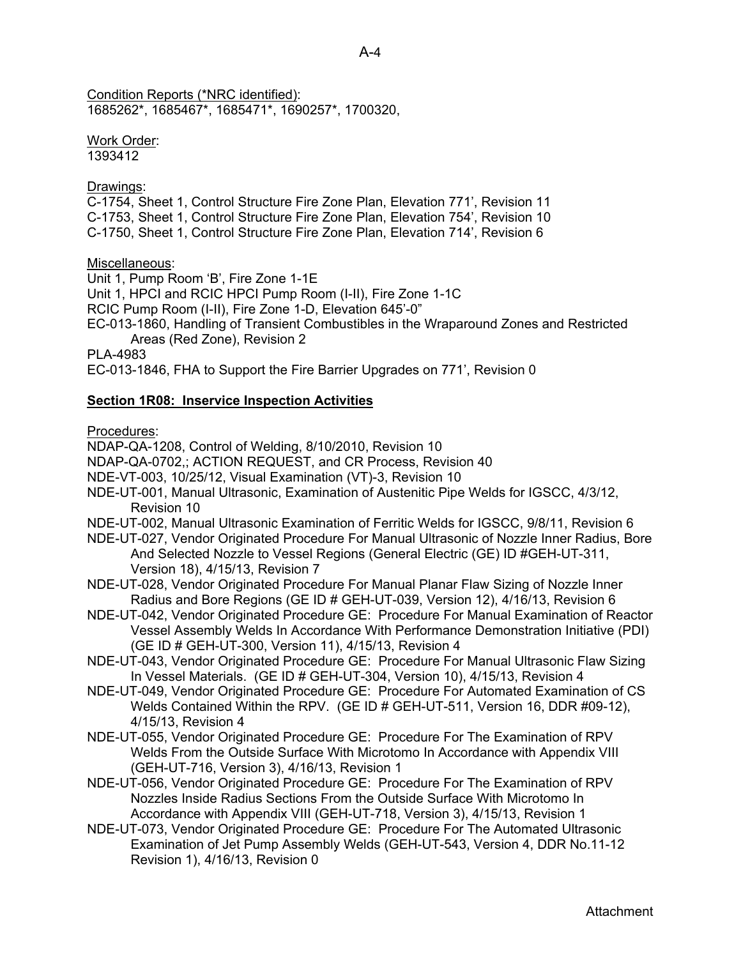Condition Reports (\*NRC identified): 1685262\*, 1685467\*, 1685471\*, 1690257\*, 1700320,

Work Order: 1393412

Drawings:

C-1754, Sheet 1, Control Structure Fire Zone Plan, Elevation 771', Revision 11 C-1753, Sheet 1, Control Structure Fire Zone Plan, Elevation 754', Revision 10 C-1750, Sheet 1, Control Structure Fire Zone Plan, Elevation 714', Revision 6

Miscellaneous:

Unit 1, Pump Room 'B', Fire Zone 1-1E Unit 1, HPCI and RCIC HPCI Pump Room (I-II), Fire Zone 1-1C RCIC Pump Room (I-II), Fire Zone 1-D, Elevation 645'-0" EC-013-1860, Handling of Transient Combustibles in the Wraparound Zones and Restricted Areas (Red Zone), Revision 2 PLA-4983

EC-013-1846, FHA to Support the Fire Barrier Upgrades on 771', Revision 0

## **Section 1R08: Inservice Inspection Activities**

Procedures:

NDAP-QA-1208, Control of Welding, 8/10/2010, Revision 10

NDAP-QA-0702,; ACTION REQUEST, and CR Process, Revision 40

- NDE-VT-003, 10/25/12, Visual Examination (VT)-3, Revision 10
- NDE-UT-001, Manual Ultrasonic, Examination of Austenitic Pipe Welds for IGSCC, 4/3/12, Revision 10
- NDE-UT-002, Manual Ultrasonic Examination of Ferritic Welds for IGSCC, 9/8/11, Revision 6
- NDE-UT-027, Vendor Originated Procedure For Manual Ultrasonic of Nozzle Inner Radius, Bore And Selected Nozzle to Vessel Regions (General Electric (GE) ID #GEH-UT-311, Version 18), 4/15/13, Revision 7
- NDE-UT-028, Vendor Originated Procedure For Manual Planar Flaw Sizing of Nozzle Inner Radius and Bore Regions (GE ID # GEH-UT-039, Version 12), 4/16/13, Revision 6
- NDE-UT-042, Vendor Originated Procedure GE: Procedure For Manual Examination of Reactor Vessel Assembly Welds In Accordance With Performance Demonstration Initiative (PDI) (GE ID # GEH-UT-300, Version 11), 4/15/13, Revision 4
- NDE-UT-043, Vendor Originated Procedure GE: Procedure For Manual Ultrasonic Flaw Sizing In Vessel Materials. (GE ID # GEH-UT-304, Version 10), 4/15/13, Revision 4
- NDE-UT-049, Vendor Originated Procedure GE: Procedure For Automated Examination of CS Welds Contained Within the RPV. (GE ID # GEH-UT-511, Version 16, DDR #09-12), 4/15/13, Revision 4
- NDE-UT-055, Vendor Originated Procedure GE: Procedure For The Examination of RPV Welds From the Outside Surface With Microtomo In Accordance with Appendix VIII (GEH-UT-716, Version 3), 4/16/13, Revision 1
- NDE-UT-056, Vendor Originated Procedure GE: Procedure For The Examination of RPV Nozzles Inside Radius Sections From the Outside Surface With Microtomo In Accordance with Appendix VIII (GEH-UT-718, Version 3), 4/15/13, Revision 1
- NDE-UT-073, Vendor Originated Procedure GE: Procedure For The Automated Ultrasonic Examination of Jet Pump Assembly Welds (GEH-UT-543, Version 4, DDR No.11-12 Revision 1), 4/16/13, Revision 0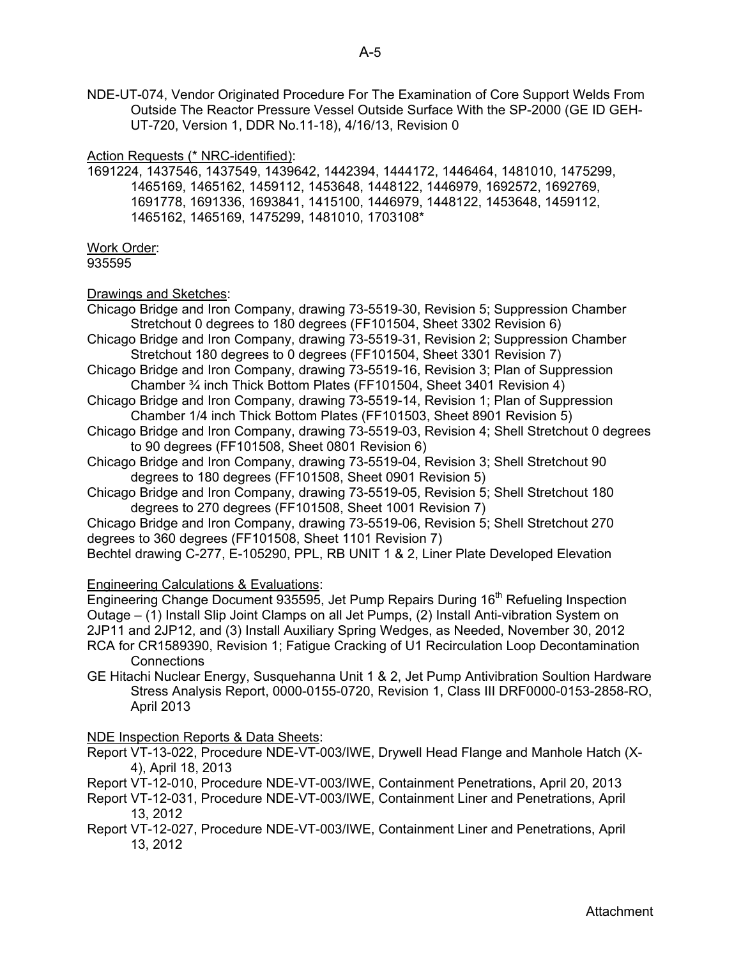NDE-UT-074, Vendor Originated Procedure For The Examination of Core Support Welds From Outside The Reactor Pressure Vessel Outside Surface With the SP-2000 (GE ID GEH-UT-720, Version 1, DDR No.11-18), 4/16/13, Revision 0

### Action Requests (\* NRC-identified):

1691224, 1437546, 1437549, 1439642, 1442394, 1444172, 1446464, 1481010, 1475299, 1465169, 1465162, 1459112, 1453648, 1448122, 1446979, 1692572, 1692769, 1691778, 1691336, 1693841, 1415100, 1446979, 1448122, 1453648, 1459112, 1465162, 1465169, 1475299, 1481010, 1703108\*

Work Order: 935595

## Drawings and Sketches:

Chicago Bridge and Iron Company, drawing 73-5519-30, Revision 5; Suppression Chamber Stretchout 0 degrees to 180 degrees (FF101504, Sheet 3302 Revision 6)

- Chicago Bridge and Iron Company, drawing 73-5519-31, Revision 2; Suppression Chamber Stretchout 180 degrees to 0 degrees (FF101504, Sheet 3301 Revision 7)
- Chicago Bridge and Iron Company, drawing 73-5519-16, Revision 3; Plan of Suppression Chamber ¾ inch Thick Bottom Plates (FF101504, Sheet 3401 Revision 4)
- Chicago Bridge and Iron Company, drawing 73-5519-14, Revision 1; Plan of Suppression Chamber 1/4 inch Thick Bottom Plates (FF101503, Sheet 8901 Revision 5)
- Chicago Bridge and Iron Company, drawing 73-5519-03, Revision 4; Shell Stretchout 0 degrees to 90 degrees (FF101508, Sheet 0801 Revision 6)
- Chicago Bridge and Iron Company, drawing 73-5519-04, Revision 3; Shell Stretchout 90 degrees to 180 degrees (FF101508, Sheet 0901 Revision 5)
- Chicago Bridge and Iron Company, drawing 73-5519-05, Revision 5; Shell Stretchout 180 degrees to 270 degrees (FF101508, Sheet 1001 Revision 7)

Chicago Bridge and Iron Company, drawing 73-5519-06, Revision 5; Shell Stretchout 270 degrees to 360 degrees (FF101508, Sheet 1101 Revision 7)

Bechtel drawing C-277, E-105290, PPL, RB UNIT 1 & 2, Liner Plate Developed Elevation

## Engineering Calculations & Evaluations:

Engineering Change Document 935595, Jet Pump Repairs During 16<sup>th</sup> Refueling Inspection Outage – (1) Install Slip Joint Clamps on all Jet Pumps, (2) Install Anti-vibration System on 2JP11 and 2JP12, and (3) Install Auxiliary Spring Wedges, as Needed, November 30, 2012 RCA for CR1589390, Revision 1; Fatigue Cracking of U1 Recirculation Loop Decontamination **Connections** 

GE Hitachi Nuclear Energy, Susquehanna Unit 1 & 2, Jet Pump Antivibration Soultion Hardware Stress Analysis Report, 0000-0155-0720, Revision 1, Class III DRF0000-0153-2858-RO, April 2013

## NDE Inspection Reports & Data Sheets:

- Report VT-13-022, Procedure NDE-VT-003/IWE, Drywell Head Flange and Manhole Hatch (X-4), April 18, 2013
- Report VT-12-010, Procedure NDE-VT-003/IWE, Containment Penetrations, April 20, 2013
- Report VT-12-031, Procedure NDE-VT-003/IWE, Containment Liner and Penetrations, April 13, 2012
- Report VT-12-027, Procedure NDE-VT-003/IWE, Containment Liner and Penetrations, April 13, 2012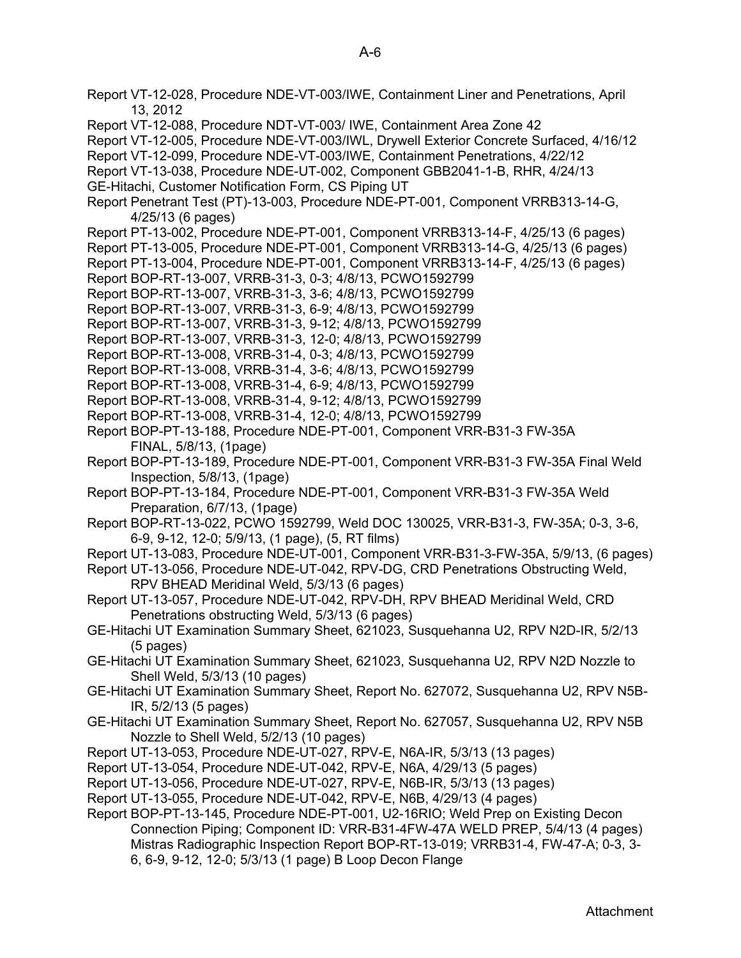Report VT-12-028, Procedure NDE-VT-003/IWE, Containment Liner and Penetrations, April 13, 2012 Report VT-12-088, Procedure NDT-VT-003/ IWE, Containment Area Zone 42 Report VT-12-005, Procedure NDE-VT-003/IWL, Drywell Exterior Concrete Surfaced, 4/16/12 Report VT-12-099, Procedure NDE-VT-003/IWE, Containment Penetrations, 4/22/12 Report VT-13-038, Procedure NDE-UT-002, Component GBB2041-1-B, RHR, 4/24/13 GE-Hitachi, Customer Notification Form, CS Piping UT Report Penetrant Test (PT)-13-003, Procedure NDE-PT-001, Component VRRB313-14-G, 4/25/13 (6 pages) Report PT-13-002, Procedure NDE-PT-001, Component VRRB313-14-F, 4/25/13 (6 pages) Report PT-13-005, Procedure NDE-PT-001, Component VRRB313-14-G, 4/25/13 (6 pages) Report PT-13-004, Procedure NDE-PT-001, Component VRRB313-14-F, 4/25/13 (6 pages) Report BOP-RT-13-007, VRRB-31-3, 0-3; 4/8/13, PCWO1592799 Report BOP-RT-13-007, VRRB-31-3, 3-6; 4/8/13, PCWO1592799 Report BOP-RT-13-007, VRRB-31-3, 6-9; 4/8/13, PCWO1592799 Report BOP-RT-13-007, VRRB-31-3, 9-12; 4/8/13, PCWO1592799 Report BOP-RT-13-007, VRRB-31-3, 12-0; 4/8/13, PCWO1592799 Report BOP-RT-13-008, VRRB-31-4, 0-3; 4/8/13, PCWO1592799 Report BOP-RT-13-008, VRRB-31-4, 3-6; 4/8/13, PCWO1592799 Report BOP-RT-13-008, VRRB-31-4, 6-9; 4/8/13, PCWO1592799 Report BOP-RT-13-008, VRRB-31-4, 9-12; 4/8/13, PCWO1592799 Report BOP-RT-13-008, VRRB-31-4, 12-0; 4/8/13, PCWO1592799 Report BOP-PT-13-188, Procedure NDE-PT-001, Component VRR-B31-3 FW-35A FINAL, 5/8/13, (1page) Report BOP-PT-13-189, Procedure NDE-PT-001, Component VRR-B31-3 FW-35A Final Weld Inspection, 5/8/13, (1page) Report BOP-PT-13-184, Procedure NDE-PT-001, Component VRR-B31-3 FW-35A Weld Preparation, 6/7/13, (1page) Report BOP-RT-13-022, PCWO 1592799, Weld DOC 130025, VRR-B31-3, FW-35A; 0-3, 3-6, 6-9, 9-12, 12-0; 5/9/13, (1 page), (5, RT films) Report UT-13-083, Procedure NDE-UT-001, Component VRR-B31-3-FW-35A, 5/9/13, (6 pages) Report UT-13-056, Procedure NDE-UT-042, RPV-DG, CRD Penetrations Obstructing Weld, RPV BHEAD Meridinal Weld, 5/3/13 (6 pages) Report UT-13-057, Procedure NDE-UT-042, RPV-DH, RPV BHEAD Meridinal Weld, CRD Penetrations obstructing Weld, 5/3/13 (6 pages) GE-Hitachi UT Examination Summary Sheet, 621023, Susquehanna U2, RPV N2D-IR, 5/2/13 (5 pages) GE-Hitachi UT Examination Summary Sheet, 621023, Susquehanna U2, RPV N2D Nozzle to Shell Weld, 5/3/13 (10 pages) GE-Hitachi UT Examination Summary Sheet, Report No. 627072, Susquehanna U2, RPV N5B-IR, 5/2/13 (5 pages) GE-Hitachi UT Examination Summary Sheet, Report No. 627057, Susquehanna U2, RPV N5B Nozzle to Shell Weld, 5/2/13 (10 pages) Report UT-13-053, Procedure NDE-UT-027, RPV-E, N6A-IR, 5/3/13 (13 pages) Report UT-13-054, Procedure NDE-UT-042, RPV-E, N6A, 4/29/13 (5 pages) Report UT-13-056, Procedure NDE-UT-027, RPV-E, N6B-IR, 5/3/13 (13 pages) Report UT-13-055, Procedure NDE-UT-042, RPV-E, N6B, 4/29/13 (4 pages) Report BOP-PT-13-145, Procedure NDE-PT-001, U2-16RIO; Weld Prep on Existing Decon Connection Piping; Component ID: VRR-B31-4FW-47A WELD PREP, 5/4/13 (4 pages) Mistras Radiographic Inspection Report BOP-RT-13-019; VRRB31-4, FW-47-A; 0-3, 3- 6, 6-9, 9-12, 12-0; 5/3/13 (1 page) B Loop Decon Flange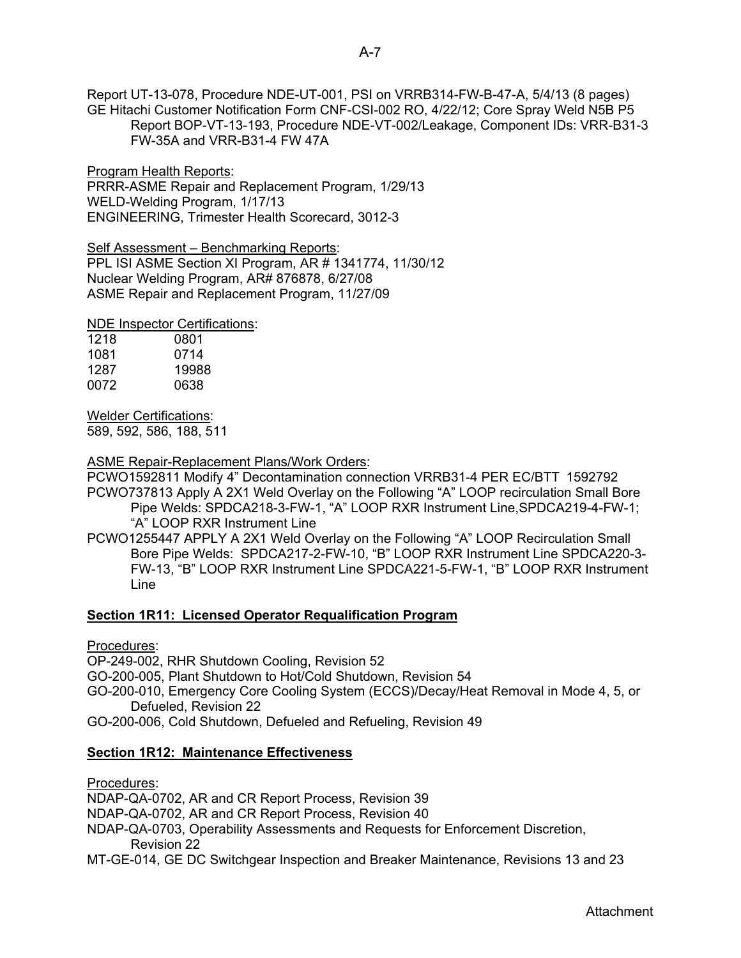Report UT-13-078, Procedure NDE-UT-001, PSI on VRRB314-FW-B-47-A, 5/4/13 (8 pages) GE Hitachi Customer Notification Form CNF-CSI-002 RO, 4/22/12; Core Spray Weld N5B P5 Report BOP-VT-13-193, Procedure NDE-VT-002/Leakage, Component IDs: VRR-B31-3 FW-35A and VRR-B31-4 FW 47A

Program Health Reports: PRRR-ASME Repair and Replacement Program, 1/29/13 WELD-Welding Program, 1/17/13 ENGINEERING, Trimester Health Scorecard, 3012-3

Self Assessment - Benchmarking Reports:

PPL ISI ASME Section XI Program, AR # 1341774, 11/30/12 Nuclear Welding Program, AR# 876878, 6/27/08 ASME Repair and Replacement Program, 11/27/09

NDE Inspector Certifications:

| 1218 | 0801  |
|------|-------|
| 1081 | 0714  |
| 1287 | 19988 |
| 0072 | 0638  |

Welder Certifications:

589, 592, 586, 188, 511

ASME Repair-Replacement Plans/Work Orders:

PCWO1592811 Modify 4" Decontamination connection VRRB31-4 PER EC/BTT 1592792 PCWO737813 Apply A 2X1 Weld Overlay on the Following "A" LOOP recirculation Small Bore Pipe Welds: SPDCA218-3-FW-1, "A" LOOP RXR Instrument Line,SPDCA219-4-FW-1; "A" LOOP RXR Instrument Line

PCWO1255447 APPLY A 2X1 Weld Overlay on the Following "A" LOOP Recirculation Small Bore Pipe Welds: SPDCA217-2-FW-10, "B" LOOP RXR Instrument Line SPDCA220-3- FW-13, "B" LOOP RXR Instrument Line SPDCA221-5-FW-1, "B" LOOP RXR Instrument Line

## **Section 1R11: Licensed Operator Requalification Program**

Procedures:

OP-249-002, RHR Shutdown Cooling, Revision 52

GO-200-005, Plant Shutdown to Hot/Cold Shutdown, Revision 54

GO-200-010, Emergency Core Cooling System (ECCS)/Decay/Heat Removal in Mode 4, 5, or Defueled, Revision 22

GO-200-006, Cold Shutdown, Defueled and Refueling, Revision 49

## **Section 1R12: Maintenance Effectiveness**

Procedures:

NDAP-QA-0702, AR and CR Report Process, Revision 39

NDAP-QA-0702, AR and CR Report Process, Revision 40

- NDAP-QA-0703, Operability Assessments and Requests for Enforcement Discretion, Revision 22
- MT-GE-014, GE DC Switchgear Inspection and Breaker Maintenance, Revisions 13 and 23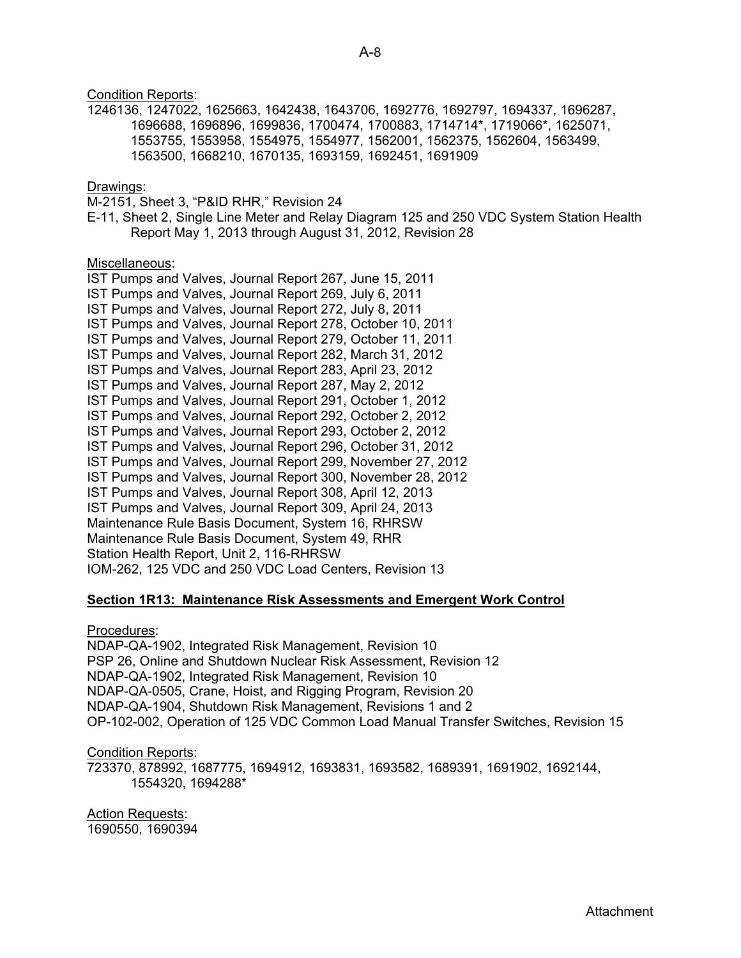**Condition Reports:** 1246136, 1247022, 1625663, 1642438, 1643706, 1692776, 1692797, 1694337, 1696287, 1696688, 1696896, 1699836, 1700474, 1700883, 1714714\*, 1719066\*, 1625071, 1553755, 1553958, 1554975, 1554977, 1562001, 1562375, 1562604, 1563499, 1563500, 1668210, 1670135, 1693159, 1692451, 1691909 Drawings: M-2151, Sheet 3, "P&ID RHR," Revision 24 E-11, Sheet 2, Single Line Meter and Relay Diagram 125 and 250 VDC System Station Health Report May 1, 2013 through August 31, 2012, Revision 28 Miscellaneous: IST Pumps and Valves, Journal Report 267, June 15, 2011 IST Pumps and Valves, Journal Report 269, July 6, 2011 IST Pumps and Valves, Journal Report 272, July 8, 2011 IST Pumps and Valves, Journal Report 278, October 10, 2011 IST Pumps and Valves, Journal Report 279, October 11, 2011 IST Pumps and Valves, Journal Report 282, March 31, 2012 IST Pumps and Valves, Journal Report 283, April 23, 2012 IST Pumps and Valves, Journal Report 287, May 2, 2012 IST Pumps and Valves, Journal Report 291, October 1, 2012 IST Pumps and Valves, Journal Report 292, October 2, 2012 IST Pumps and Valves, Journal Report 293, October 2, 2012 IST Pumps and Valves, Journal Report 296, October 31, 2012 IST Pumps and Valves, Journal Report 299, November 27, 2012 IST Pumps and Valves, Journal Report 300, November 28, 2012 IST Pumps and Valves, Journal Report 308, April 12, 2013 IST Pumps and Valves, Journal Report 309, April 24, 2013 Maintenance Rule Basis Document, System 16, RHRSW Maintenance Rule Basis Document, System 49, RHR Station Health Report, Unit 2, 116-RHRSW IOM-262, 125 VDC and 250 VDC Load Centers, Revision 13

## **Section 1R13: Maintenance Risk Assessments and Emergent Work Control**

Procedures:

NDAP-QA-1902, Integrated Risk Management, Revision 10 PSP 26, Online and Shutdown Nuclear Risk Assessment, Revision 12 NDAP-QA-1902, Integrated Risk Management, Revision 10 NDAP-QA-0505, Crane, Hoist, and Rigging Program, Revision 20 NDAP-QA-1904, Shutdown Risk Management, Revisions 1 and 2 OP-102-002, Operation of 125 VDC Common Load Manual Transfer Switches, Revision 15

Condition Reports:

723370, 878992, 1687775, 1694912, 1693831, 1693582, 1689391, 1691902, 1692144, 1554320, 1694288\*

Action Requests: 1690550, 1690394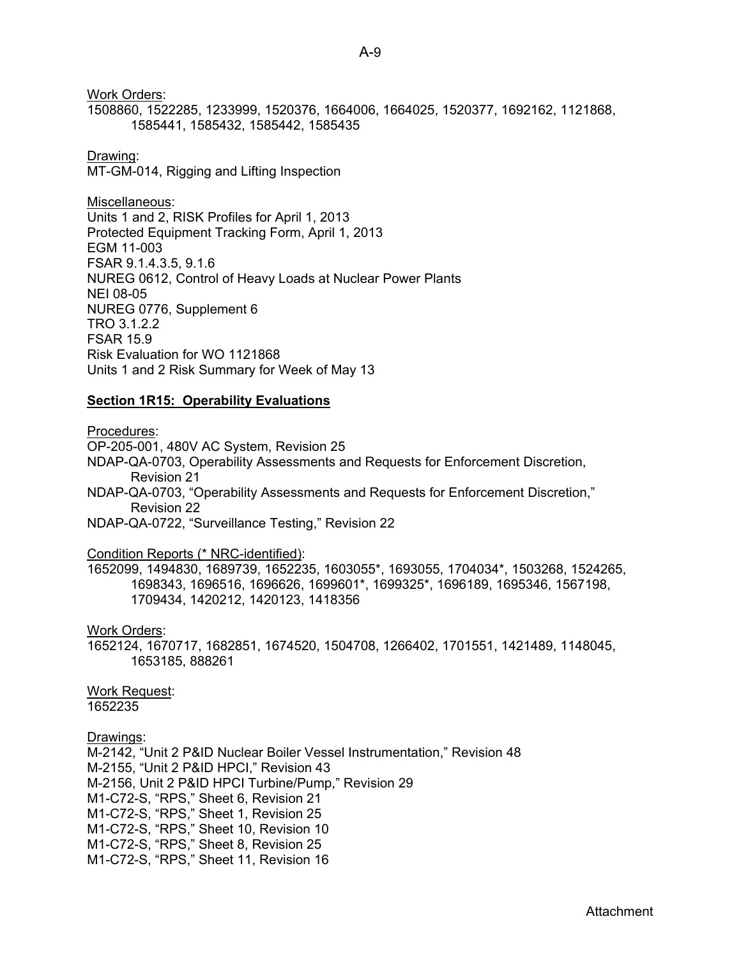Work Orders: 1508860, 1522285, 1233999, 1520376, 1664006, 1664025, 1520377, 1692162, 1121868, 1585441, 1585432, 1585442, 1585435

Drawing: MT-GM-014, Rigging and Lifting Inspection

Miscellaneous: Units 1 and 2, RISK Profiles for April 1, 2013 Protected Equipment Tracking Form, April 1, 2013 EGM 11-003 FSAR 9.1.4.3.5, 9.1.6 NUREG 0612, Control of Heavy Loads at Nuclear Power Plants NEI 08-05 NUREG 0776, Supplement 6 TRO 3.1.2.2 FSAR 15.9 Risk Evaluation for WO 1121868 Units 1 and 2 Risk Summary for Week of May 13

#### **Section 1R15: Operability Evaluations**

Procedures: OP-205-001, 480V AC System, Revision 25 NDAP-QA-0703, Operability Assessments and Requests for Enforcement Discretion, Revision 21 NDAP-QA-0703, "Operability Assessments and Requests for Enforcement Discretion," Revision 22 NDAP-QA-0722, "Surveillance Testing," Revision 22 Condition Reports (\* NRC-identified): 1652099, 1494830, 1689739, 1652235, 1603055\*, 1693055, 1704034\*, 1503268, 1524265, 1698343, 1696516, 1696626, 1699601\*, 1699325\*, 1696189, 1695346, 1567198, 1709434, 1420212, 1420123, 1418356 Work Orders: 1652124, 1670717, 1682851, 1674520, 1504708, 1266402, 1701551, 1421489, 1148045, 1653185, 888261 Work Request: 1652235 Drawings: M-2142, "Unit 2 P&ID Nuclear Boiler Vessel Instrumentation," Revision 48 M-2155, "Unit 2 P&ID HPCI," Revision 43

M-2156, Unit 2 P&ID HPCI Turbine/Pump," Revision 29 M1-C72-S, "RPS," Sheet 6, Revision 21 M1-C72-S, "RPS," Sheet 1, Revision 25 M1-C72-S, "RPS," Sheet 10, Revision 10 M1-C72-S, "RPS," Sheet 8, Revision 25 M1-C72-S, "RPS," Sheet 11, Revision 16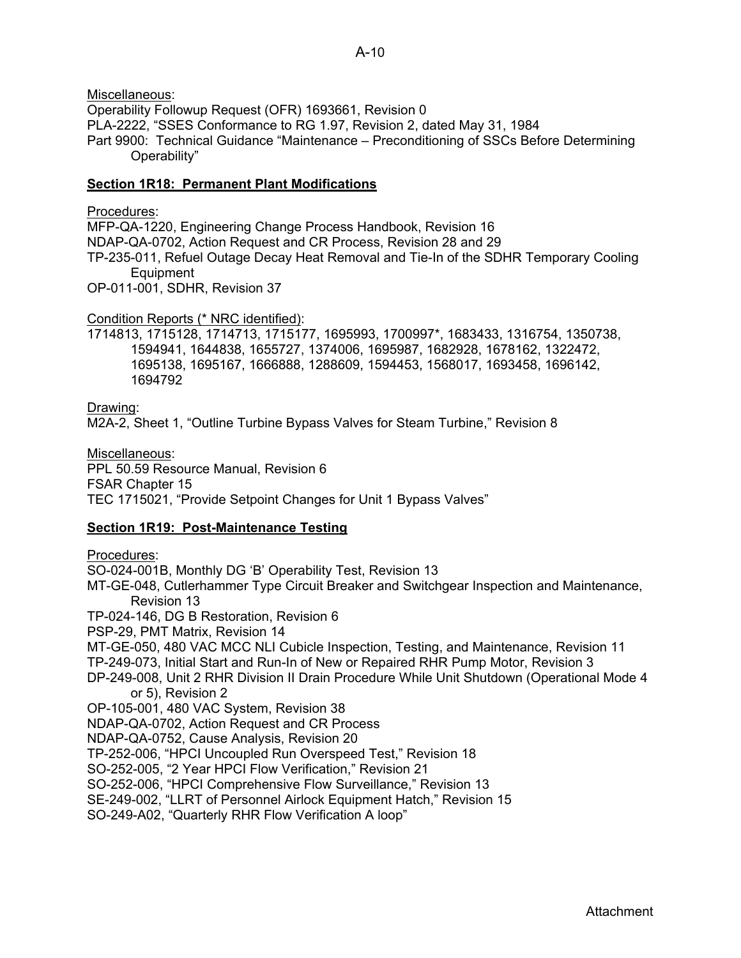Miscellaneous:

Operability Followup Request (OFR) 1693661, Revision 0

PLA-2222, "SSES Conformance to RG 1.97, Revision 2, dated May 31, 1984

Part 9900: Technical Guidance "Maintenance – Preconditioning of SSCs Before Determining Operability"

## **Section 1R18: Permanent Plant Modifications**

## Procedures:

MFP-QA-1220, Engineering Change Process Handbook, Revision 16 NDAP-QA-0702, Action Request and CR Process, Revision 28 and 29 TP-235-011, Refuel Outage Decay Heat Removal and Tie-In of the SDHR Temporary Cooling Equipment

OP-011-001, SDHR, Revision 37

Condition Reports (\* NRC identified):

1714813, 1715128, 1714713, 1715177, 1695993, 1700997\*, 1683433, 1316754, 1350738, 1594941, 1644838, 1655727, 1374006, 1695987, 1682928, 1678162, 1322472, 1695138, 1695167, 1666888, 1288609, 1594453, 1568017, 1693458, 1696142, 1694792

## Drawing:

M2A-2, Sheet 1, "Outline Turbine Bypass Valves for Steam Turbine," Revision 8

Miscellaneous: PPL 50.59 Resource Manual, Revision 6 FSAR Chapter 15 TEC 1715021, "Provide Setpoint Changes for Unit 1 Bypass Valves"

## **Section 1R19: Post-Maintenance Testing**

Procedures: SO-024-001B, Monthly DG 'B' Operability Test, Revision 13 MT-GE-048, Cutlerhammer Type Circuit Breaker and Switchgear Inspection and Maintenance, Revision 13 TP-024-146, DG B Restoration, Revision 6 PSP-29, PMT Matrix, Revision 14 MT-GE-050, 480 VAC MCC NLI Cubicle Inspection, Testing, and Maintenance, Revision 11 TP-249-073, Initial Start and Run-In of New or Repaired RHR Pump Motor, Revision 3 DP-249-008, Unit 2 RHR Division II Drain Procedure While Unit Shutdown (Operational Mode 4 or 5), Revision 2 OP-105-001, 480 VAC System, Revision 38 NDAP-QA-0702, Action Request and CR Process NDAP-QA-0752, Cause Analysis, Revision 20 TP-252-006, "HPCI Uncoupled Run Overspeed Test," Revision 18 SO-252-005, "2 Year HPCI Flow Verification," Revision 21 SO-252-006, "HPCI Comprehensive Flow Surveillance," Revision 13 SE-249-002, "LLRT of Personnel Airlock Equipment Hatch," Revision 15 SO-249-A02, "Quarterly RHR Flow Verification A loop"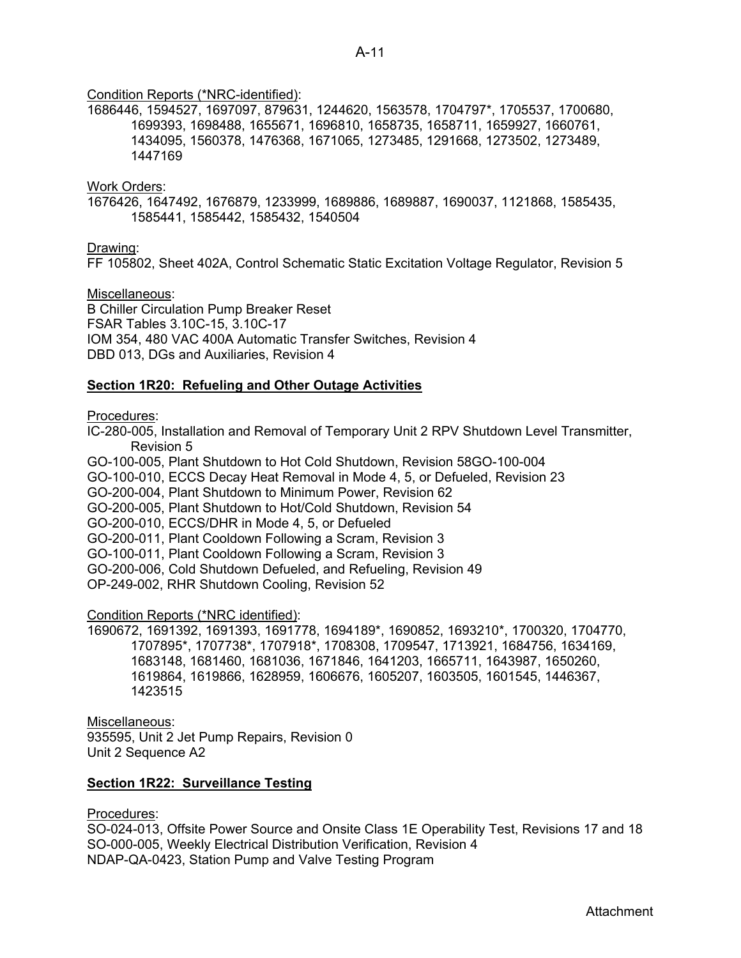## Condition Reports (\*NRC-identified):

1686446, 1594527, 1697097, 879631, 1244620, 1563578, 1704797\*, 1705537, 1700680, 1699393, 1698488, 1655671, 1696810, 1658735, 1658711, 1659927, 1660761, 1434095, 1560378, 1476368, 1671065, 1273485, 1291668, 1273502, 1273489, 1447169

Work Orders:

1676426, 1647492, 1676879, 1233999, 1689886, 1689887, 1690037, 1121868, 1585435, 1585441, 1585442, 1585432, 1540504

Drawing:

FF 105802, Sheet 402A, Control Schematic Static Excitation Voltage Regulator, Revision 5

Miscellaneous:

B Chiller Circulation Pump Breaker Reset FSAR Tables 3.10C-15, 3.10C-17 IOM 354, 480 VAC 400A Automatic Transfer Switches, Revision 4 DBD 013, DGs and Auxiliaries, Revision 4

## **Section 1R20: Refueling and Other Outage Activities**

Procedures:

IC-280-005, Installation and Removal of Temporary Unit 2 RPV Shutdown Level Transmitter, Revision 5

GO-100-005, Plant Shutdown to Hot Cold Shutdown, Revision 58GO-100-004

GO-100-010, ECCS Decay Heat Removal in Mode 4, 5, or Defueled, Revision 23

GO-200-004, Plant Shutdown to Minimum Power, Revision 62

GO-200-005, Plant Shutdown to Hot/Cold Shutdown, Revision 54

GO-200-010, ECCS/DHR in Mode 4, 5, or Defueled

GO-200-011, Plant Cooldown Following a Scram, Revision 3

GO-100-011, Plant Cooldown Following a Scram, Revision 3

GO-200-006, Cold Shutdown Defueled, and Refueling, Revision 49

OP-249-002, RHR Shutdown Cooling, Revision 52

Condition Reports (\*NRC identified):

1690672, 1691392, 1691393, 1691778, 1694189\*, 1690852, 1693210\*, 1700320, 1704770, 1707895\*, 1707738\*, 1707918\*, 1708308, 1709547, 1713921, 1684756, 1634169, 1683148, 1681460, 1681036, 1671846, 1641203, 1665711, 1643987, 1650260, 1619864, 1619866, 1628959, 1606676, 1605207, 1603505, 1601545, 1446367, 1423515

Miscellaneous: 935595, Unit 2 Jet Pump Repairs, Revision 0 Unit 2 Sequence A2

## **Section 1R22: Surveillance Testing**

Procedures:

SO-024-013, Offsite Power Source and Onsite Class 1E Operability Test, Revisions 17 and 18 SO-000-005, Weekly Electrical Distribution Verification, Revision 4 NDAP-QA-0423, Station Pump and Valve Testing Program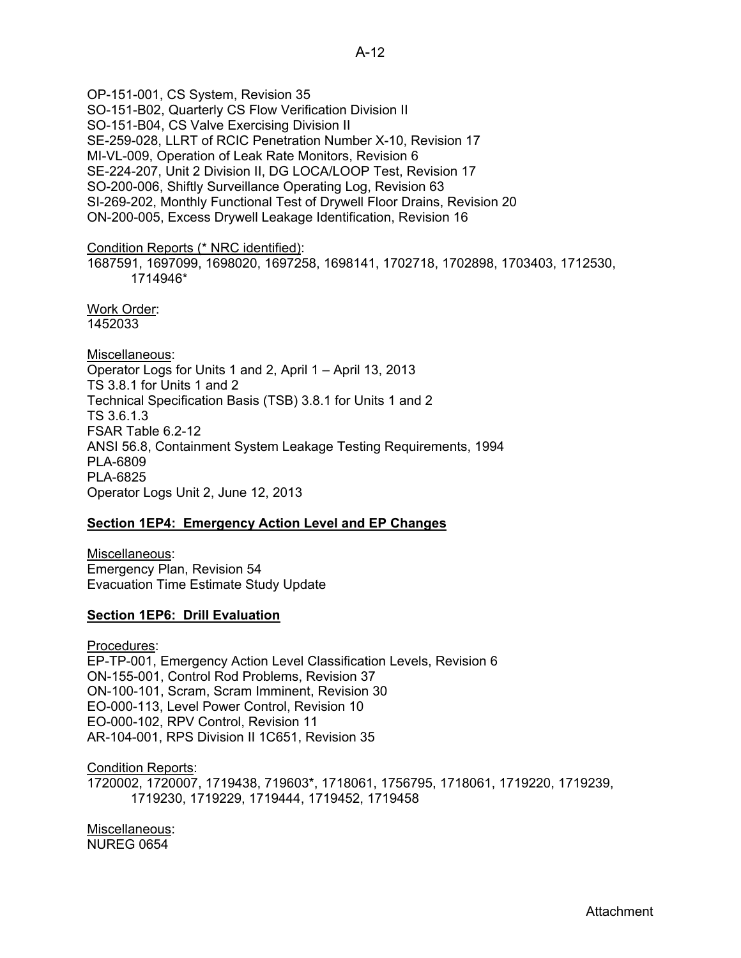OP-151-001, CS System, Revision 35 SO-151-B02, Quarterly CS Flow Verification Division II SO-151-B04, CS Valve Exercising Division II SE-259-028, LLRT of RCIC Penetration Number X-10, Revision 17 MI-VL-009, Operation of Leak Rate Monitors, Revision 6 SE-224-207, Unit 2 Division II, DG LOCA/LOOP Test, Revision 17 SO-200-006, Shiftly Surveillance Operating Log, Revision 63 SI-269-202, Monthly Functional Test of Drywell Floor Drains, Revision 20 ON-200-005, Excess Drywell Leakage Identification, Revision 16

Condition Reports (\* NRC identified):

1687591, 1697099, 1698020, 1697258, 1698141, 1702718, 1702898, 1703403, 1712530, 1714946\*

Work Order: 1452033

Miscellaneous: Operator Logs for Units 1 and 2, April 1 – April 13, 2013 TS 3.8.1 for Units 1 and 2 Technical Specification Basis (TSB) 3.8.1 for Units 1 and 2 TS 3.6.1.3 FSAR Table 6.2-12 ANSI 56.8, Containment System Leakage Testing Requirements, 1994 PLA-6809 PLA-6825 Operator Logs Unit 2, June 12, 2013

## **Section 1EP4: Emergency Action Level and EP Changes**

Miscellaneous: Emergency Plan, Revision 54 Evacuation Time Estimate Study Update

## **Section 1EP6: Drill Evaluation**

Procedures: EP-TP-001, Emergency Action Level Classification Levels, Revision 6 ON-155-001, Control Rod Problems, Revision 37 ON-100-101, Scram, Scram Imminent, Revision 30 EO-000-113, Level Power Control, Revision 10 EO-000-102, RPV Control, Revision 11 AR-104-001, RPS Division II 1C651, Revision 35

Condition Reports: 1720002, 1720007, 1719438, 719603\*, 1718061, 1756795, 1718061, 1719220, 1719239, 1719230, 1719229, 1719444, 1719452, 1719458

Miscellaneous: NUREG 0654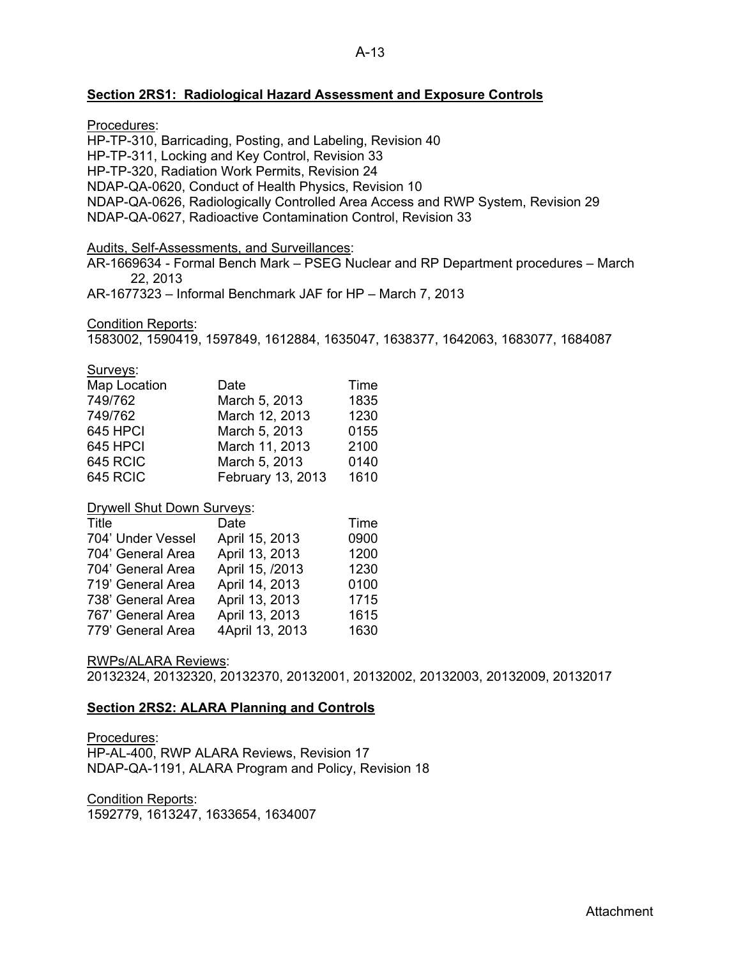## **Section 2RS1: Radiological Hazard Assessment and Exposure Controls**

Procedures:

HP-TP-310, Barricading, Posting, and Labeling, Revision 40

HP-TP-311, Locking and Key Control, Revision 33

HP-TP-320, Radiation Work Permits, Revision 24

NDAP-QA-0620, Conduct of Health Physics, Revision 10

NDAP-QA-0626, Radiologically Controlled Area Access and RWP System, Revision 29

NDAP-QA-0627, Radioactive Contamination Control, Revision 33

Audits, Self-Assessments, and Surveillances:

AR-1669634 - Formal Bench Mark – PSEG Nuclear and RP Department procedures – March 22, 2013

AR-1677323 – Informal Benchmark JAF for HP – March 7, 2013

Condition Reports:

1583002, 1590419, 1597849, 1612884, 1635047, 1638377, 1642063, 1683077, 1684087

Surveys:

| Map Location    | Date              | Time |
|-----------------|-------------------|------|
| 749/762         | March 5, 2013     | 1835 |
| 749/762         | March 12, 2013    | 1230 |
| 645 HPCI        | March 5, 2013     | 0155 |
| 645 HPCI        | March 11, 2013    | 2100 |
| <b>645 RCIC</b> | March 5, 2013     | 0140 |
| <b>645 RCIC</b> | February 13, 2013 | 1610 |

## Drywell Shut Down Surveys:

| <b>Title</b>      | Date            | Time |
|-------------------|-----------------|------|
| 704' Under Vessel | April 15, 2013  | 0900 |
| 704' General Area | April 13, 2013  | 1200 |
| 704' General Area | April 15, /2013 | 1230 |
| 719' General Area | April 14, 2013  | 0100 |
| 738' General Area | April 13, 2013  | 1715 |
| 767' General Area | April 13, 2013  | 1615 |
| 779' General Area | 4April 13, 2013 | 1630 |

## RWPs/ALARA Reviews:

20132324, 20132320, 20132370, 20132001, 20132002, 20132003, 20132009, 20132017

## **Section 2RS2: ALARA Planning and Controls**

Procedures: HP-AL-400, RWP ALARA Reviews, Revision 17 NDAP-QA-1191, ALARA Program and Policy, Revision 18

Condition Reports: 1592779, 1613247, 1633654, 1634007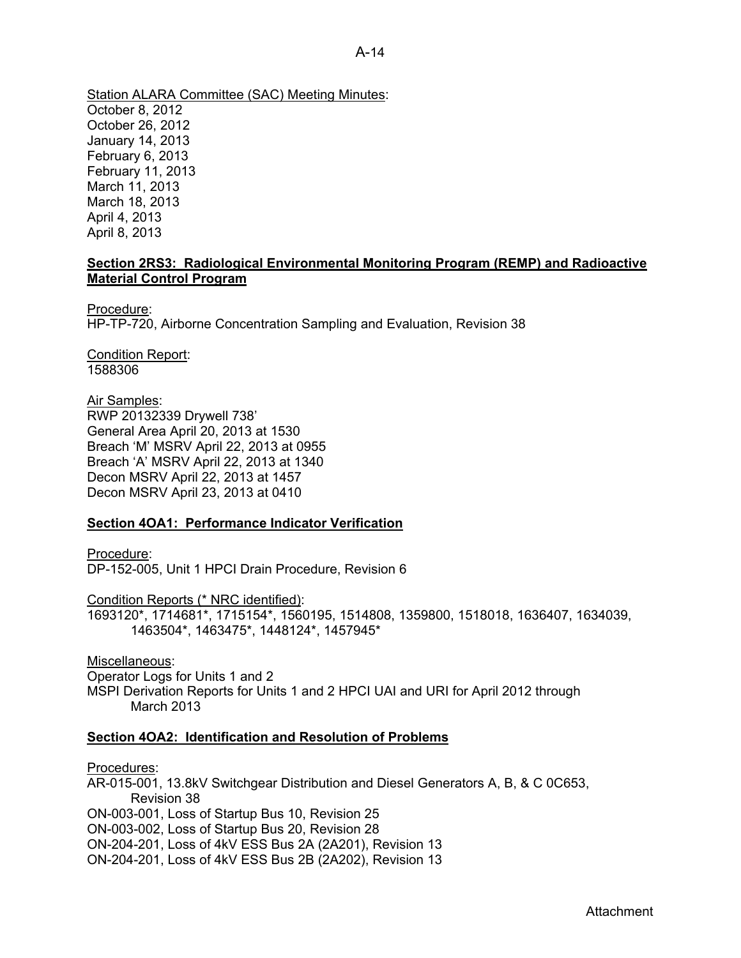Station ALARA Committee (SAC) Meeting Minutes: October 8, 2012 October 26, 2012 January 14, 2013 February 6, 2013 February 11, 2013 March 11, 2013 March 18, 2013 April 4, 2013 April 8, 2013

## **Section 2RS3: Radiological Environmental Monitoring Program (REMP) and Radioactive Material Control Program**

Procedure: HP-TP-720, Airborne Concentration Sampling and Evaluation, Revision 38

Condition Report: 1588306

Air Samples: RWP 20132339 Drywell 738' General Area April 20, 2013 at 1530 Breach 'M' MSRV April 22, 2013 at 0955 Breach 'A' MSRV April 22, 2013 at 1340 Decon MSRV April 22, 2013 at 1457 Decon MSRV April 23, 2013 at 0410

## **Section 4OA1: Performance Indicator Verification**

Procedure: DP-152-005, Unit 1 HPCI Drain Procedure, Revision 6

Condition Reports (\* NRC identified):

1693120\*, 1714681\*, 1715154\*, 1560195, 1514808, 1359800, 1518018, 1636407, 1634039, 1463504\*, 1463475\*, 1448124\*, 1457945\*

Miscellaneous: Operator Logs for Units 1 and 2 MSPI Derivation Reports for Units 1 and 2 HPCI UAI and URI for April 2012 through March 2013

## **Section 4OA2: Identification and Resolution of Problems**

Procedures: AR-015-001, 13.8kV Switchgear Distribution and Diesel Generators A, B, & C 0C653, Revision 38 ON-003-001, Loss of Startup Bus 10, Revision 25 ON-003-002, Loss of Startup Bus 20, Revision 28 ON-204-201, Loss of 4kV ESS Bus 2A (2A201), Revision 13 ON-204-201, Loss of 4kV ESS Bus 2B (2A202), Revision 13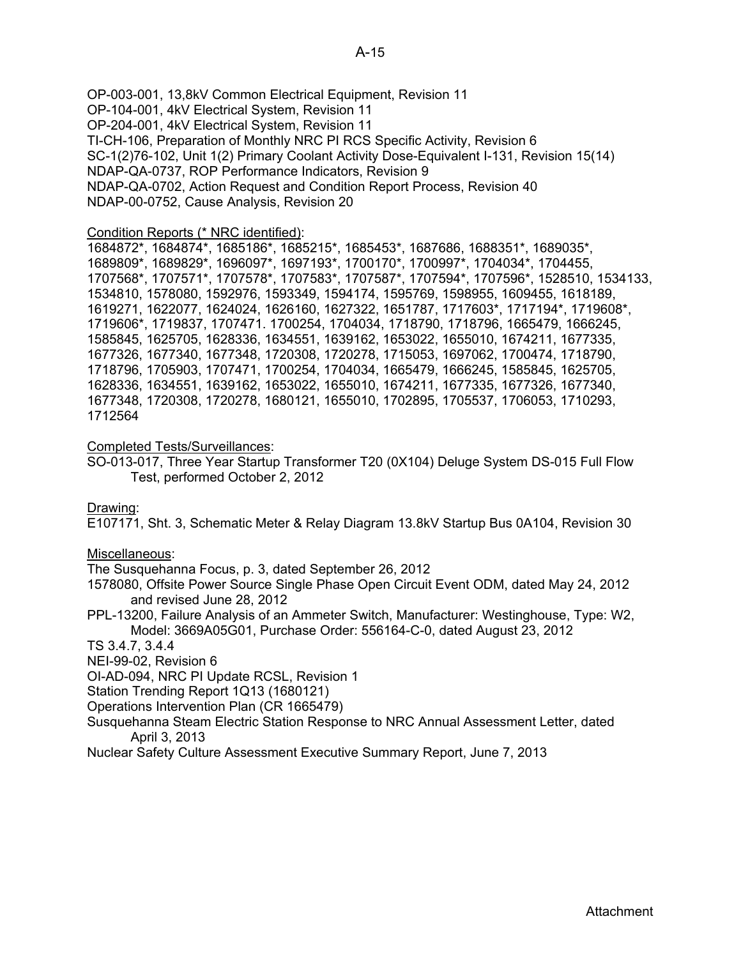OP-003-001, 13,8kV Common Electrical Equipment, Revision 11 OP-104-001, 4kV Electrical System, Revision 11 OP-204-001, 4kV Electrical System, Revision 11 TI-CH-106, Preparation of Monthly NRC PI RCS Specific Activity, Revision 6 SC-1(2)76-102, Unit 1(2) Primary Coolant Activity Dose-Equivalent I-131, Revision 15(14) NDAP-QA-0737, ROP Performance Indicators, Revision 9 NDAP-QA-0702, Action Request and Condition Report Process, Revision 40 NDAP-00-0752, Cause Analysis, Revision 20

#### Condition Reports (\* NRC identified):

1684872\*, 1684874\*, 1685186\*, 1685215\*, 1685453\*, 1687686, 1688351\*, 1689035\*, 1689809\*, 1689829\*, 1696097\*, 1697193\*, 1700170\*, 1700997\*, 1704034\*, 1704455, 1707568\*, 1707571\*, 1707578\*, 1707583\*, 1707587\*, 1707594\*, 1707596\*, 1528510, 1534133, 1534810, 1578080, 1592976, 1593349, 1594174, 1595769, 1598955, 1609455, 1618189, 1619271, 1622077, 1624024, 1626160, 1627322, 1651787, 1717603\*, 1717194\*, 1719608\*, 1719606\*, 1719837, 1707471. 1700254, 1704034, 1718790, 1718796, 1665479, 1666245, 1585845, 1625705, 1628336, 1634551, 1639162, 1653022, 1655010, 1674211, 1677335, 1677326, 1677340, 1677348, 1720308, 1720278, 1715053, 1697062, 1700474, 1718790, 1718796, 1705903, 1707471, 1700254, 1704034, 1665479, 1666245, 1585845, 1625705, 1628336, 1634551, 1639162, 1653022, 1655010, 1674211, 1677335, 1677326, 1677340, 1677348, 1720308, 1720278, 1680121, 1655010, 1702895, 1705537, 1706053, 1710293, 1712564

## Completed Tests/Surveillances:

SO-013-017, Three Year Startup Transformer T20 (0X104) Deluge System DS-015 Full Flow Test, performed October 2, 2012

Drawing:

E107171, Sht. 3, Schematic Meter & Relay Diagram 13.8kV Startup Bus 0A104, Revision 30

#### Miscellaneous:

The Susquehanna Focus, p. 3, dated September 26, 2012

- 1578080, Offsite Power Source Single Phase Open Circuit Event ODM, dated May 24, 2012 and revised June 28, 2012
- PPL-13200, Failure Analysis of an Ammeter Switch, Manufacturer: Westinghouse, Type: W2, Model: 3669A05G01, Purchase Order: 556164-C-0, dated August 23, 2012

#### TS 3.4.7, 3.4.4

NEI-99-02, Revision 6

OI-AD-094, NRC PI Update RCSL, Revision 1

Station Trending Report 1Q13 (1680121)

Operations Intervention Plan (CR 1665479)

Susquehanna Steam Electric Station Response to NRC Annual Assessment Letter, dated April 3, 2013

Nuclear Safety Culture Assessment Executive Summary Report, June 7, 2013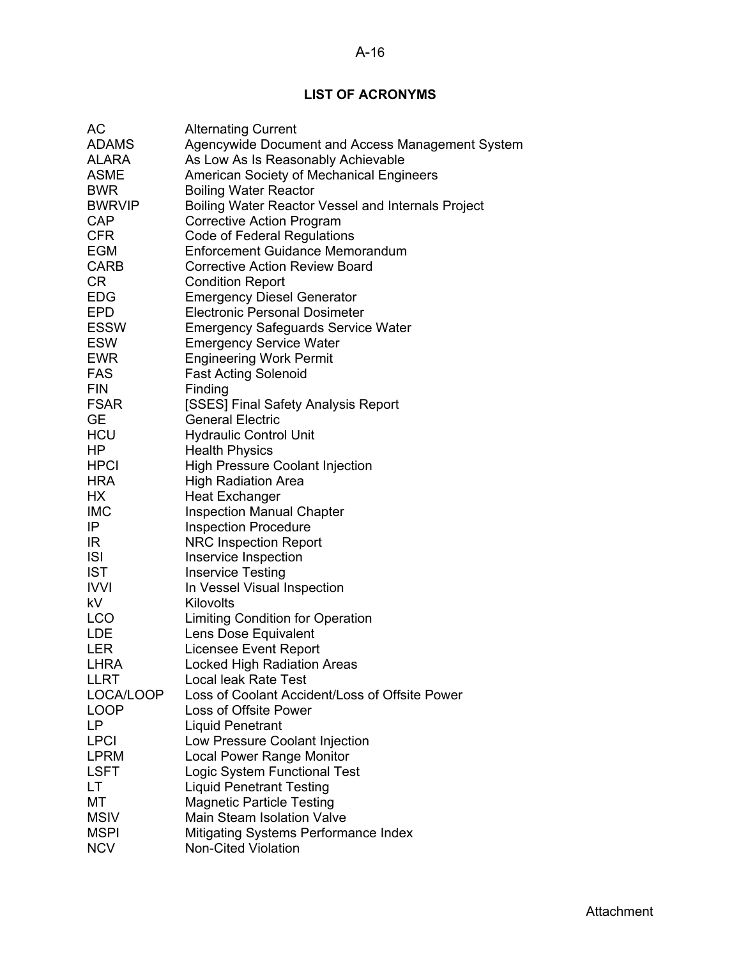## A-16

# **LIST OF ACRONYMS**

| АC                | <b>Alternating Current</b>                                     |
|-------------------|----------------------------------------------------------------|
| <b>ADAMS</b>      | Agencywide Document and Access Management System               |
| ALARA             | As Low As Is Reasonably Achievable                             |
| <b>ASME</b>       | American Society of Mechanical Engineers                       |
| <b>BWR</b>        | <b>Boiling Water Reactor</b>                                   |
| <b>BWRVIP</b>     | Boiling Water Reactor Vessel and Internals Project             |
| <b>CAP</b>        | <b>Corrective Action Program</b>                               |
| <b>CFR</b>        | Code of Federal Regulations                                    |
| EGM               | Enforcement Guidance Memorandum                                |
| <b>CARB</b>       | <b>Corrective Action Review Board</b>                          |
| <b>CR</b>         | <b>Condition Report</b>                                        |
| <b>EDG</b>        | <b>Emergency Diesel Generator</b>                              |
| <b>EPD</b>        | <b>Electronic Personal Dosimeter</b>                           |
| ESSW              | <b>Emergency Safeguards Service Water</b>                      |
| <b>ESW</b>        | <b>Emergency Service Water</b>                                 |
| EWR               | <b>Engineering Work Permit</b>                                 |
| FAS               | <b>Fast Acting Solenoid</b>                                    |
| <b>FIN</b>        | Finding                                                        |
|                   |                                                                |
| FSAR<br><b>GE</b> | [SSES] Final Safety Analysis Report<br><b>General Electric</b> |
| <b>HCU</b>        |                                                                |
| ΗP                | <b>Hydraulic Control Unit</b>                                  |
| <b>HPCI</b>       | <b>Health Physics</b>                                          |
| <b>HRA</b>        | <b>High Pressure Coolant Injection</b>                         |
| НX                | <b>High Radiation Area</b>                                     |
| <b>IMC</b>        | <b>Heat Exchanger</b>                                          |
| IP                | <b>Inspection Manual Chapter</b>                               |
| IR                | <b>Inspection Procedure</b>                                    |
|                   | <b>NRC Inspection Report</b>                                   |
| <b>ISI</b>        | Inservice Inspection                                           |
| <b>IST</b>        | <b>Inservice Testing</b>                                       |
| <b>IVVI</b>       | In Vessel Visual Inspection                                    |
| kV                | Kilovolts                                                      |
| <b>LCO</b>        | <b>Limiting Condition for Operation</b>                        |
| <b>LDE</b>        | Lens Dose Equivalent                                           |
| <b>LER</b>        | Licensee Event Report                                          |
| <b>LHRA</b>       | <b>Locked High Radiation Areas</b>                             |
| LLRT              | Local leak Rate Test                                           |
| LOCA/LOOP         | Loss of Coolant Accident/Loss of Offsite Power                 |
| <b>LOOP</b>       | Loss of Offsite Power                                          |
| LP                | <b>Liquid Penetrant</b>                                        |
| <b>LPCI</b>       | Low Pressure Coolant Injection                                 |
| <b>LPRM</b>       | <b>Local Power Range Monitor</b>                               |
| LSFT              | Logic System Functional Test                                   |
| LT                | <b>Liquid Penetrant Testing</b>                                |
| МT                | <b>Magnetic Particle Testing</b>                               |
| <b>MSIV</b>       | Main Steam Isolation Valve                                     |
| <b>MSPI</b>       | <b>Mitigating Systems Performance Index</b>                    |
| <b>NCV</b>        | <b>Non-Cited Violation</b>                                     |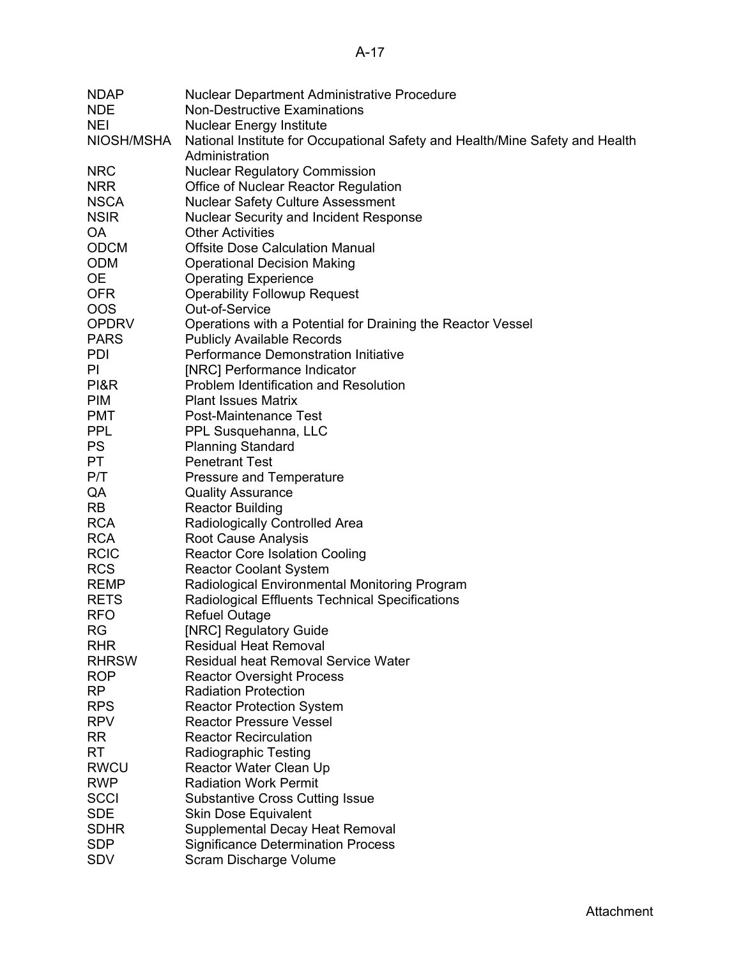| <b>NDAP</b>              | Nuclear Department Administrative Procedure                                  |
|--------------------------|------------------------------------------------------------------------------|
| <b>NDE</b>               | <b>Non-Destructive Examinations</b>                                          |
| <b>NEI</b>               | <b>Nuclear Energy Institute</b>                                              |
| NIOSH/MSHA               | National Institute for Occupational Safety and Health/Mine Safety and Health |
|                          | Administration                                                               |
| <b>NRC</b>               | <b>Nuclear Regulatory Commission</b>                                         |
| <b>NRR</b>               | Office of Nuclear Reactor Regulation                                         |
| <b>NSCA</b>              | <b>Nuclear Safety Culture Assessment</b>                                     |
| <b>NSIR</b>              | <b>Nuclear Security and Incident Response</b>                                |
| OA                       | <b>Other Activities</b>                                                      |
| <b>ODCM</b>              | <b>Offsite Dose Calculation Manual</b>                                       |
| <b>ODM</b>               | <b>Operational Decision Making</b>                                           |
| 0E                       | <b>Operating Experience</b>                                                  |
| <b>OFR</b>               | <b>Operability Followup Request</b>                                          |
| <b>OOS</b>               | Out-of-Service                                                               |
| <b>OPDRV</b>             | Operations with a Potential for Draining the Reactor Vessel                  |
| <b>PARS</b>              | <b>Publicly Available Records</b>                                            |
| PDI                      | Performance Demonstration Initiative                                         |
| PI                       | [NRC] Performance Indicator                                                  |
| PI&R                     | Problem Identification and Resolution                                        |
| <b>PIM</b><br><b>PMT</b> | <b>Plant Issues Matrix</b>                                                   |
| <b>PPL</b>               | Post-Maintenance Test                                                        |
| <b>PS</b>                | PPL Susquehanna, LLC<br><b>Planning Standard</b>                             |
| PT                       | <b>Penetrant Test</b>                                                        |
| P/T                      | <b>Pressure and Temperature</b>                                              |
| QA                       | <b>Quality Assurance</b>                                                     |
| <b>RB</b>                | <b>Reactor Building</b>                                                      |
| <b>RCA</b>               | Radiologically Controlled Area                                               |
| <b>RCA</b>               | Root Cause Analysis                                                          |
| <b>RCIC</b>              | <b>Reactor Core Isolation Cooling</b>                                        |
| <b>RCS</b>               | <b>Reactor Coolant System</b>                                                |
| <b>REMP</b>              | Radiological Environmental Monitoring Program                                |
| <b>RETS</b>              | Radiological Effluents Technical Specifications                              |
| <b>RFO</b>               | <b>Refuel Outage</b>                                                         |
| <b>RG</b>                | [NRC] Regulatory Guide                                                       |
| <b>RHR</b>               | <b>Residual Heat Removal</b>                                                 |
| <b>RHRSW</b>             | <b>Residual heat Removal Service Water</b>                                   |
| <b>ROP</b>               | <b>Reactor Oversight Process</b>                                             |
| <b>RP</b>                | <b>Radiation Protection</b>                                                  |
| <b>RPS</b>               | <b>Reactor Protection System</b>                                             |
| <b>RPV</b>               | <b>Reactor Pressure Vessel</b>                                               |
| RR                       | <b>Reactor Recirculation</b>                                                 |
| RT                       | Radiographic Testing                                                         |
| <b>RWCU</b>              | Reactor Water Clean Up                                                       |
| <b>RWP</b>               | <b>Radiation Work Permit</b>                                                 |
| <b>SCCI</b>              | <b>Substantive Cross Cutting Issue</b>                                       |
| <b>SDE</b>               | <b>Skin Dose Equivalent</b>                                                  |
| <b>SDHR</b>              | Supplemental Decay Heat Removal                                              |
| <b>SDP</b>               | <b>Significance Determination Process</b>                                    |
| <b>SDV</b>               | Scram Discharge Volume                                                       |